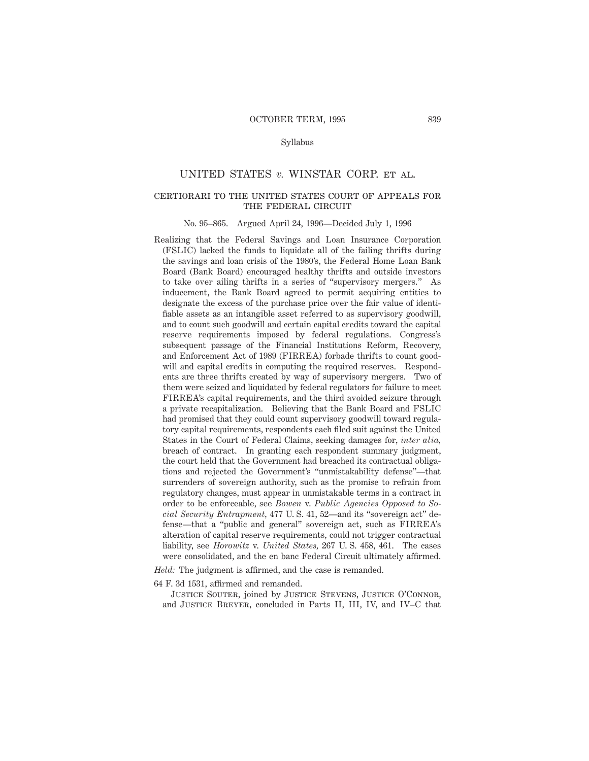# UNITED STATES *v.* WINSTAR CORP. et al.

# certiorari to the united states court of appeals for THE FEDERAL CIRCUIT

### No. 95–865. Argued April 24, 1996—Decided July 1, 1996

Realizing that the Federal Savings and Loan Insurance Corporation (FSLIC) lacked the funds to liquidate all of the failing thrifts during the savings and loan crisis of the 1980's, the Federal Home Loan Bank Board (Bank Board) encouraged healthy thrifts and outside investors to take over ailing thrifts in a series of "supervisory mergers." As inducement, the Bank Board agreed to permit acquiring entities to designate the excess of the purchase price over the fair value of identifiable assets as an intangible asset referred to as supervisory goodwill, and to count such goodwill and certain capital credits toward the capital reserve requirements imposed by federal regulations. Congress's subsequent passage of the Financial Institutions Reform, Recovery, and Enforcement Act of 1989 (FIRREA) forbade thrifts to count goodwill and capital credits in computing the required reserves. Respondents are three thrifts created by way of supervisory mergers. Two of them were seized and liquidated by federal regulators for failure to meet FIRREA's capital requirements, and the third avoided seizure through a private recapitalization. Believing that the Bank Board and FSLIC had promised that they could count supervisory goodwill toward regulatory capital requirements, respondents each filed suit against the United States in the Court of Federal Claims, seeking damages for, *inter alia,* breach of contract. In granting each respondent summary judgment, the court held that the Government had breached its contractual obligations and rejected the Government's "unmistakability defense"—that surrenders of sovereign authority, such as the promise to refrain from regulatory changes, must appear in unmistakable terms in a contract in order to be enforceable, see *Bowen* v. *Public Agencies Opposed to Social Security Entrapment,* 477 U. S. 41, 52—and its "sovereign act" defense—that a "public and general" sovereign act, such as FIRREA's alteration of capital reserve requirements, could not trigger contractual liability, see *Horowitz* v. *United States,* 267 U. S. 458, 461. The cases were consolidated, and the en banc Federal Circuit ultimately affirmed.

*Held:* The judgment is affirmed, and the case is remanded.

64 F. 3d 1531, affirmed and remanded.

Justice Souter, joined by Justice Stevens, Justice O'Connor, and Justice Breyer, concluded in Parts II, III, IV, and IV–C that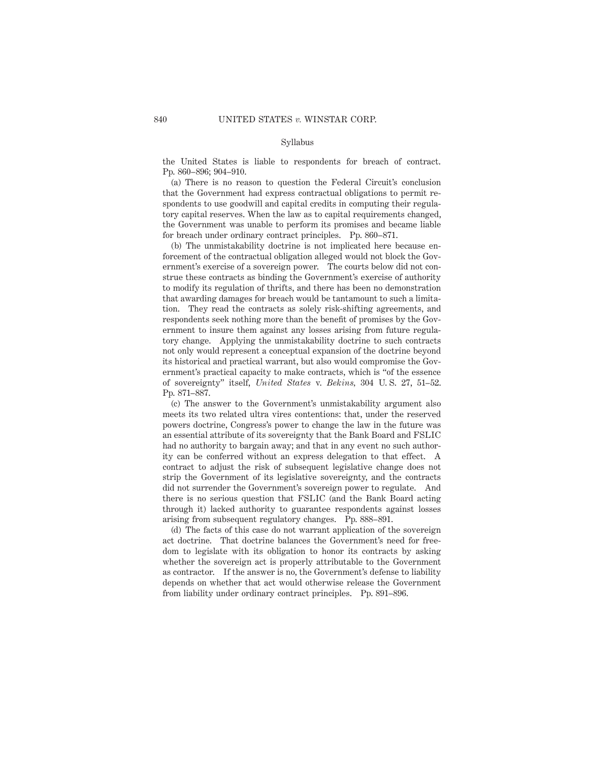the United States is liable to respondents for breach of contract. Pp. 860–896; 904–910.

(a) There is no reason to question the Federal Circuit's conclusion that the Government had express contractual obligations to permit respondents to use goodwill and capital credits in computing their regulatory capital reserves. When the law as to capital requirements changed, the Government was unable to perform its promises and became liable for breach under ordinary contract principles. Pp. 860–871.

(b) The unmistakability doctrine is not implicated here because enforcement of the contractual obligation alleged would not block the Government's exercise of a sovereign power. The courts below did not construe these contracts as binding the Government's exercise of authority to modify its regulation of thrifts, and there has been no demonstration that awarding damages for breach would be tantamount to such a limitation. They read the contracts as solely risk-shifting agreements, and respondents seek nothing more than the benefit of promises by the Government to insure them against any losses arising from future regulatory change. Applying the unmistakability doctrine to such contracts not only would represent a conceptual expansion of the doctrine beyond its historical and practical warrant, but also would compromise the Government's practical capacity to make contracts, which is "of the essence of sovereignty" itself, *United States* v. *Bekins,* 304 U. S. 27, 51–52. Pp. 871–887.

(c) The answer to the Government's unmistakability argument also meets its two related ultra vires contentions: that, under the reserved powers doctrine, Congress's power to change the law in the future was an essential attribute of its sovereignty that the Bank Board and FSLIC had no authority to bargain away; and that in any event no such authority can be conferred without an express delegation to that effect. A contract to adjust the risk of subsequent legislative change does not strip the Government of its legislative sovereignty, and the contracts did not surrender the Government's sovereign power to regulate. And there is no serious question that FSLIC (and the Bank Board acting through it) lacked authority to guarantee respondents against losses arising from subsequent regulatory changes. Pp. 888–891.

(d) The facts of this case do not warrant application of the sovereign act doctrine. That doctrine balances the Government's need for freedom to legislate with its obligation to honor its contracts by asking whether the sovereign act is properly attributable to the Government as contractor. If the answer is no, the Government's defense to liability depends on whether that act would otherwise release the Government from liability under ordinary contract principles. Pp. 891–896.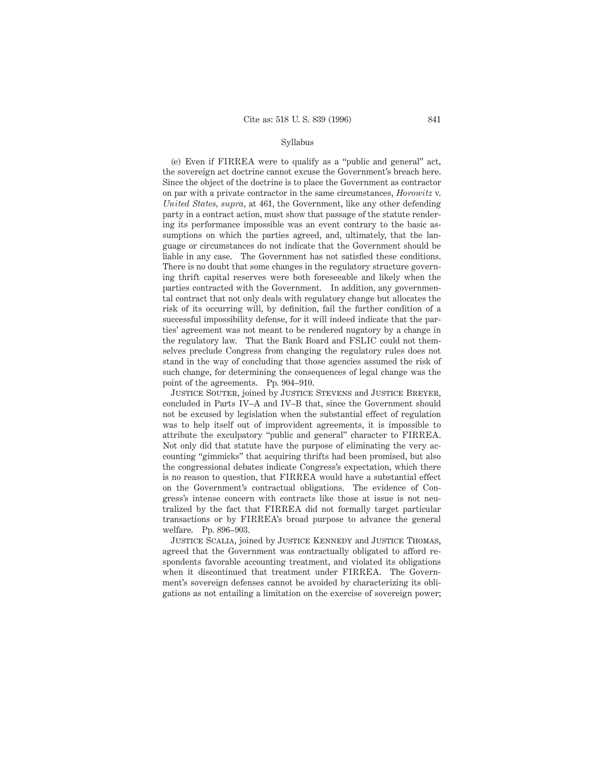(e) Even if FIRREA were to qualify as a "public and general" act, the sovereign act doctrine cannot excuse the Government's breach here. Since the object of the doctrine is to place the Government as contractor on par with a private contractor in the same circumstances, *Horowitz* v. *United States, supra,* at 461, the Government, like any other defending party in a contract action, must show that passage of the statute rendering its performance impossible was an event contrary to the basic assumptions on which the parties agreed, and, ultimately, that the language or circumstances do not indicate that the Government should be liable in any case. The Government has not satisfied these conditions. There is no doubt that some changes in the regulatory structure governing thrift capital reserves were both foreseeable and likely when the parties contracted with the Government. In addition, any governmental contract that not only deals with regulatory change but allocates the risk of its occurring will, by definition, fail the further condition of a successful impossibility defense, for it will indeed indicate that the parties' agreement was not meant to be rendered nugatory by a change in the regulatory law. That the Bank Board and FSLIC could not themselves preclude Congress from changing the regulatory rules does not stand in the way of concluding that those agencies assumed the risk of such change, for determining the consequences of legal change was the point of the agreements. Pp. 904–910.

Justice Souter, joined by Justice Stevens and Justice Breyer, concluded in Parts IV–A and IV–B that, since the Government should not be excused by legislation when the substantial effect of regulation was to help itself out of improvident agreements, it is impossible to attribute the exculpatory "public and general" character to FIRREA. Not only did that statute have the purpose of eliminating the very accounting "gimmicks" that acquiring thrifts had been promised, but also the congressional debates indicate Congress's expectation, which there is no reason to question, that FIRREA would have a substantial effect on the Government's contractual obligations. The evidence of Congress's intense concern with contracts like those at issue is not neutralized by the fact that FIRREA did not formally target particular transactions or by FIRREA's broad purpose to advance the general welfare. Pp. 896–903.

Justice Scalia, joined by Justice Kennedy and Justice Thomas, agreed that the Government was contractually obligated to afford respondents favorable accounting treatment, and violated its obligations when it discontinued that treatment under FIRREA. The Government's sovereign defenses cannot be avoided by characterizing its obligations as not entailing a limitation on the exercise of sovereign power;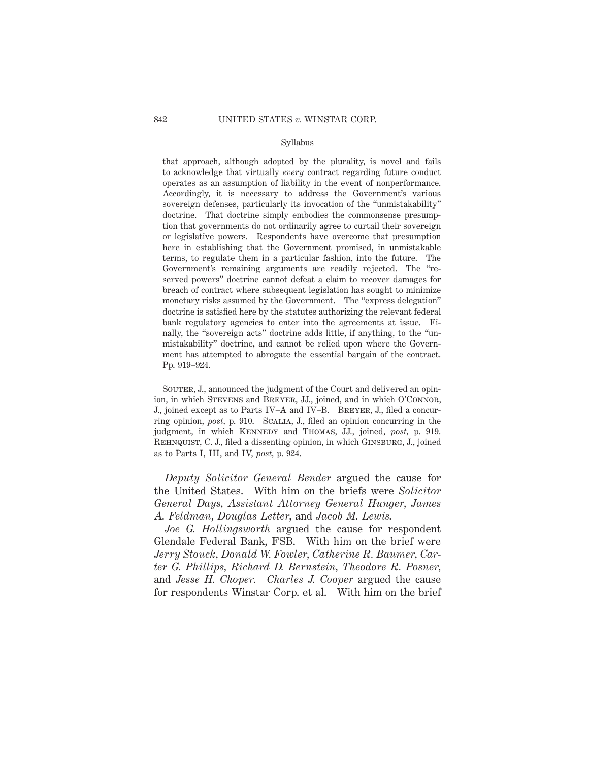that approach, although adopted by the plurality, is novel and fails to acknowledge that virtually *every* contract regarding future conduct operates as an assumption of liability in the event of nonperformance. Accordingly, it is necessary to address the Government's various sovereign defenses, particularly its invocation of the "unmistakability" doctrine. That doctrine simply embodies the commonsense presumption that governments do not ordinarily agree to curtail their sovereign or legislative powers. Respondents have overcome that presumption here in establishing that the Government promised, in unmistakable terms, to regulate them in a particular fashion, into the future. The Government's remaining arguments are readily rejected. The "reserved powers" doctrine cannot defeat a claim to recover damages for breach of contract where subsequent legislation has sought to minimize monetary risks assumed by the Government. The "express delegation" doctrine is satisfied here by the statutes authorizing the relevant federal bank regulatory agencies to enter into the agreements at issue. Finally, the "sovereign acts" doctrine adds little, if anything, to the "unmistakability" doctrine, and cannot be relied upon where the Government has attempted to abrogate the essential bargain of the contract. Pp. 919–924.

SOUTER, J., announced the judgment of the Court and delivered an opinion, in which Stevens and Breyer, JJ., joined, and in which O'Connor, J., joined except as to Parts IV–A and IV–B. Breyer, J., filed a concurring opinion, *post,* p. 910. Scalia, J., filed an opinion concurring in the judgment, in which Kennedy and Thomas, JJ., joined, *post,* p. 919. Rehnquist, C. J., filed a dissenting opinion, in which Ginsburg, J., joined as to Parts I, III, and IV, *post,* p. 924.

*Deputy Solicitor General Bender* argued the cause for the United States. With him on the briefs were *Solicitor General Days, Assistant Attorney General Hunger, James A. Feldman, Douglas Letter,* and *Jacob M. Lewis.*

*Joe G. Hollingsworth* argued the cause for respondent Glendale Federal Bank, FSB. With him on the brief were *Jerry Stouck, Donald W. Fowler, Catherine R. Baumer, Carter G. Phillips, Richard D. Bernstein, Theodore R. Posner,* and *Jesse H. Choper. Charles J. Cooper* argued the cause for respondents Winstar Corp. et al. With him on the brief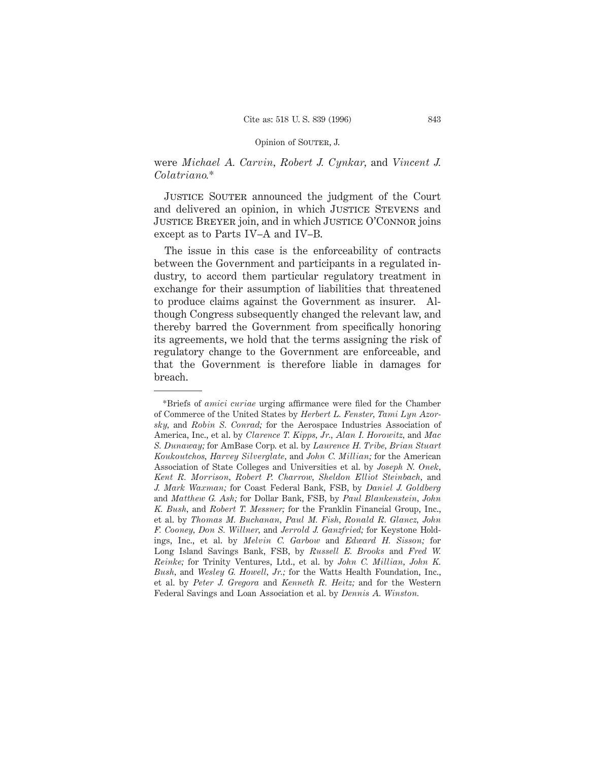# were *Michael A. Carvin, Robert J. Cynkar,* and *Vincent J. Colatriano.*\*

JUSTICE SOUTER announced the judgment of the Court and delivered an opinion, in which JUSTICE STEVENS and JUSTICE BREYER join, and in which JUSTICE O'CONNOR joins except as to Parts IV–A and IV–B.

The issue in this case is the enforceability of contracts between the Government and participants in a regulated industry, to accord them particular regulatory treatment in exchange for their assumption of liabilities that threatened to produce claims against the Government as insurer. Although Congress subsequently changed the relevant law, and thereby barred the Government from specifically honoring its agreements, we hold that the terms assigning the risk of regulatory change to the Government are enforceable, and that the Government is therefore liable in damages for breach.

<sup>\*</sup>Briefs of *amici curiae* urging affirmance were filed for the Chamber of Commerce of the United States by *Herbert L. Fenster, Tami Lyn Azorsky,* and *Robin S. Conrad;* for the Aerospace Industries Association of America, Inc., et al. by *Clarence T. Kipps, Jr., Alan I. Horowitz,* and *Mac S. Dunaway;* for AmBase Corp. et al. by *Laurence H. Tribe, Brian Stuart Koukoutchos, Harvey Silverglate,* and *John C. Millian;* for the American Association of State Colleges and Universities et al. by *Joseph N. Onek, Kent R. Morrison, Robert P. Charrow, Sheldon Elliot Steinbach,* and *J. Mark Waxman;* for Coast Federal Bank, FSB, by *Daniel J. Goldberg* and *Matthew G. Ash;* for Dollar Bank, FSB, by *Paul Blankenstein, John K. Bush,* and *Robert T. Messner;* for the Franklin Financial Group, Inc., et al. by *Thomas M. Buchanan, Paul M. Fish, Ronald R. Glancz, John F. Cooney, Don S. Willner,* and *Jerrold J. Ganzfried;* for Keystone Holdings, Inc., et al. by *Melvin C. Garbow* and *Edward H. Sisson;* for Long Island Savings Bank, FSB, by *Russell E. Brooks* and *Fred W. Reinke;* for Trinity Ventures, Ltd., et al. by *John C. Millian, John K. Bush,* and *Wesley G. Howell, Jr.;* for the Watts Health Foundation, Inc., et al. by *Peter J. Gregora* and *Kenneth R. Heitz;* and for the Western Federal Savings and Loan Association et al. by *Dennis A. Winston.*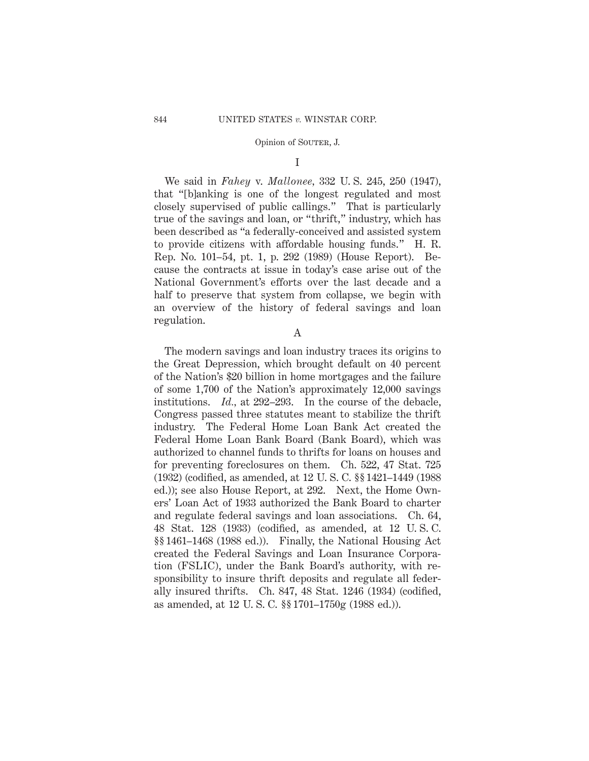# I

We said in *Fahey* v. *Mallonee,* 332 U. S. 245, 250 (1947), that "[b]anking is one of the longest regulated and most closely supervised of public callings." That is particularly true of the savings and loan, or "thrift," industry, which has been described as "a federally-conceived and assisted system to provide citizens with affordable housing funds." H. R. Rep. No. 101–54, pt. 1, p. 292 (1989) (House Report). Because the contracts at issue in today's case arise out of the National Government's efforts over the last decade and a half to preserve that system from collapse, we begin with an overview of the history of federal savings and loan regulation.

A

The modern savings and loan industry traces its origins to the Great Depression, which brought default on 40 percent of the Nation's \$20 billion in home mortgages and the failure of some 1,700 of the Nation's approximately 12,000 savings institutions. *Id.,* at 292–293. In the course of the debacle, Congress passed three statutes meant to stabilize the thrift industry. The Federal Home Loan Bank Act created the Federal Home Loan Bank Board (Bank Board), which was authorized to channel funds to thrifts for loans on houses and for preventing foreclosures on them. Ch. 522, 47 Stat. 725 (1932) (codified, as amended, at 12 U. S. C. §§ 1421–1449 (1988 ed.)); see also House Report, at 292. Next, the Home Owners' Loan Act of 1933 authorized the Bank Board to charter and regulate federal savings and loan associations. Ch. 64, 48 Stat. 128 (1933) (codified, as amended, at 12 U. S. C. §§ 1461–1468 (1988 ed.)). Finally, the National Housing Act created the Federal Savings and Loan Insurance Corporation (FSLIC), under the Bank Board's authority, with responsibility to insure thrift deposits and regulate all federally insured thrifts. Ch. 847, 48 Stat. 1246 (1934) (codified, as amended, at 12 U. S. C. §§ 1701–1750g (1988 ed.)).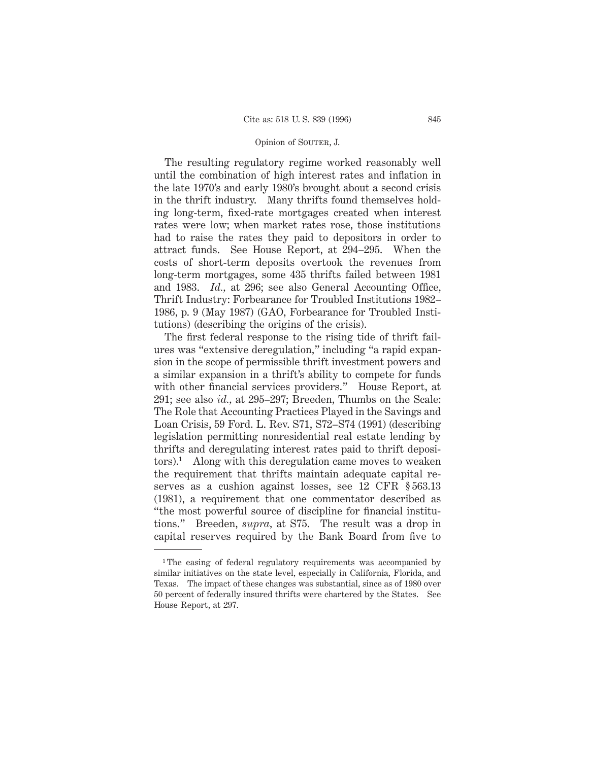The resulting regulatory regime worked reasonably well until the combination of high interest rates and inflation in the late 1970's and early 1980's brought about a second crisis in the thrift industry. Many thrifts found themselves holding long-term, fixed-rate mortgages created when interest rates were low; when market rates rose, those institutions had to raise the rates they paid to depositors in order to attract funds. See House Report, at 294–295. When the costs of short-term deposits overtook the revenues from long-term mortgages, some 435 thrifts failed between 1981 and 1983. *Id.,* at 296; see also General Accounting Office, Thrift Industry: Forbearance for Troubled Institutions 1982– 1986, p. 9 (May 1987) (GAO, Forbearance for Troubled Institutions) (describing the origins of the crisis).

The first federal response to the rising tide of thrift failures was "extensive deregulation," including "a rapid expansion in the scope of permissible thrift investment powers and a similar expansion in a thrift's ability to compete for funds with other financial services providers." House Report, at 291; see also *id.,* at 295–297; Breeden, Thumbs on the Scale: The Role that Accounting Practices Played in the Savings and Loan Crisis, 59 Ford. L. Rev. S71, S72–S74 (1991) (describing legislation permitting nonresidential real estate lending by thrifts and deregulating interest rates paid to thrift deposi $tors$ ).<sup>1</sup> Along with this deregulation came moves to weaken the requirement that thrifts maintain adequate capital reserves as a cushion against losses, see 12 CFR § 563.13 (1981), a requirement that one commentator described as "the most powerful source of discipline for financial institutions." Breeden, *supra,* at S75. The result was a drop in capital reserves required by the Bank Board from five to

<sup>1</sup> The easing of federal regulatory requirements was accompanied by similar initiatives on the state level, especially in California, Florida, and Texas. The impact of these changes was substantial, since as of 1980 over 50 percent of federally insured thrifts were chartered by the States. See House Report, at 297.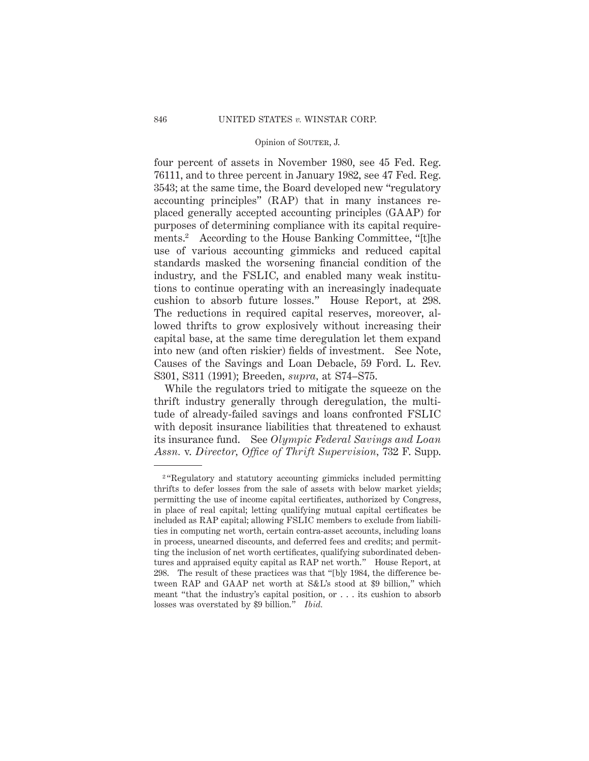four percent of assets in November 1980, see 45 Fed. Reg. 76111, and to three percent in January 1982, see 47 Fed. Reg. 3543; at the same time, the Board developed new "regulatory accounting principles" (RAP) that in many instances replaced generally accepted accounting principles (GAAP) for purposes of determining compliance with its capital requirements.2 According to the House Banking Committee, "[t]he use of various accounting gimmicks and reduced capital standards masked the worsening financial condition of the industry, and the FSLIC, and enabled many weak institutions to continue operating with an increasingly inadequate cushion to absorb future losses." House Report, at 298. The reductions in required capital reserves, moreover, allowed thrifts to grow explosively without increasing their capital base, at the same time deregulation let them expand into new (and often riskier) fields of investment. See Note, Causes of the Savings and Loan Debacle, 59 Ford. L. Rev. S301, S311 (1991); Breeden, *supra,* at S74–S75.

While the regulators tried to mitigate the squeeze on the thrift industry generally through deregulation, the multitude of already-failed savings and loans confronted FSLIC with deposit insurance liabilities that threatened to exhaust its insurance fund. See *Olympic Federal Savings and Loan Assn.* v. *Director, Office of Thrift Supervision,* 732 F. Supp.

<sup>2</sup> "Regulatory and statutory accounting gimmicks included permitting thrifts to defer losses from the sale of assets with below market yields; permitting the use of income capital certificates, authorized by Congress, in place of real capital; letting qualifying mutual capital certificates be included as RAP capital; allowing FSLIC members to exclude from liabilities in computing net worth, certain contra-asset accounts, including loans in process, unearned discounts, and deferred fees and credits; and permitting the inclusion of net worth certificates, qualifying subordinated debentures and appraised equity capital as RAP net worth." House Report, at 298. The result of these practices was that "[b]y 1984, the difference between RAP and GAAP net worth at S&L's stood at \$9 billion," which meant "that the industry's capital position, or . . . its cushion to absorb losses was overstated by \$9 billion." *Ibid.*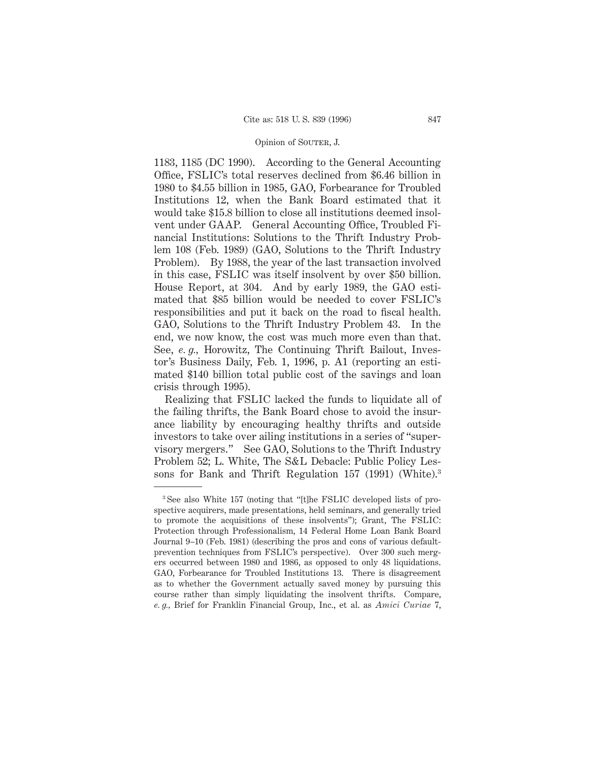1183, 1185 (DC 1990). According to the General Accounting Office, FSLIC's total reserves declined from \$6.46 billion in 1980 to \$4.55 billion in 1985, GAO, Forbearance for Troubled Institutions 12, when the Bank Board estimated that it would take \$15.8 billion to close all institutions deemed insolvent under GAAP. General Accounting Office, Troubled Financial Institutions: Solutions to the Thrift Industry Problem 108 (Feb. 1989) (GAO, Solutions to the Thrift Industry Problem). By 1988, the year of the last transaction involved in this case, FSLIC was itself insolvent by over \$50 billion. House Report, at 304. And by early 1989, the GAO estimated that \$85 billion would be needed to cover FSLIC's responsibilities and put it back on the road to fiscal health. GAO, Solutions to the Thrift Industry Problem 43. In the end, we now know, the cost was much more even than that. See, *e. g.,* Horowitz, The Continuing Thrift Bailout, Investor's Business Daily, Feb. 1, 1996, p. A1 (reporting an estimated \$140 billion total public cost of the savings and loan crisis through 1995).

Realizing that FSLIC lacked the funds to liquidate all of the failing thrifts, the Bank Board chose to avoid the insurance liability by encouraging healthy thrifts and outside investors to take over ailing institutions in a series of "supervisory mergers." See GAO, Solutions to the Thrift Industry Problem 52; L. White, The S&L Debacle: Public Policy Lessons for Bank and Thrift Regulation 157 (1991) (White).<sup>3</sup>

<sup>3</sup> See also White 157 (noting that "[t]he FSLIC developed lists of prospective acquirers, made presentations, held seminars, and generally tried to promote the acquisitions of these insolvents"); Grant, The FSLIC: Protection through Professionalism, 14 Federal Home Loan Bank Board Journal 9–10 (Feb. 1981) (describing the pros and cons of various defaultprevention techniques from FSLIC's perspective). Over 300 such mergers occurred between 1980 and 1986, as opposed to only 48 liquidations. GAO, Forbearance for Troubled Institutions 13. There is disagreement as to whether the Government actually saved money by pursuing this course rather than simply liquidating the insolvent thrifts. Compare, *e. g.,* Brief for Franklin Financial Group, Inc., et al. as *Amici Curiae* 7,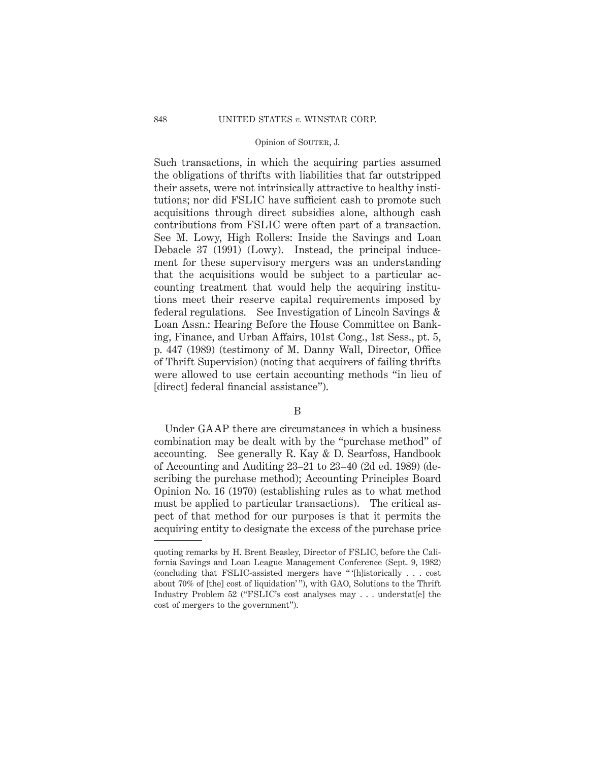Such transactions, in which the acquiring parties assumed the obligations of thrifts with liabilities that far outstripped their assets, were not intrinsically attractive to healthy institutions; nor did FSLIC have sufficient cash to promote such acquisitions through direct subsidies alone, although cash contributions from FSLIC were often part of a transaction. See M. Lowy, High Rollers: Inside the Savings and Loan Debacle 37 (1991) (Lowy). Instead, the principal inducement for these supervisory mergers was an understanding that the acquisitions would be subject to a particular accounting treatment that would help the acquiring institutions meet their reserve capital requirements imposed by federal regulations. See Investigation of Lincoln Savings & Loan Assn.: Hearing Before the House Committee on Banking, Finance, and Urban Affairs, 101st Cong., 1st Sess., pt. 5, p. 447 (1989) (testimony of M. Danny Wall, Director, Office of Thrift Supervision) (noting that acquirers of failing thrifts were allowed to use certain accounting methods "in lieu of [direct] federal financial assistance").

B

Under GAAP there are circumstances in which a business combination may be dealt with by the "purchase method" of accounting. See generally R. Kay & D. Searfoss, Handbook of Accounting and Auditing 23–21 to 23–40 (2d ed. 1989) (describing the purchase method); Accounting Principles Board Opinion No. 16 (1970) (establishing rules as to what method must be applied to particular transactions). The critical aspect of that method for our purposes is that it permits the acquiring entity to designate the excess of the purchase price

quoting remarks by H. Brent Beasley, Director of FSLIC, before the California Savings and Loan League Management Conference (Sept. 9, 1982) (concluding that FSLIC-assisted mergers have " '[h]istorically... cost about 70% of [the] cost of liquidation' "), with GAO, Solutions to the Thrift Industry Problem 52 ("FSLIC's cost analyses may . . . understat[e] the cost of mergers to the government").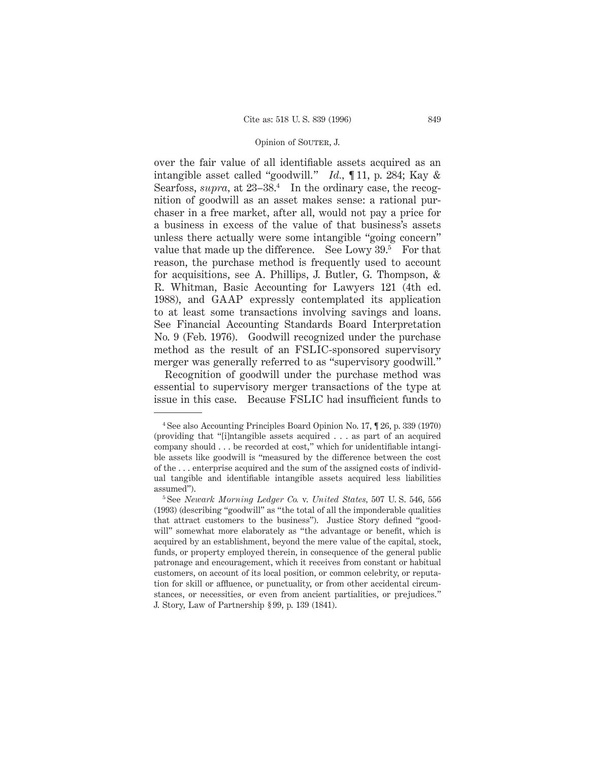over the fair value of all identifiable assets acquired as an intangible asset called "goodwill." *Id.,* ¶ 11, p. 284; Kay & Searfoss, *supra*, at 23–38.<sup>4</sup> In the ordinary case, the recognition of goodwill as an asset makes sense: a rational purchaser in a free market, after all, would not pay a price for a business in excess of the value of that business's assets unless there actually were some intangible "going concern" value that made up the difference. See Lowy  $39<sup>5</sup>$  For that reason, the purchase method is frequently used to account for acquisitions, see A. Phillips, J. Butler, G. Thompson, & R. Whitman, Basic Accounting for Lawyers 121 (4th ed. 1988), and GAAP expressly contemplated its application to at least some transactions involving savings and loans. See Financial Accounting Standards Board Interpretation No. 9 (Feb. 1976). Goodwill recognized under the purchase method as the result of an FSLIC-sponsored supervisory merger was generally referred to as "supervisory goodwill."

Recognition of goodwill under the purchase method was essential to supervisory merger transactions of the type at issue in this case. Because FSLIC had insufficient funds to

<sup>4</sup> See also Accounting Principles Board Opinion No. 17, ¶ 26, p. 339 (1970) (providing that "[i]ntangible assets acquired . . . as part of an acquired company should . . . be recorded at cost," which for unidentifiable intangible assets like goodwill is "measured by the difference between the cost of the . . . enterprise acquired and the sum of the assigned costs of individual tangible and identifiable intangible assets acquired less liabilities assumed").

<sup>5</sup> See *Newark Morning Ledger Co.* v. *United States,* 507 U. S. 546, 556 (1993) (describing "goodwill" as "the total of all the imponderable qualities that attract customers to the business"). Justice Story defined "goodwill" somewhat more elaborately as "the advantage or benefit, which is acquired by an establishment, beyond the mere value of the capital, stock, funds, or property employed therein, in consequence of the general public patronage and encouragement, which it receives from constant or habitual customers, on account of its local position, or common celebrity, or reputation for skill or affluence, or punctuality, or from other accidental circumstances, or necessities, or even from ancient partialities, or prejudices." J. Story, Law of Partnership § 99, p. 139 (1841).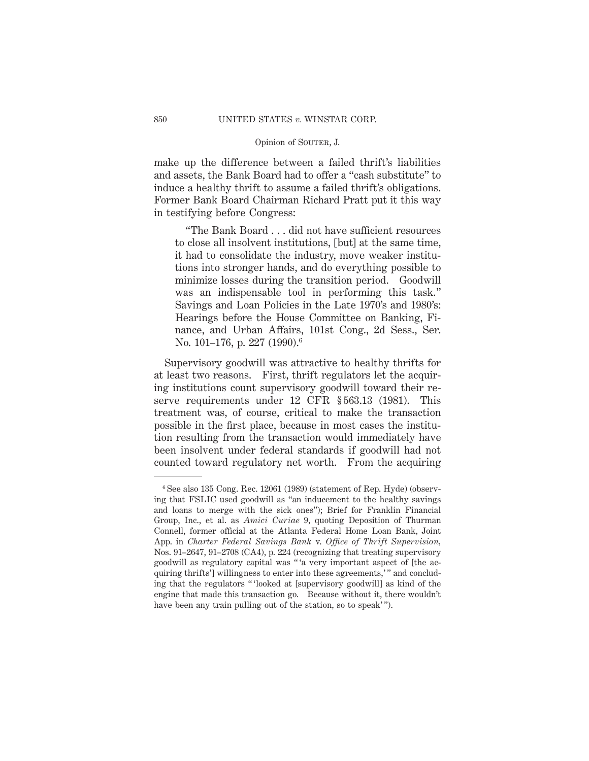make up the difference between a failed thrift's liabilities and assets, the Bank Board had to offer a "cash substitute" to induce a healthy thrift to assume a failed thrift's obligations. Former Bank Board Chairman Richard Pratt put it this way in testifying before Congress:

"The Bank Board . . . did not have sufficient resources to close all insolvent institutions, [but] at the same time, it had to consolidate the industry, move weaker institutions into stronger hands, and do everything possible to minimize losses during the transition period. Goodwill was an indispensable tool in performing this task." Savings and Loan Policies in the Late 1970's and 1980's: Hearings before the House Committee on Banking, Finance, and Urban Affairs, 101st Cong., 2d Sess., Ser. No. 101–176, p. 227 (1990).<sup>6</sup>

Supervisory goodwill was attractive to healthy thrifts for at least two reasons. First, thrift regulators let the acquiring institutions count supervisory goodwill toward their reserve requirements under 12 CFR § 563.13 (1981). This treatment was, of course, critical to make the transaction possible in the first place, because in most cases the institution resulting from the transaction would immediately have been insolvent under federal standards if goodwill had not counted toward regulatory net worth. From the acquiring

<sup>6</sup> See also 135 Cong. Rec. 12061 (1989) (statement of Rep. Hyde) (observing that FSLIC used goodwill as "an inducement to the healthy savings and loans to merge with the sick ones"); Brief for Franklin Financial Group, Inc., et al. as *Amici Curiae* 9, quoting Deposition of Thurman Connell, former official at the Atlanta Federal Home Loan Bank, Joint App. in *Charter Federal Savings Bank* v. *Office of Thrift Supervision,* Nos. 91–2647, 91–2708 (CA4), p. 224 (recognizing that treating supervisory goodwill as regulatory capital was " 'a very important aspect of [the acquiring thrifts'] willingness to enter into these agreements,' " and concluding that the regulators " 'looked at [supervisory goodwill] as kind of the engine that made this transaction go. Because without it, there wouldn't have been any train pulling out of the station, so to speak'").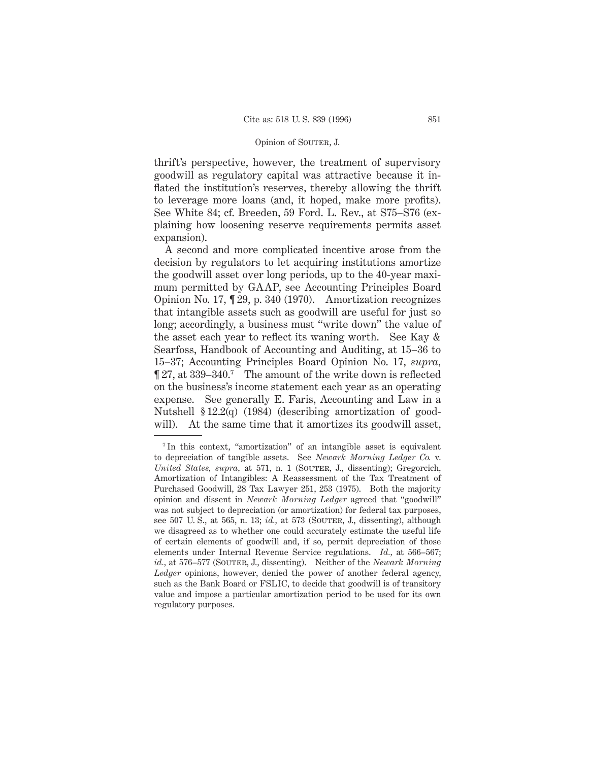thrift's perspective, however, the treatment of supervisory goodwill as regulatory capital was attractive because it inflated the institution's reserves, thereby allowing the thrift to leverage more loans (and, it hoped, make more profits). See White 84; cf. Breeden, 59 Ford. L. Rev., at S75–S76 (explaining how loosening reserve requirements permits asset expansion).

A second and more complicated incentive arose from the decision by regulators to let acquiring institutions amortize the goodwill asset over long periods, up to the 40-year maximum permitted by GAAP, see Accounting Principles Board Opinion No. 17, ¶ 29, p. 340 (1970). Amortization recognizes that intangible assets such as goodwill are useful for just so long; accordingly, a business must "write down" the value of the asset each year to reflect its waning worth. See Kay & Searfoss, Handbook of Accounting and Auditing, at 15–36 to 15–37; Accounting Principles Board Opinion No. 17, *supra,* ¶ 27, at 339–340.7 The amount of the write down is reflected on the business's income statement each year as an operating expense. See generally E. Faris, Accounting and Law in a Nutshell § 12.2(q) (1984) (describing amortization of goodwill). At the same time that it amortizes its goodwill asset,

<sup>7</sup> In this context, "amortization" of an intangible asset is equivalent to depreciation of tangible assets. See *Newark Morning Ledger Co.* v. *United States, supra, at 571, n. 1 (SOUTER, J., dissenting); Gregorcich,* Amortization of Intangibles: A Reassessment of the Tax Treatment of Purchased Goodwill, 28 Tax Lawyer 251, 253 (1975). Both the majority opinion and dissent in *Newark Morning Ledger* agreed that "goodwill" was not subject to depreciation (or amortization) for federal tax purposes, see 507 U. S., at 565, n. 13; *id.,* at 573 (Souter, J., dissenting), although we disagreed as to whether one could accurately estimate the useful life of certain elements of goodwill and, if so, permit depreciation of those elements under Internal Revenue Service regulations. *Id.,* at 566–567; *id.*, at 576–577 (SOUTER, J., dissenting). Neither of the *Newark Morning Ledger* opinions, however, denied the power of another federal agency, such as the Bank Board or FSLIC, to decide that goodwill is of transitory value and impose a particular amortization period to be used for its own regulatory purposes.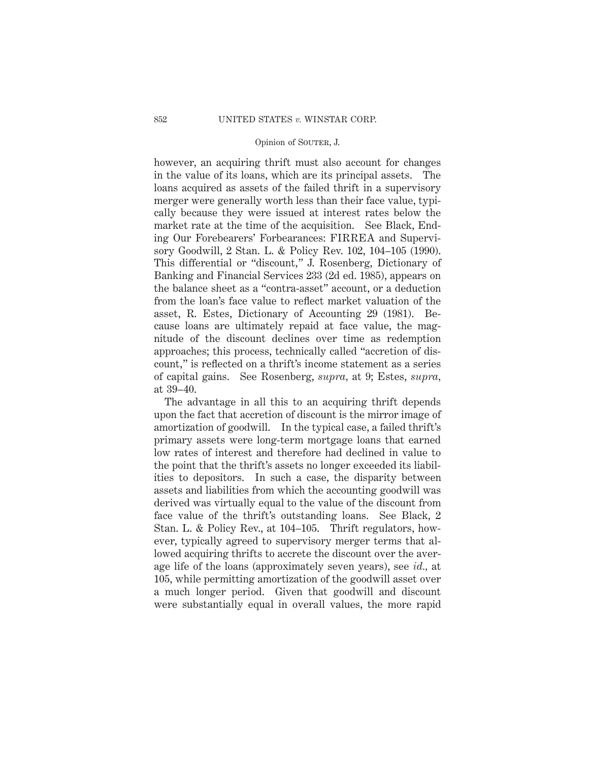however, an acquiring thrift must also account for changes in the value of its loans, which are its principal assets. The loans acquired as assets of the failed thrift in a supervisory merger were generally worth less than their face value, typically because they were issued at interest rates below the market rate at the time of the acquisition. See Black, Ending Our Forebearers' Forbearances: FIRREA and Supervisory Goodwill, 2 Stan. L. & Policy Rev. 102, 104–105 (1990). This differential or "discount," J. Rosenberg, Dictionary of Banking and Financial Services 233 (2d ed. 1985), appears on the balance sheet as a "contra-asset" account, or a deduction from the loan's face value to reflect market valuation of the asset, R. Estes, Dictionary of Accounting 29 (1981). Because loans are ultimately repaid at face value, the magnitude of the discount declines over time as redemption approaches; this process, technically called "accretion of discount," is reflected on a thrift's income statement as a series of capital gains. See Rosenberg, *supra,* at 9; Estes, *supra,* at 39–40.

The advantage in all this to an acquiring thrift depends upon the fact that accretion of discount is the mirror image of amortization of goodwill. In the typical case, a failed thrift's primary assets were long-term mortgage loans that earned low rates of interest and therefore had declined in value to the point that the thrift's assets no longer exceeded its liabilities to depositors. In such a case, the disparity between assets and liabilities from which the accounting goodwill was derived was virtually equal to the value of the discount from face value of the thrift's outstanding loans. See Black, 2 Stan. L. & Policy Rev., at 104–105. Thrift regulators, however, typically agreed to supervisory merger terms that allowed acquiring thrifts to accrete the discount over the average life of the loans (approximately seven years), see *id.,* at 105, while permitting amortization of the goodwill asset over a much longer period. Given that goodwill and discount were substantially equal in overall values, the more rapid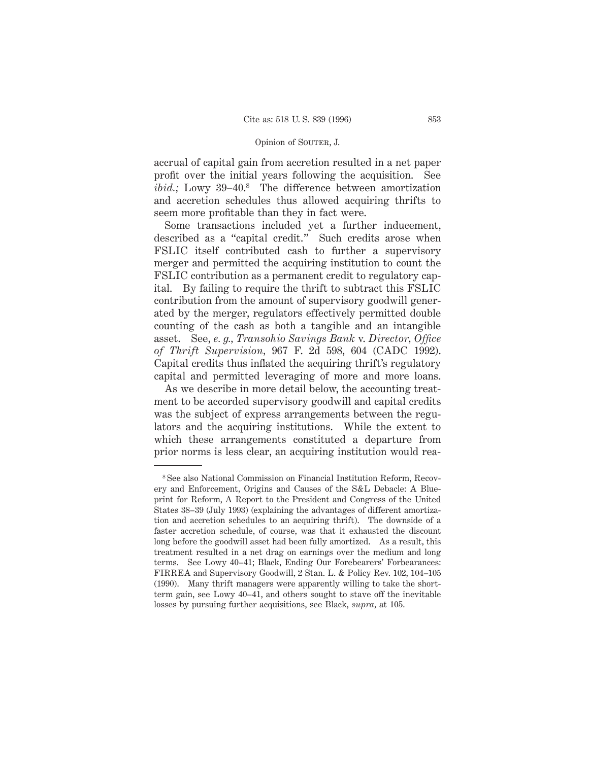accrual of capital gain from accretion resulted in a net paper profit over the initial years following the acquisition. See *ibid.*; Lowy 39–40.<sup>8</sup> The difference between amortization and accretion schedules thus allowed acquiring thrifts to seem more profitable than they in fact were.

Some transactions included yet a further inducement, described as a "capital credit." Such credits arose when FSLIC itself contributed cash to further a supervisory merger and permitted the acquiring institution to count the FSLIC contribution as a permanent credit to regulatory capital. By failing to require the thrift to subtract this FSLIC contribution from the amount of supervisory goodwill generated by the merger, regulators effectively permitted double counting of the cash as both a tangible and an intangible asset. See, *e. g., Transohio Savings Bank* v. *Director, Office of Thrift Supervision,* 967 F. 2d 598, 604 (CADC 1992). Capital credits thus inflated the acquiring thrift's regulatory capital and permitted leveraging of more and more loans.

As we describe in more detail below, the accounting treatment to be accorded supervisory goodwill and capital credits was the subject of express arrangements between the regulators and the acquiring institutions. While the extent to which these arrangements constituted a departure from prior norms is less clear, an acquiring institution would rea-

<sup>8</sup> See also National Commission on Financial Institution Reform, Recovery and Enforcement, Origins and Causes of the S&L Debacle: A Blueprint for Reform, A Report to the President and Congress of the United States 38–39 (July 1993) (explaining the advantages of different amortization and accretion schedules to an acquiring thrift). The downside of a faster accretion schedule, of course, was that it exhausted the discount long before the goodwill asset had been fully amortized. As a result, this treatment resulted in a net drag on earnings over the medium and long terms. See Lowy 40–41; Black, Ending Our Forebearers' Forbearances: FIRREA and Supervisory Goodwill, 2 Stan. L. & Policy Rev. 102, 104–105 (1990). Many thrift managers were apparently willing to take the shortterm gain, see Lowy 40–41, and others sought to stave off the inevitable losses by pursuing further acquisitions, see Black, *supra,* at 105.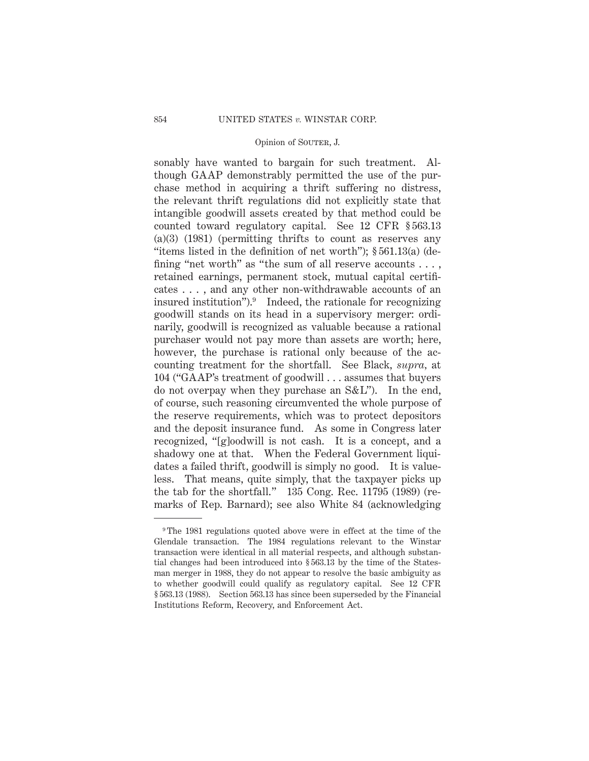sonably have wanted to bargain for such treatment. Although GAAP demonstrably permitted the use of the purchase method in acquiring a thrift suffering no distress, the relevant thrift regulations did not explicitly state that intangible goodwill assets created by that method could be counted toward regulatory capital. See 12 CFR § 563.13 (a)(3) (1981) (permitting thrifts to count as reserves any "items listed in the definition of net worth"); § 561.13(a) (defining "net worth" as "the sum of all reserve accounts  $\dots$ , retained earnings, permanent stock, mutual capital certificates . . . , and any other non-withdrawable accounts of an insured institution"). Indeed, the rationale for recognizing goodwill stands on its head in a supervisory merger: ordinarily, goodwill is recognized as valuable because a rational purchaser would not pay more than assets are worth; here, however, the purchase is rational only because of the accounting treatment for the shortfall. See Black, *supra,* at 104 ("GAAP's treatment of goodwill . . . assumes that buyers do not overpay when they purchase an S&L"). In the end, of course, such reasoning circumvented the whole purpose of the reserve requirements, which was to protect depositors and the deposit insurance fund. As some in Congress later recognized, "[g]oodwill is not cash. It is a concept, and a shadowy one at that. When the Federal Government liquidates a failed thrift, goodwill is simply no good. It is valueless. That means, quite simply, that the taxpayer picks up the tab for the shortfall." 135 Cong. Rec. 11795 (1989) (remarks of Rep. Barnard); see also White 84 (acknowledging

<sup>&</sup>lt;sup>9</sup>The 1981 regulations quoted above were in effect at the time of the Glendale transaction. The 1984 regulations relevant to the Winstar transaction were identical in all material respects, and although substantial changes had been introduced into § 563.13 by the time of the Statesman merger in 1988, they do not appear to resolve the basic ambiguity as to whether goodwill could qualify as regulatory capital. See 12 CFR § 563.13 (1988). Section 563.13 has since been superseded by the Financial Institutions Reform, Recovery, and Enforcement Act.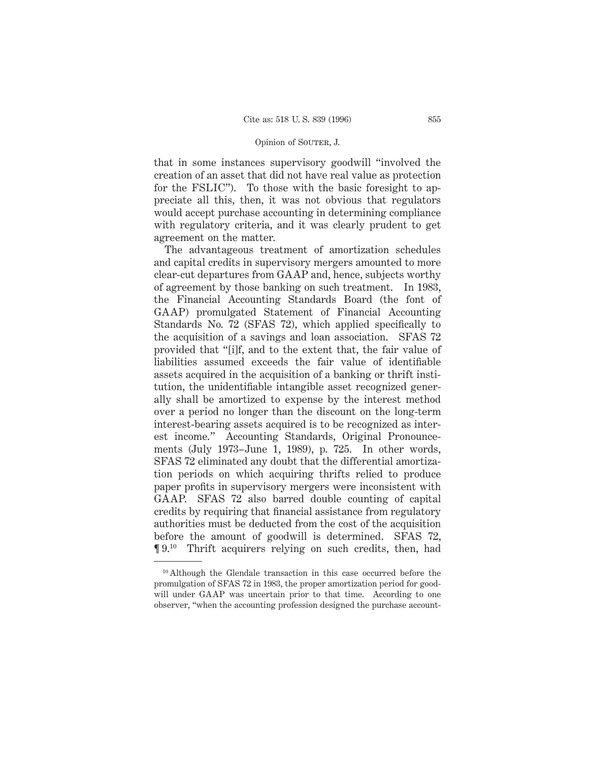that in some instances supervisory goodwill "involved the creation of an asset that did not have real value as protection for the FSLIC"). To those with the basic foresight to appreciate all this, then, it was not obvious that regulators would accept purchase accounting in determining compliance with regulatory criteria, and it was clearly prudent to get agreement on the matter.

The advantageous treatment of amortization schedules and capital credits in supervisory mergers amounted to more clear-cut departures from GAAP and, hence, subjects worthy of agreement by those banking on such treatment. In 1983, the Financial Accounting Standards Board (the font of GAAP) promulgated Statement of Financial Accounting Standards No. 72 (SFAS 72), which applied specifically to the acquisition of a savings and loan association. SFAS 72 provided that "[i]f, and to the extent that, the fair value of liabilities assumed exceeds the fair value of identifiable assets acquired in the acquisition of a banking or thrift institution, the unidentifiable intangible asset recognized generally shall be amortized to expense by the interest method over a period no longer than the discount on the long-term interest-bearing assets acquired is to be recognized as interest income." Accounting Standards, Original Pronouncements (July 1973–June 1, 1989), p. 725. In other words, SFAS 72 eliminated any doubt that the differential amortization periods on which acquiring thrifts relied to produce paper profits in supervisory mergers were inconsistent with GAAP. SFAS 72 also barred double counting of capital credits by requiring that financial assistance from regulatory authorities must be deducted from the cost of the acquisition before the amount of goodwill is determined. SFAS 72, ¶ 9.10 Thrift acquirers relying on such credits, then, had

<sup>10</sup> Although the Glendale transaction in this case occurred before the promulgation of SFAS 72 in 1983, the proper amortization period for goodwill under GAAP was uncertain prior to that time. According to one observer, "when the accounting profession designed the purchase account-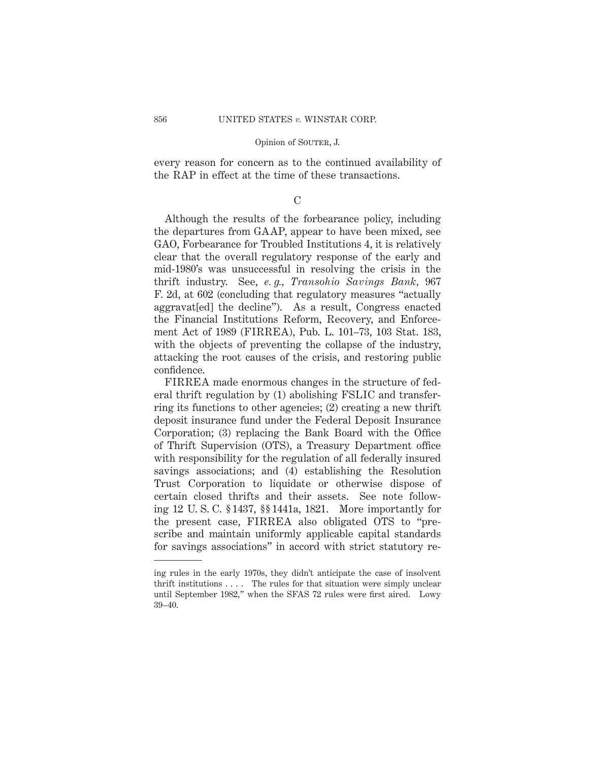every reason for concern as to the continued availability of the RAP in effect at the time of these transactions.

# $\mathcal{C}$

Although the results of the forbearance policy, including the departures from GAAP, appear to have been mixed, see GAO, Forbearance for Troubled Institutions 4, it is relatively clear that the overall regulatory response of the early and mid-1980's was unsuccessful in resolving the crisis in the thrift industry. See, *e. g., Transohio Savings Bank,* 967 F. 2d, at 602 (concluding that regulatory measures "actually aggravat[ed] the decline"). As a result, Congress enacted the Financial Institutions Reform, Recovery, and Enforcement Act of 1989 (FIRREA), Pub. L. 101–73, 103 Stat. 183, with the objects of preventing the collapse of the industry, attacking the root causes of the crisis, and restoring public confidence.

FIRREA made enormous changes in the structure of federal thrift regulation by (1) abolishing FSLIC and transferring its functions to other agencies; (2) creating a new thrift deposit insurance fund under the Federal Deposit Insurance Corporation; (3) replacing the Bank Board with the Office of Thrift Supervision (OTS), a Treasury Department office with responsibility for the regulation of all federally insured savings associations; and (4) establishing the Resolution Trust Corporation to liquidate or otherwise dispose of certain closed thrifts and their assets. See note following 12 U. S. C. § 1437, §§ 1441a, 1821. More importantly for the present case, FIRREA also obligated OTS to "prescribe and maintain uniformly applicable capital standards for savings associations" in accord with strict statutory re-

ing rules in the early 1970s, they didn't anticipate the case of insolvent thrift institutions . . . . The rules for that situation were simply unclear until September 1982," when the SFAS 72 rules were first aired. Lowy 39–40.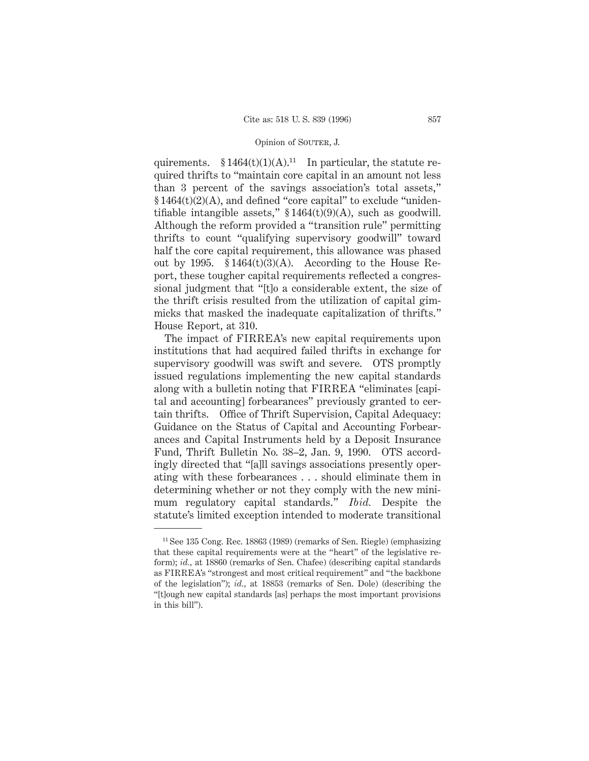quirements.  $$1464(t)(1)(A).$ <sup>11</sup> In particular, the statute required thrifts to "maintain core capital in an amount not less than 3 percent of the savings association's total assets," § 1464(t)(2)(A), and defined "core capital" to exclude "unidentifiable intangible assets," § 1464(t)(9)(A), such as goodwill. Although the reform provided a "transition rule" permitting thrifts to count "qualifying supervisory goodwill" toward half the core capital requirement, this allowance was phased out by 1995. § 1464 $(t)(3)(A)$ . According to the House Report, these tougher capital requirements reflected a congressional judgment that "[t]o a considerable extent, the size of the thrift crisis resulted from the utilization of capital gimmicks that masked the inadequate capitalization of thrifts." House Report, at 310.

The impact of FIRREA's new capital requirements upon institutions that had acquired failed thrifts in exchange for supervisory goodwill was swift and severe. OTS promptly issued regulations implementing the new capital standards along with a bulletin noting that FIRREA "eliminates [capital and accounting] forbearances" previously granted to certain thrifts. Office of Thrift Supervision, Capital Adequacy: Guidance on the Status of Capital and Accounting Forbearances and Capital Instruments held by a Deposit Insurance Fund, Thrift Bulletin No. 38–2, Jan. 9, 1990. OTS accordingly directed that "[a]ll savings associations presently operating with these forbearances . . . should eliminate them in determining whether or not they comply with the new minimum regulatory capital standards." *Ibid.* Despite the statute's limited exception intended to moderate transitional

<sup>11</sup> See 135 Cong. Rec. 18863 (1989) (remarks of Sen. Riegle) (emphasizing that these capital requirements were at the "heart" of the legislative reform); *id.,* at 18860 (remarks of Sen. Chafee) (describing capital standards as FIRREA's "strongest and most critical requirement" and "the backbone of the legislation"); *id.,* at 18853 (remarks of Sen. Dole) (describing the "[t]ough new capital standards [as] perhaps the most important provisions in this bill").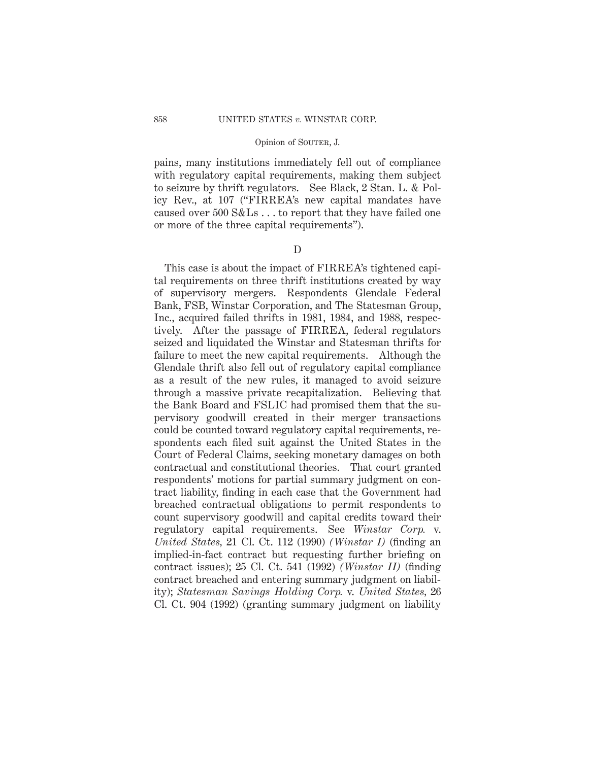pains, many institutions immediately fell out of compliance with regulatory capital requirements, making them subject to seizure by thrift regulators. See Black, 2 Stan. L. & Policy Rev., at 107 ("FIRREA's new capital mandates have caused over 500 S&Ls . . . to report that they have failed one or more of the three capital requirements").

# D

This case is about the impact of FIRREA's tightened capital requirements on three thrift institutions created by way of supervisory mergers. Respondents Glendale Federal Bank, FSB, Winstar Corporation, and The Statesman Group, Inc., acquired failed thrifts in 1981, 1984, and 1988, respectively. After the passage of FIRREA, federal regulators seized and liquidated the Winstar and Statesman thrifts for failure to meet the new capital requirements. Although the Glendale thrift also fell out of regulatory capital compliance as a result of the new rules, it managed to avoid seizure through a massive private recapitalization. Believing that the Bank Board and FSLIC had promised them that the supervisory goodwill created in their merger transactions could be counted toward regulatory capital requirements, respondents each filed suit against the United States in the Court of Federal Claims, seeking monetary damages on both contractual and constitutional theories. That court granted respondents' motions for partial summary judgment on contract liability, finding in each case that the Government had breached contractual obligations to permit respondents to count supervisory goodwill and capital credits toward their regulatory capital requirements. See *Winstar Corp.* v. *United States,* 21 Cl. Ct. 112 (1990) *(Winstar I)* (finding an implied-in-fact contract but requesting further briefing on contract issues); 25 Cl. Ct. 541 (1992) *(Winstar II)* (finding contract breached and entering summary judgment on liability); *Statesman Savings Holding Corp.* v. *United States,* 26 Cl. Ct. 904 (1992) (granting summary judgment on liability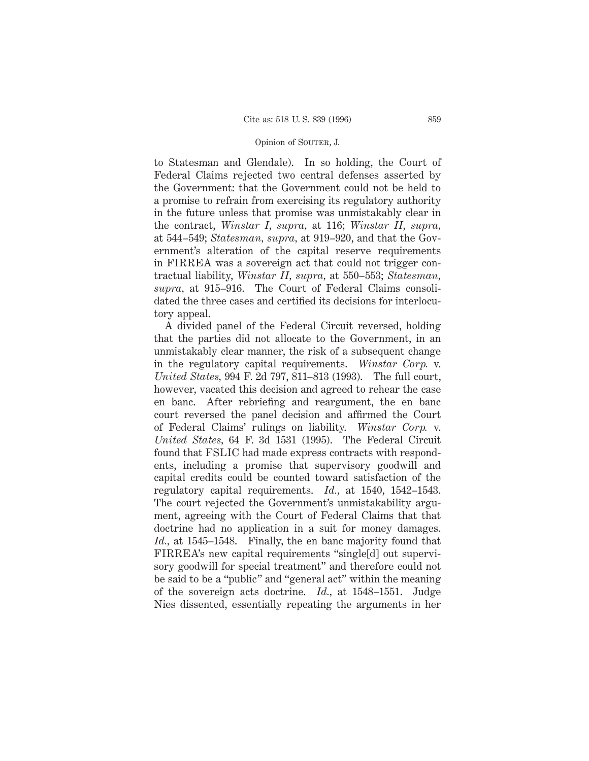to Statesman and Glendale). In so holding, the Court of Federal Claims rejected two central defenses asserted by the Government: that the Government could not be held to a promise to refrain from exercising its regulatory authority in the future unless that promise was unmistakably clear in the contract, *Winstar I, supra,* at 116; *Winstar II, supra,* at 544–549; *Statesman, supra,* at 919–920, and that the Government's alteration of the capital reserve requirements in FIRREA was a sovereign act that could not trigger contractual liability, *Winstar II, supra,* at 550–553; *Statesman, supra,* at 915–916. The Court of Federal Claims consolidated the three cases and certified its decisions for interlocutory appeal.

A divided panel of the Federal Circuit reversed, holding that the parties did not allocate to the Government, in an unmistakably clear manner, the risk of a subsequent change in the regulatory capital requirements. *Winstar Corp.* v. *United States,* 994 F. 2d 797, 811–813 (1993). The full court, however, vacated this decision and agreed to rehear the case en banc. After rebriefing and reargument, the en banc court reversed the panel decision and affirmed the Court of Federal Claims' rulings on liability. *Winstar Corp.* v. *United States,* 64 F. 3d 1531 (1995). The Federal Circuit found that FSLIC had made express contracts with respondents, including a promise that supervisory goodwill and capital credits could be counted toward satisfaction of the regulatory capital requirements. *Id.,* at 1540, 1542–1543. The court rejected the Government's unmistakability argument, agreeing with the Court of Federal Claims that that doctrine had no application in a suit for money damages. *Id.,* at 1545–1548. Finally, the en banc majority found that FIRREA's new capital requirements "single[d] out supervisory goodwill for special treatment" and therefore could not be said to be a "public" and "general act" within the meaning of the sovereign acts doctrine. *Id.,* at 1548–1551. Judge Nies dissented, essentially repeating the arguments in her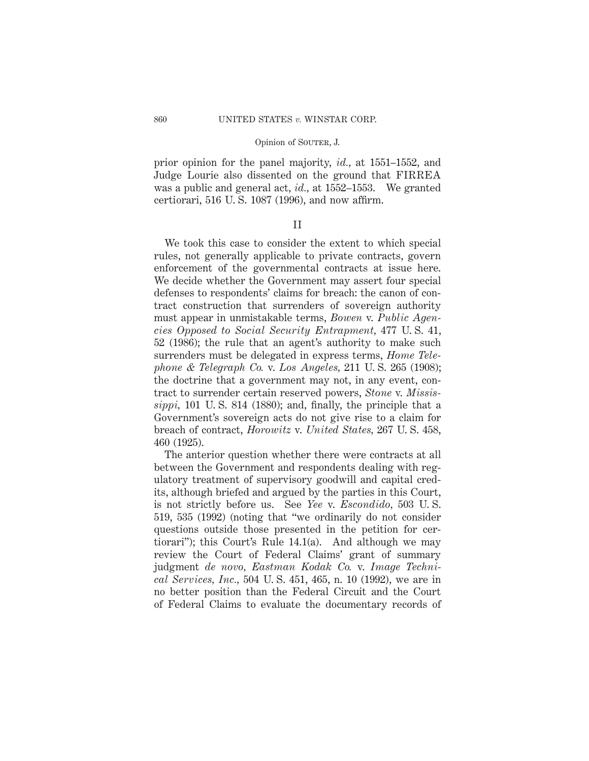prior opinion for the panel majority, *id.,* at 1551–1552, and Judge Lourie also dissented on the ground that FIRREA was a public and general act, *id.,* at 1552–1553. We granted certiorari, 516 U. S. 1087 (1996), and now affirm.

# II

We took this case to consider the extent to which special rules, not generally applicable to private contracts, govern enforcement of the governmental contracts at issue here. We decide whether the Government may assert four special defenses to respondents' claims for breach: the canon of contract construction that surrenders of sovereign authority must appear in unmistakable terms, *Bowen* v. *Public Agencies Opposed to Social Security Entrapment,* 477 U. S. 41, 52 (1986); the rule that an agent's authority to make such surrenders must be delegated in express terms, *Home Telephone & Telegraph Co.* v. *Los Angeles,* 211 U. S. 265 (1908); the doctrine that a government may not, in any event, contract to surrender certain reserved powers, *Stone* v. *Mississippi,* 101 U. S. 814 (1880); and, finally, the principle that a Government's sovereign acts do not give rise to a claim for breach of contract, *Horowitz* v. *United States,* 267 U. S. 458, 460 (1925).

The anterior question whether there were contracts at all between the Government and respondents dealing with regulatory treatment of supervisory goodwill and capital credits, although briefed and argued by the parties in this Court, is not strictly before us. See *Yee* v. *Escondido,* 503 U. S. 519, 535 (1992) (noting that "we ordinarily do not consider questions outside those presented in the petition for certiorari"); this Court's Rule 14.1(a). And although we may review the Court of Federal Claims' grant of summary judgment *de novo, Eastman Kodak Co.* v. *Image Technical Services, Inc.,* 504 U. S. 451, 465, n. 10 (1992), we are in no better position than the Federal Circuit and the Court of Federal Claims to evaluate the documentary records of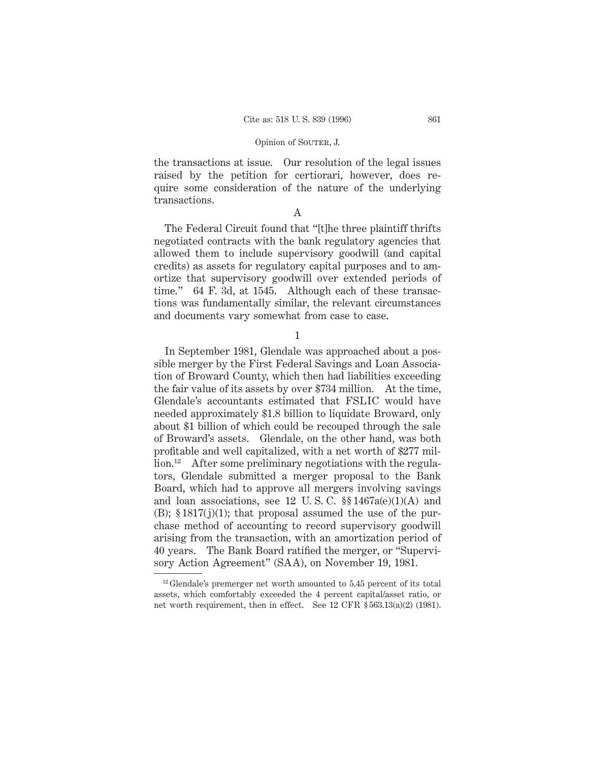the transactions at issue. Our resolution of the legal issues raised by the petition for certiorari, however, does require some consideration of the nature of the underlying transactions.

# A

The Federal Circuit found that "[t]he three plaintiff thrifts negotiated contracts with the bank regulatory agencies that allowed them to include supervisory goodwill (and capital credits) as assets for regulatory capital purposes and to amortize that supervisory goodwill over extended periods of time." 64 F. 3d, at 1545. Although each of these transactions was fundamentally similar, the relevant circumstances and documents vary somewhat from case to case.

1

In September 1981, Glendale was approached about a possible merger by the First Federal Savings and Loan Association of Broward County, which then had liabilities exceeding the fair value of its assets by over \$734 million. At the time, Glendale's accountants estimated that FSLIC would have needed approximately \$1.8 billion to liquidate Broward, only about \$1 billion of which could be recouped through the sale of Broward's assets. Glendale, on the other hand, was both profitable and well capitalized, with a net worth of \$277 million.12 After some preliminary negotiations with the regulators, Glendale submitted a merger proposal to the Bank Board, which had to approve all mergers involving savings and loan associations, see 12 U.S.C.  $\S$  1467a(e)(1)(A) and (B);  $§ 1817(j)(1)$ ; that proposal assumed the use of the purchase method of accounting to record supervisory goodwill arising from the transaction, with an amortization period of 40 years. The Bank Board ratified the merger, or "Supervisory Action Agreement" (SAA), on November 19, 1981.

 $12$  Glendale's premerger net worth amounted to 5.45 percent of its total assets, which comfortably exceeded the 4 percent capital/asset ratio, or net worth requirement, then in effect. See 12 CFR § 563.13(a)(2) (1981).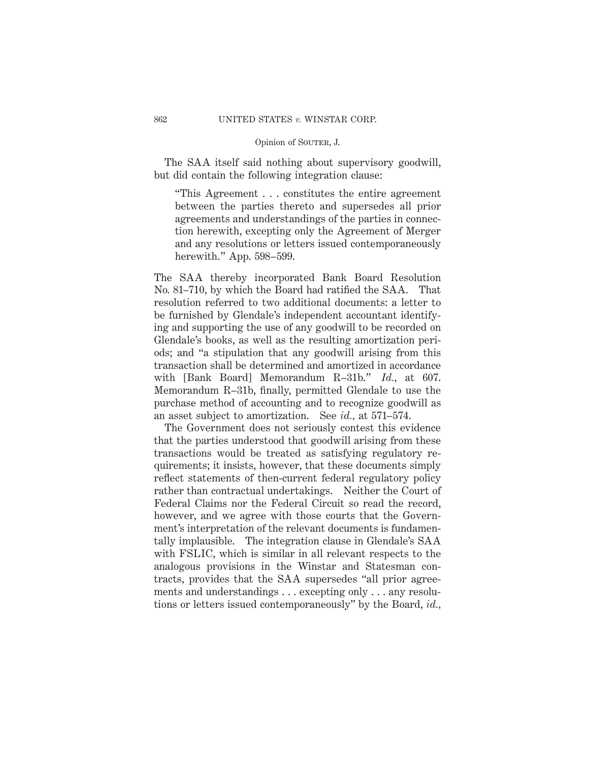The SAA itself said nothing about supervisory goodwill, but did contain the following integration clause:

"This Agreement . . . constitutes the entire agreement between the parties thereto and supersedes all prior agreements and understandings of the parties in connection herewith, excepting only the Agreement of Merger and any resolutions or letters issued contemporaneously herewith." App. 598–599.

The SAA thereby incorporated Bank Board Resolution No. 81–710, by which the Board had ratified the SAA. That resolution referred to two additional documents: a letter to be furnished by Glendale's independent accountant identifying and supporting the use of any goodwill to be recorded on Glendale's books, as well as the resulting amortization periods; and "a stipulation that any goodwill arising from this transaction shall be determined and amortized in accordance with [Bank Board] Memorandum R–31b." *Id.,* at 607. Memorandum R–31b, finally, permitted Glendale to use the purchase method of accounting and to recognize goodwill as an asset subject to amortization. See *id.,* at 571–574.

The Government does not seriously contest this evidence that the parties understood that goodwill arising from these transactions would be treated as satisfying regulatory requirements; it insists, however, that these documents simply reflect statements of then-current federal regulatory policy rather than contractual undertakings. Neither the Court of Federal Claims nor the Federal Circuit so read the record, however, and we agree with those courts that the Government's interpretation of the relevant documents is fundamentally implausible. The integration clause in Glendale's SAA with FSLIC, which is similar in all relevant respects to the analogous provisions in the Winstar and Statesman contracts, provides that the SAA supersedes "all prior agreements and understandings... excepting only . . . any resolutions or letters issued contemporaneously" by the Board, *id.,*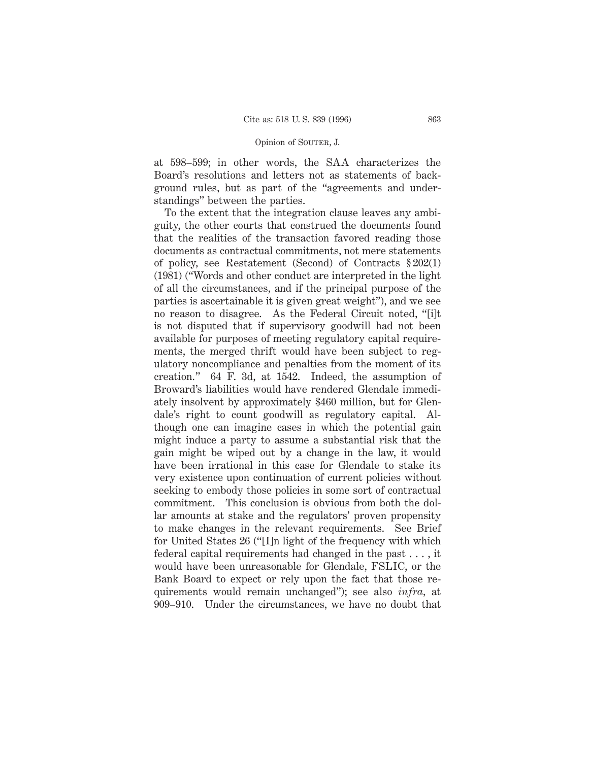at 598–599; in other words, the SAA characterizes the Board's resolutions and letters not as statements of background rules, but as part of the "agreements and understandings" between the parties.

To the extent that the integration clause leaves any ambiguity, the other courts that construed the documents found that the realities of the transaction favored reading those documents as contractual commitments, not mere statements of policy, see Restatement (Second) of Contracts § 202(1) (1981) ("Words and other conduct are interpreted in the light of all the circumstances, and if the principal purpose of the parties is ascertainable it is given great weight"), and we see no reason to disagree. As the Federal Circuit noted, "[i]t is not disputed that if supervisory goodwill had not been available for purposes of meeting regulatory capital requirements, the merged thrift would have been subject to regulatory noncompliance and penalties from the moment of its creation." 64 F. 3d, at 1542. Indeed, the assumption of Broward's liabilities would have rendered Glendale immediately insolvent by approximately \$460 million, but for Glendale's right to count goodwill as regulatory capital. Although one can imagine cases in which the potential gain might induce a party to assume a substantial risk that the gain might be wiped out by a change in the law, it would have been irrational in this case for Glendale to stake its very existence upon continuation of current policies without seeking to embody those policies in some sort of contractual commitment. This conclusion is obvious from both the dollar amounts at stake and the regulators' proven propensity to make changes in the relevant requirements. See Brief for United States 26 ("[I]n light of the frequency with which federal capital requirements had changed in the past . . . , it would have been unreasonable for Glendale, FSLIC, or the Bank Board to expect or rely upon the fact that those requirements would remain unchanged"); see also *infra,* at 909–910. Under the circumstances, we have no doubt that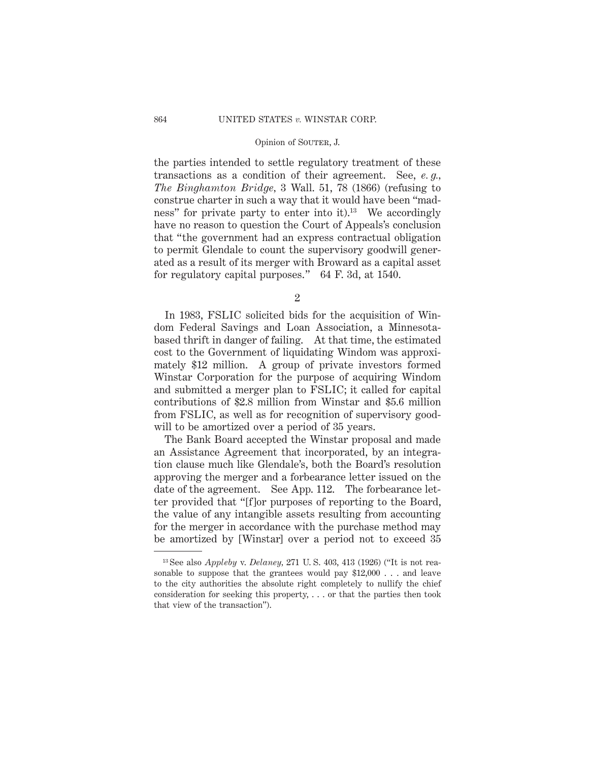the parties intended to settle regulatory treatment of these transactions as a condition of their agreement. See, *e. g., The Binghamton Bridge,* 3 Wall. 51, 78 (1866) (refusing to construe charter in such a way that it would have been "madness" for private party to enter into it).<sup>13</sup> We accordingly have no reason to question the Court of Appeals's conclusion that "the government had an express contractual obligation to permit Glendale to count the supervisory goodwill generated as a result of its merger with Broward as a capital asset for regulatory capital purposes." 64 F. 3d, at 1540.

2

In 1983, FSLIC solicited bids for the acquisition of Windom Federal Savings and Loan Association, a Minnesotabased thrift in danger of failing. At that time, the estimated cost to the Government of liquidating Windom was approximately \$12 million. A group of private investors formed Winstar Corporation for the purpose of acquiring Windom and submitted a merger plan to FSLIC; it called for capital contributions of \$2.8 million from Winstar and \$5.6 million from FSLIC, as well as for recognition of supervisory goodwill to be amortized over a period of 35 years.

The Bank Board accepted the Winstar proposal and made an Assistance Agreement that incorporated, by an integration clause much like Glendale's, both the Board's resolution approving the merger and a forbearance letter issued on the date of the agreement. See App. 112. The forbearance letter provided that "[f]or purposes of reporting to the Board, the value of any intangible assets resulting from accounting for the merger in accordance with the purchase method may be amortized by [Winstar] over a period not to exceed 35

<sup>13</sup> See also *Appleby* v. *Delaney,* 271 U. S. 403, 413 (1926) ("It is not reasonable to suppose that the grantees would pay \$12,000 . . . and leave to the city authorities the absolute right completely to nullify the chief consideration for seeking this property, . . . or that the parties then took that view of the transaction").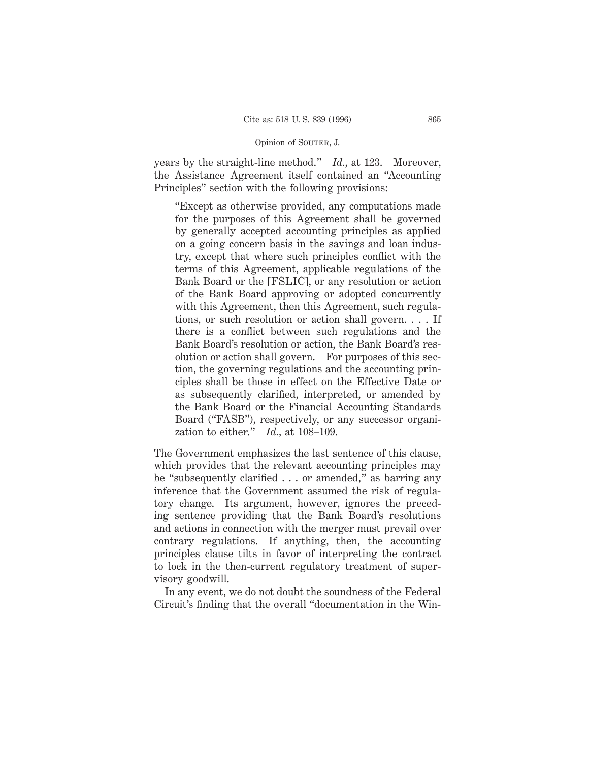years by the straight-line method." *Id.,* at 123. Moreover, the Assistance Agreement itself contained an "Accounting Principles" section with the following provisions:

"Except as otherwise provided, any computations made for the purposes of this Agreement shall be governed by generally accepted accounting principles as applied on a going concern basis in the savings and loan industry, except that where such principles conflict with the terms of this Agreement, applicable regulations of the Bank Board or the [FSLIC], or any resolution or action of the Bank Board approving or adopted concurrently with this Agreement, then this Agreement, such regulations, or such resolution or action shall govern. . . . If there is a conflict between such regulations and the Bank Board's resolution or action, the Bank Board's resolution or action shall govern. For purposes of this section, the governing regulations and the accounting principles shall be those in effect on the Effective Date or as subsequently clarified, interpreted, or amended by the Bank Board or the Financial Accounting Standards Board ("FASB"), respectively, or any successor organization to either." *Id.,* at 108–109.

The Government emphasizes the last sentence of this clause, which provides that the relevant accounting principles may be "subsequently clarified . . . or amended," as barring any inference that the Government assumed the risk of regulatory change. Its argument, however, ignores the preceding sentence providing that the Bank Board's resolutions and actions in connection with the merger must prevail over contrary regulations. If anything, then, the accounting principles clause tilts in favor of interpreting the contract to lock in the then-current regulatory treatment of supervisory goodwill.

In any event, we do not doubt the soundness of the Federal Circuit's finding that the overall "documentation in the Win-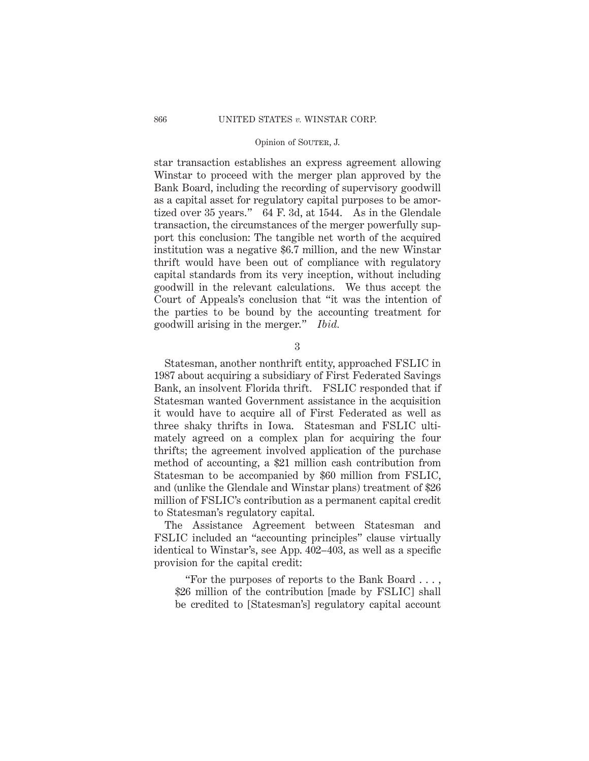star transaction establishes an express agreement allowing Winstar to proceed with the merger plan approved by the Bank Board, including the recording of supervisory goodwill as a capital asset for regulatory capital purposes to be amortized over 35 years." 64 F. 3d, at 1544. As in the Glendale transaction, the circumstances of the merger powerfully support this conclusion: The tangible net worth of the acquired institution was a negative \$6.7 million, and the new Winstar thrift would have been out of compliance with regulatory capital standards from its very inception, without including goodwill in the relevant calculations. We thus accept the Court of Appeals's conclusion that "it was the intention of the parties to be bound by the accounting treatment for goodwill arising in the merger." *Ibid.*

3

Statesman, another nonthrift entity, approached FSLIC in 1987 about acquiring a subsidiary of First Federated Savings Bank, an insolvent Florida thrift. FSLIC responded that if Statesman wanted Government assistance in the acquisition it would have to acquire all of First Federated as well as three shaky thrifts in Iowa. Statesman and FSLIC ultimately agreed on a complex plan for acquiring the four thrifts; the agreement involved application of the purchase method of accounting, a \$21 million cash contribution from Statesman to be accompanied by \$60 million from FSLIC, and (unlike the Glendale and Winstar plans) treatment of \$26 million of FSLIC's contribution as a permanent capital credit to Statesman's regulatory capital.

The Assistance Agreement between Statesman and FSLIC included an "accounting principles" clause virtually identical to Winstar's, see App. 402–403, as well as a specific provision for the capital credit:

"For the purposes of reports to the Bank Board..., \$26 million of the contribution [made by FSLIC] shall be credited to [Statesman's] regulatory capital account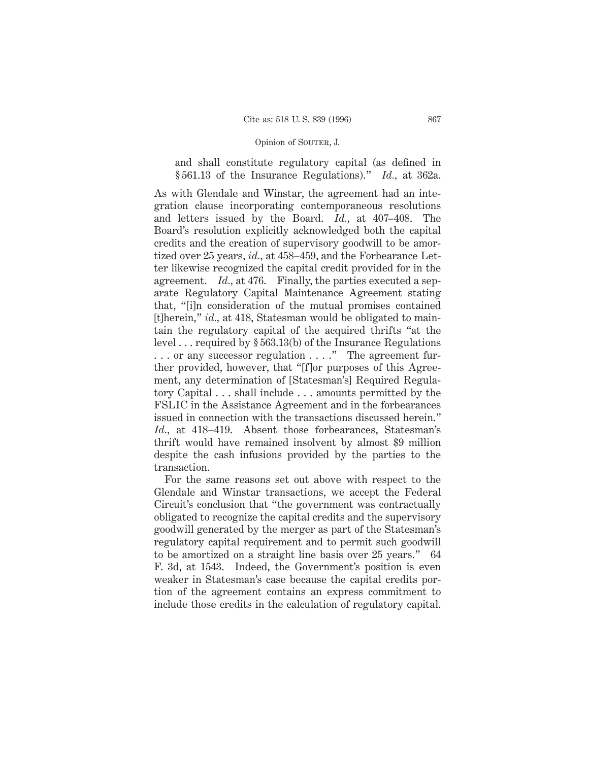and shall constitute regulatory capital (as defined in § 561.13 of the Insurance Regulations)." *Id.,* at 362a.

As with Glendale and Winstar, the agreement had an integration clause incorporating contemporaneous resolutions and letters issued by the Board. *Id.,* at 407–408. The Board's resolution explicitly acknowledged both the capital credits and the creation of supervisory goodwill to be amortized over 25 years, *id.,* at 458–459, and the Forbearance Letter likewise recognized the capital credit provided for in the agreement. *Id.,* at 476. Finally, the parties executed a separate Regulatory Capital Maintenance Agreement stating that, "[i]n consideration of the mutual promises contained [t]herein," *id.,* at 418, Statesman would be obligated to maintain the regulatory capital of the acquired thrifts "at the level . . . required by § 563.13(b) of the Insurance Regulations . . . or any successor regulation . . . ." The agreement further provided, however, that "[f]or purposes of this Agreement, any determination of [Statesman's] Required Regulatory Capital . . . shall include . . . amounts permitted by the FSLIC in the Assistance Agreement and in the forbearances issued in connection with the transactions discussed herein." *Id.,* at 418–419. Absent those forbearances, Statesman's thrift would have remained insolvent by almost \$9 million despite the cash infusions provided by the parties to the transaction.

For the same reasons set out above with respect to the Glendale and Winstar transactions, we accept the Federal Circuit's conclusion that "the government was contractually obligated to recognize the capital credits and the supervisory goodwill generated by the merger as part of the Statesman's regulatory capital requirement and to permit such goodwill to be amortized on a straight line basis over 25 years." 64 F. 3d, at 1543. Indeed, the Government's position is even weaker in Statesman's case because the capital credits portion of the agreement contains an express commitment to include those credits in the calculation of regulatory capital.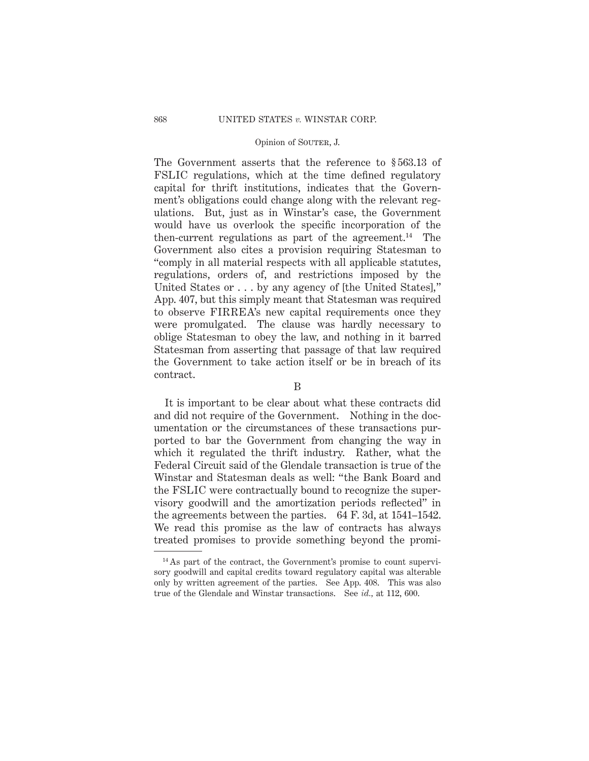The Government asserts that the reference to § 563.13 of FSLIC regulations, which at the time defined regulatory capital for thrift institutions, indicates that the Government's obligations could change along with the relevant regulations. But, just as in Winstar's case, the Government would have us overlook the specific incorporation of the then-current regulations as part of the agreement.<sup>14</sup> The Government also cites a provision requiring Statesman to "comply in all material respects with all applicable statutes, regulations, orders of, and restrictions imposed by the United States or . . . by any agency of [the United States]," App. 407, but this simply meant that Statesman was required to observe FIRREA's new capital requirements once they were promulgated. The clause was hardly necessary to oblige Statesman to obey the law, and nothing in it barred Statesman from asserting that passage of that law required the Government to take action itself or be in breach of its contract.

# B

It is important to be clear about what these contracts did and did not require of the Government. Nothing in the documentation or the circumstances of these transactions purported to bar the Government from changing the way in which it regulated the thrift industry. Rather, what the Federal Circuit said of the Glendale transaction is true of the Winstar and Statesman deals as well: "the Bank Board and the FSLIC were contractually bound to recognize the supervisory goodwill and the amortization periods reflected" in the agreements between the parties. 64 F. 3d, at 1541–1542. We read this promise as the law of contracts has always treated promises to provide something beyond the promi-

<sup>14</sup> As part of the contract, the Government's promise to count supervisory goodwill and capital credits toward regulatory capital was alterable only by written agreement of the parties. See App. 408. This was also true of the Glendale and Winstar transactions. See *id.,* at 112, 600.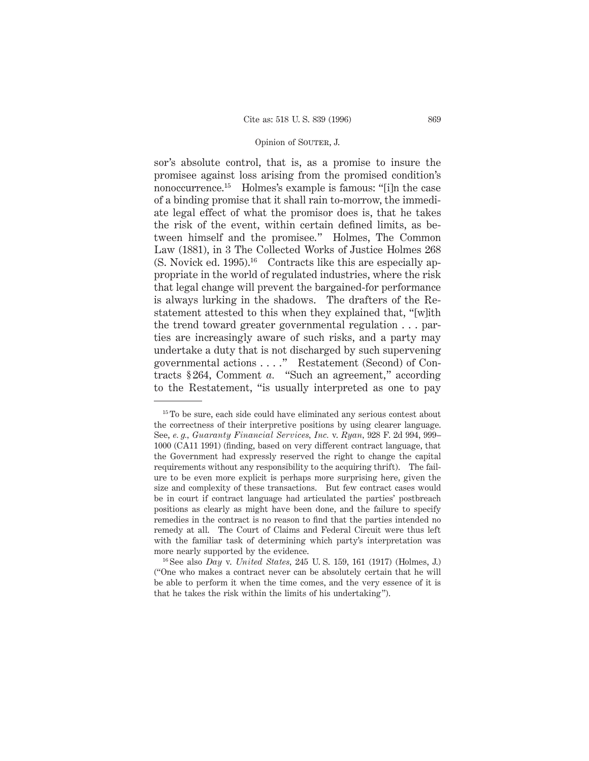sor's absolute control, that is, as a promise to insure the promisee against loss arising from the promised condition's nonoccurrence.15 Holmes's example is famous: "[i]n the case of a binding promise that it shall rain to-morrow, the immediate legal effect of what the promisor does is, that he takes the risk of the event, within certain defined limits, as between himself and the promisee." Holmes, The Common Law (1881), in 3 The Collected Works of Justice Holmes 268  $(S. Novick ed. 1995).<sup>16</sup>$  Contracts like this are especially appropriate in the world of regulated industries, where the risk that legal change will prevent the bargained-for performance is always lurking in the shadows. The drafters of the Restatement attested to this when they explained that, "[w]ith the trend toward greater governmental regulation . . . parties are increasingly aware of such risks, and a party may undertake a duty that is not discharged by such supervening governmental actions . . . ." Restatement (Second) of Contracts § 264, Comment *a.* "Such an agreement," according to the Restatement, "is usually interpreted as one to pay

<sup>&</sup>lt;sup>15</sup> To be sure, each side could have eliminated any serious contest about the correctness of their interpretive positions by using clearer language. See, *e. g., Guaranty Financial Services, Inc.* v. *Ryan,* 928 F. 2d 994, 999– 1000 (CA11 1991) (finding, based on very different contract language, that the Government had expressly reserved the right to change the capital requirements without any responsibility to the acquiring thrift). The failure to be even more explicit is perhaps more surprising here, given the size and complexity of these transactions. But few contract cases would be in court if contract language had articulated the parties' postbreach positions as clearly as might have been done, and the failure to specify remedies in the contract is no reason to find that the parties intended no remedy at all. The Court of Claims and Federal Circuit were thus left with the familiar task of determining which party's interpretation was more nearly supported by the evidence.

<sup>16</sup> See also *Day* v. *United States,* 245 U. S. 159, 161 (1917) (Holmes, J.) ("One who makes a contract never can be absolutely certain that he will be able to perform it when the time comes, and the very essence of it is that he takes the risk within the limits of his undertaking").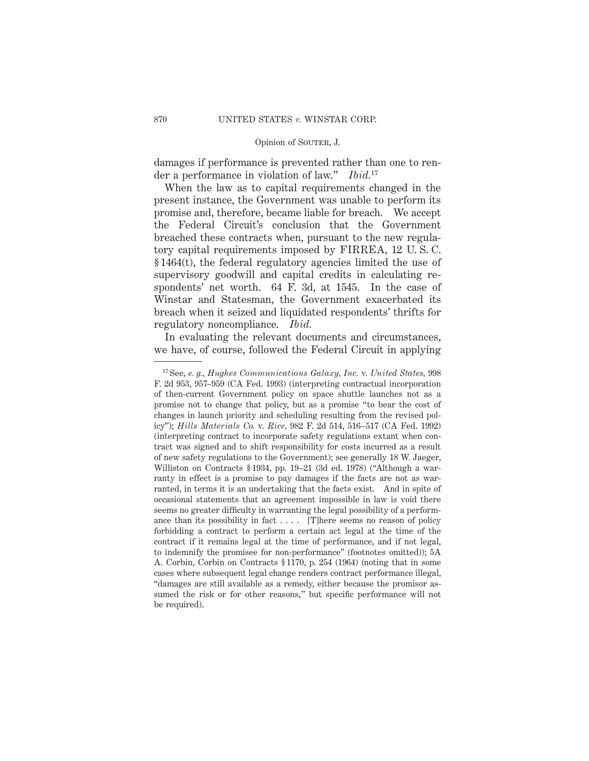damages if performance is prevented rather than one to render a performance in violation of law." *Ibid.*<sup>17</sup>

When the law as to capital requirements changed in the present instance, the Government was unable to perform its promise and, therefore, became liable for breach. We accept the Federal Circuit's conclusion that the Government breached these contracts when, pursuant to the new regulatory capital requirements imposed by FIRREA, 12 U. S. C. § 1464(t), the federal regulatory agencies limited the use of supervisory goodwill and capital credits in calculating respondents' net worth. 64 F. 3d, at 1545. In the case of Winstar and Statesman, the Government exacerbated its breach when it seized and liquidated respondents' thrifts for regulatory noncompliance. *Ibid.*

In evaluating the relevant documents and circumstances, we have, of course, followed the Federal Circuit in applying

<sup>17</sup> See, *e. g., Hughes Communications Galaxy, Inc.* v. *United States,* 998 F. 2d 953, 957–959 (CA Fed. 1993) (interpreting contractual incorporation of then-current Government policy on space shuttle launches not as a promise not to change that policy, but as a promise "to bear the cost of changes in launch priority and scheduling resulting from the revised policy"); *Hills Materials Co.* v. *Rice,* 982 F. 2d 514, 516–517 (CA Fed. 1992) (interpreting contract to incorporate safety regulations extant when contract was signed and to shift responsibility for costs incurred as a result of new safety regulations to the Government); see generally 18 W. Jaeger, Williston on Contracts § 1934, pp. 19–21 (3d ed. 1978) ("Although a warranty in effect is a promise to pay damages if the facts are not as warranted, in terms it is an undertaking that the facts exist. And in spite of occasional statements that an agreement impossible in law is void there seems no greater difficulty in warranting the legal possibility of a performance than its possibility in fact.... [T]here seems no reason of policy forbidding a contract to perform a certain act legal at the time of the contract if it remains legal at the time of performance, and if not legal, to indemnify the promisee for non-performance" (footnotes omitted)); 5A A. Corbin, Corbin on Contracts § 1170, p. 254 (1964) (noting that in some cases where subsequent legal change renders contract performance illegal, "damages are still available as a remedy, either because the promisor assumed the risk or for other reasons," but specific performance will not be required).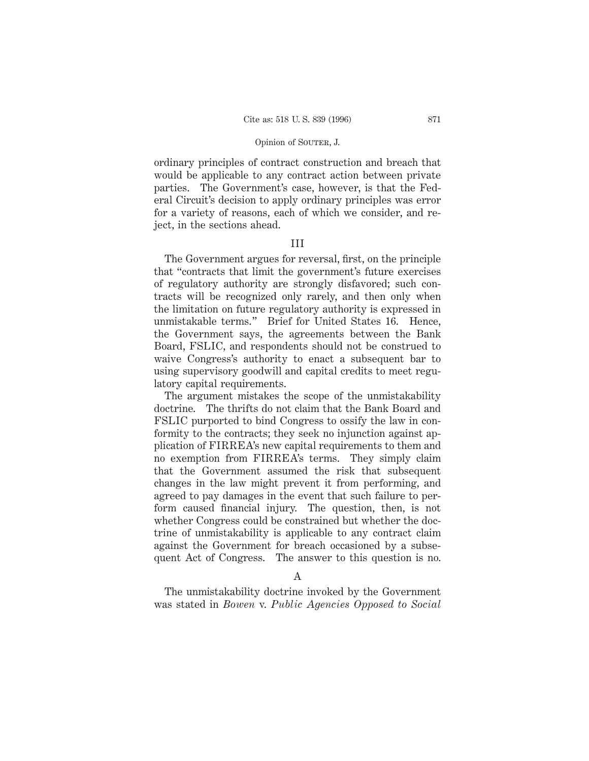ordinary principles of contract construction and breach that would be applicable to any contract action between private parties. The Government's case, however, is that the Federal Circuit's decision to apply ordinary principles was error for a variety of reasons, each of which we consider, and reject, in the sections ahead.

# III

The Government argues for reversal, first, on the principle that "contracts that limit the government's future exercises of regulatory authority are strongly disfavored; such contracts will be recognized only rarely, and then only when the limitation on future regulatory authority is expressed in unmistakable terms." Brief for United States 16. Hence, the Government says, the agreements between the Bank Board, FSLIC, and respondents should not be construed to waive Congress's authority to enact a subsequent bar to using supervisory goodwill and capital credits to meet regulatory capital requirements.

The argument mistakes the scope of the unmistakability doctrine. The thrifts do not claim that the Bank Board and FSLIC purported to bind Congress to ossify the law in conformity to the contracts; they seek no injunction against application of FIRREA's new capital requirements to them and no exemption from FIRREA's terms. They simply claim that the Government assumed the risk that subsequent changes in the law might prevent it from performing, and agreed to pay damages in the event that such failure to perform caused financial injury. The question, then, is not whether Congress could be constrained but whether the doctrine of unmistakability is applicable to any contract claim against the Government for breach occasioned by a subsequent Act of Congress. The answer to this question is no.

## A

The unmistakability doctrine invoked by the Government was stated in *Bowen* v. *Public Agencies Opposed to Social*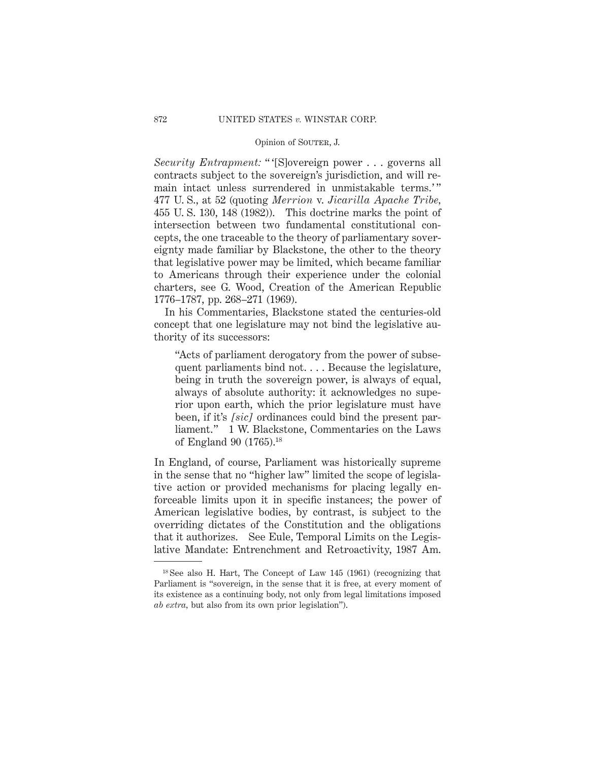*Security Entrapment:* " '[S]overeign power . . . governs all contracts subject to the sovereign's jurisdiction, and will remain intact unless surrendered in unmistakable terms.'" 477 U. S., at 52 (quoting *Merrion* v. *Jicarilla Apache Tribe,* 455 U. S. 130, 148 (1982)). This doctrine marks the point of intersection between two fundamental constitutional concepts, the one traceable to the theory of parliamentary sovereignty made familiar by Blackstone, the other to the theory that legislative power may be limited, which became familiar to Americans through their experience under the colonial charters, see G. Wood, Creation of the American Republic 1776–1787, pp. 268–271 (1969).

In his Commentaries, Blackstone stated the centuries-old concept that one legislature may not bind the legislative authority of its successors:

"Acts of parliament derogatory from the power of subsequent parliaments bind not. . . . Because the legislature, being in truth the sovereign power, is always of equal, always of absolute authority: it acknowledges no superior upon earth, which the prior legislature must have been, if it's *[sic]* ordinances could bind the present parliament." 1 W. Blackstone, Commentaries on the Laws of England 90 (1765).18

In England, of course, Parliament was historically supreme in the sense that no "higher law" limited the scope of legislative action or provided mechanisms for placing legally enforceable limits upon it in specific instances; the power of American legislative bodies, by contrast, is subject to the overriding dictates of the Constitution and the obligations that it authorizes. See Eule, Temporal Limits on the Legislative Mandate: Entrenchment and Retroactivity, 1987 Am.

<sup>18</sup> See also H. Hart, The Concept of Law 145 (1961) (recognizing that Parliament is "sovereign, in the sense that it is free, at every moment of its existence as a continuing body, not only from legal limitations imposed *ab extra,* but also from its own prior legislation").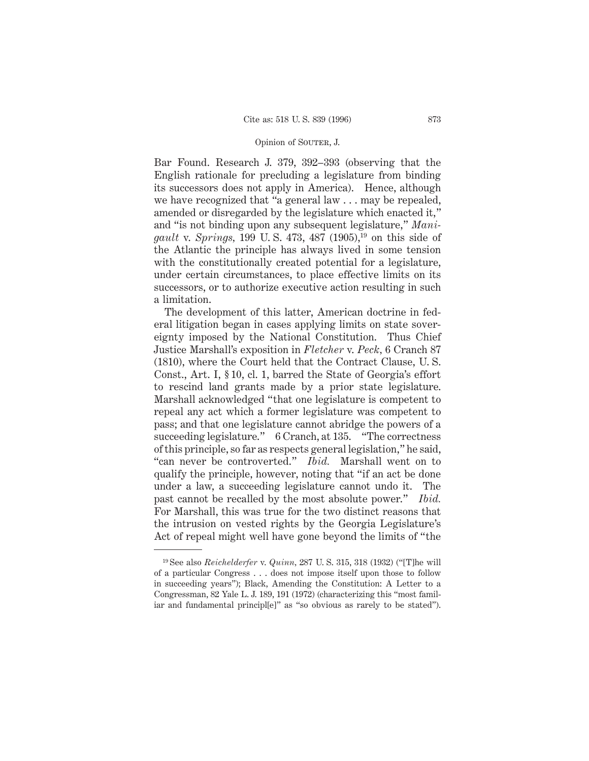Bar Found. Research J. 379, 392–393 (observing that the English rationale for precluding a legislature from binding its successors does not apply in America). Hence, although we have recognized that "a general law . . . may be repealed, amended or disregarded by the legislature which enacted it," and "is not binding upon any subsequent legislature," *Manigault* v. *Springs*, 199 U. S. 473, 487 (1905),<sup>19</sup> on this side of the Atlantic the principle has always lived in some tension with the constitutionally created potential for a legislature, under certain circumstances, to place effective limits on its successors, or to authorize executive action resulting in such a limitation.

The development of this latter, American doctrine in federal litigation began in cases applying limits on state sovereignty imposed by the National Constitution. Thus Chief Justice Marshall's exposition in *Fletcher* v. *Peck,* 6 Cranch 87 (1810), where the Court held that the Contract Clause, U. S. Const., Art. I, § 10, cl. 1, barred the State of Georgia's effort to rescind land grants made by a prior state legislature. Marshall acknowledged "that one legislature is competent to repeal any act which a former legislature was competent to pass; and that one legislature cannot abridge the powers of a succeeding legislature." 6 Cranch, at 135. "The correctness" of this principle, so far as respects general legislation," he said, "can never be controverted." *Ibid.* Marshall went on to qualify the principle, however, noting that "if an act be done under a law, a succeeding legislature cannot undo it. The past cannot be recalled by the most absolute power." *Ibid.* For Marshall, this was true for the two distinct reasons that the intrusion on vested rights by the Georgia Legislature's Act of repeal might well have gone beyond the limits of "the

<sup>19</sup> See also *Reichelderfer* v. *Quinn,* 287 U. S. 315, 318 (1932) ("[T]he will of a particular Congress... does not impose itself upon those to follow in succeeding years"); Black, Amending the Constitution: A Letter to a Congressman, 82 Yale L. J. 189, 191 (1972) (characterizing this "most familiar and fundamental principl[e]" as "so obvious as rarely to be stated").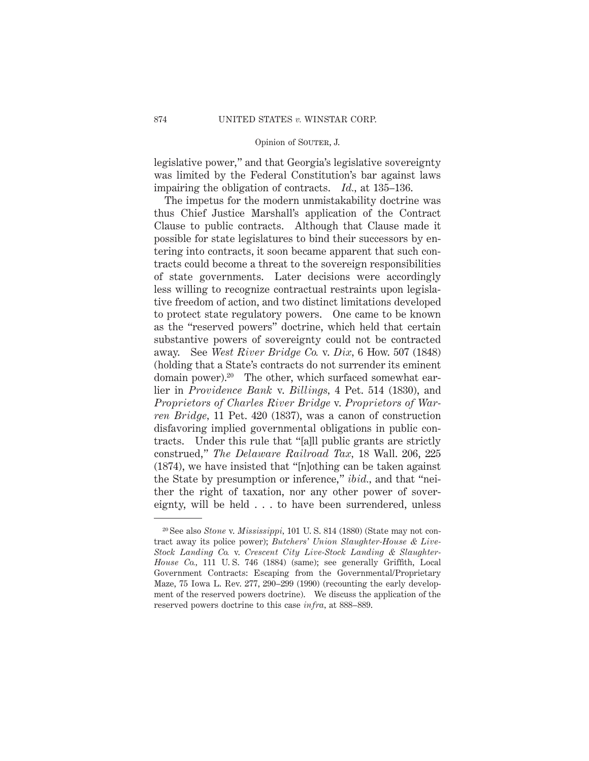legislative power," and that Georgia's legislative sovereignty was limited by the Federal Constitution's bar against laws impairing the obligation of contracts. *Id.,* at 135–136.

The impetus for the modern unmistakability doctrine was thus Chief Justice Marshall's application of the Contract Clause to public contracts. Although that Clause made it possible for state legislatures to bind their successors by entering into contracts, it soon became apparent that such contracts could become a threat to the sovereign responsibilities of state governments. Later decisions were accordingly less willing to recognize contractual restraints upon legislative freedom of action, and two distinct limitations developed to protect state regulatory powers. One came to be known as the "reserved powers" doctrine, which held that certain substantive powers of sovereignty could not be contracted away. See *West River Bridge Co.* v. *Dix,* 6 How. 507 (1848) (holding that a State's contracts do not surrender its eminent domain power).<sup>20</sup> The other, which surfaced somewhat earlier in *Providence Bank* v. *Billings,* 4 Pet. 514 (1830), and *Proprietors of Charles River Bridge* v. *Proprietors of Warren Bridge,* 11 Pet. 420 (1837), was a canon of construction disfavoring implied governmental obligations in public contracts. Under this rule that "[a]ll public grants are strictly construed," *The Delaware Railroad Tax,* 18 Wall. 206, 225 (1874), we have insisted that "[n]othing can be taken against the State by presumption or inference," *ibid.,* and that "neither the right of taxation, nor any other power of sovereignty, will be held . . . to have been surrendered, unless

<sup>20</sup> See also *Stone* v. *Mississippi,* 101 U. S. 814 (1880) (State may not contract away its police power); *Butchers' Union Slaughter-House & Live-Stock Landing Co.* v. *Crescent City Live-Stock Landing & Slaughter-House Co.,* 111 U. S. 746 (1884) (same); see generally Griffith, Local Government Contracts: Escaping from the Governmental/Proprietary Maze, 75 Iowa L. Rev. 277, 290–299 (1990) (recounting the early development of the reserved powers doctrine). We discuss the application of the reserved powers doctrine to this case *infra,* at 888–889.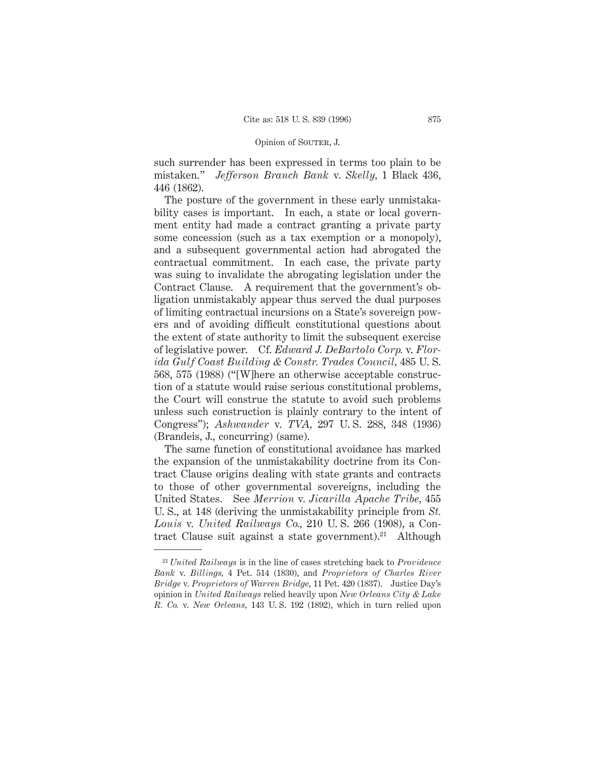such surrender has been expressed in terms too plain to be mistaken." *Jefferson Branch Bank* v. *Skelly,* 1 Black 436, 446 (1862).

The posture of the government in these early unmistakability cases is important. In each, a state or local government entity had made a contract granting a private party some concession (such as a tax exemption or a monopoly), and a subsequent governmental action had abrogated the contractual commitment. In each case, the private party was suing to invalidate the abrogating legislation under the Contract Clause. A requirement that the government's obligation unmistakably appear thus served the dual purposes of limiting contractual incursions on a State's sovereign powers and of avoiding difficult constitutional questions about the extent of state authority to limit the subsequent exercise of legislative power. Cf. *Edward J. DeBartolo Corp.* v. *Florida Gulf Coast Building & Constr. Trades Council,* 485 U. S. 568, 575 (1988) ("[W]here an otherwise acceptable construction of a statute would raise serious constitutional problems, the Court will construe the statute to avoid such problems unless such construction is plainly contrary to the intent of Congress"); *Ashwander* v. *TVA,* 297 U. S. 288, 348 (1936) (Brandeis, J., concurring) (same).

The same function of constitutional avoidance has marked the expansion of the unmistakability doctrine from its Contract Clause origins dealing with state grants and contracts to those of other governmental sovereigns, including the United States. See *Merrion* v. *Jicarilla Apache Tribe,* 455 U. S., at 148 (deriving the unmistakability principle from *St. Louis* v. *United Railways Co.,* 210 U. S. 266 (1908), a Contract Clause suit against a state government).<sup>21</sup> Although

<sup>21</sup> *United Railways* is in the line of cases stretching back to *Providence Bank* v. *Billings,* 4 Pet. 514 (1830), and *Proprietors of Charles River Bridge* v. *Proprietors of Warren Bridge,* 11 Pet. 420 (1837). Justice Day's opinion in *United Railways* relied heavily upon *New Orleans City & Lake R. Co.* v. *New Orleans,* 143 U. S. 192 (1892), which in turn relied upon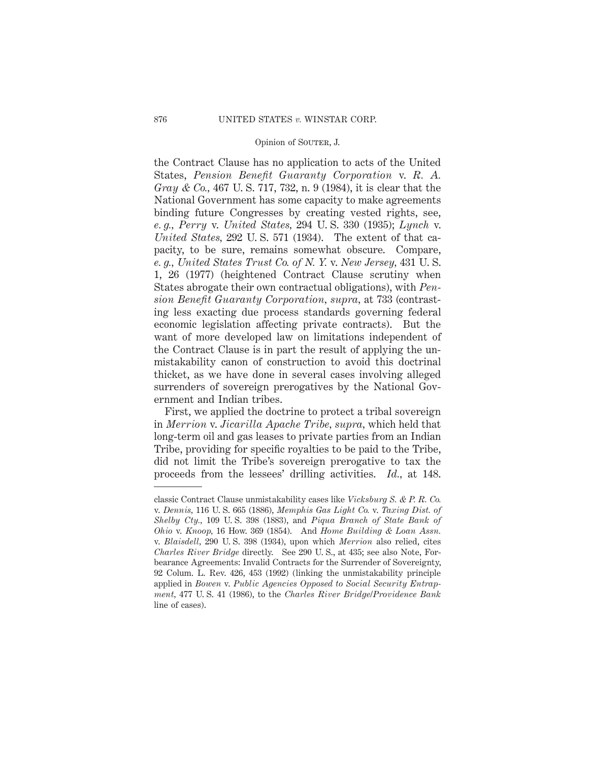the Contract Clause has no application to acts of the United States, *Pension Benefit Guaranty Corporation* v. *R. A. Gray & Co.,* 467 U. S. 717, 732, n. 9 (1984), it is clear that the National Government has some capacity to make agreements binding future Congresses by creating vested rights, see, *e. g., Perry* v. *United States,* 294 U. S. 330 (1935); *Lynch* v. *United States,* 292 U. S. 571 (1934). The extent of that capacity, to be sure, remains somewhat obscure. Compare, *e. g., United States Trust Co. of N. Y.* v. *New Jersey,* 431 U. S. 1, 26 (1977) (heightened Contract Clause scrutiny when States abrogate their own contractual obligations), with *Pension Benefit Guaranty Corporation, supra,* at 733 (contrasting less exacting due process standards governing federal economic legislation affecting private contracts). But the want of more developed law on limitations independent of the Contract Clause is in part the result of applying the unmistakability canon of construction to avoid this doctrinal thicket, as we have done in several cases involving alleged surrenders of sovereign prerogatives by the National Government and Indian tribes.

First, we applied the doctrine to protect a tribal sovereign in *Merrion* v. *Jicarilla Apache Tribe, supra,* which held that long-term oil and gas leases to private parties from an Indian Tribe, providing for specific royalties to be paid to the Tribe, did not limit the Tribe's sovereign prerogative to tax the proceeds from the lessees' drilling activities. *Id.,* at 148.

classic Contract Clause unmistakability cases like *Vicksburg S. & P. R. Co.* v. *Dennis,* 116 U. S. 665 (1886), *Memphis Gas Light Co.* v. *Taxing Dist. of Shelby Cty.,* 109 U. S. 398 (1883), and *Piqua Branch of State Bank of Ohio* v. *Knoop,* 16 How. 369 (1854). And *Home Building & Loan Assn.* v. *Blaisdell,* 290 U. S. 398 (1934), upon which *Merrion* also relied, cites *Charles River Bridge* directly. See 290 U. S., at 435; see also Note, Forbearance Agreements: Invalid Contracts for the Surrender of Sovereignty, 92 Colum. L. Rev. 426, 453 (1992) (linking the unmistakability principle applied in *Bowen* v. *Public Agencies Opposed to Social Security Entrapment,* 477 U. S. 41 (1986), to the *Charles River Bridge*/*Providence Bank* line of cases).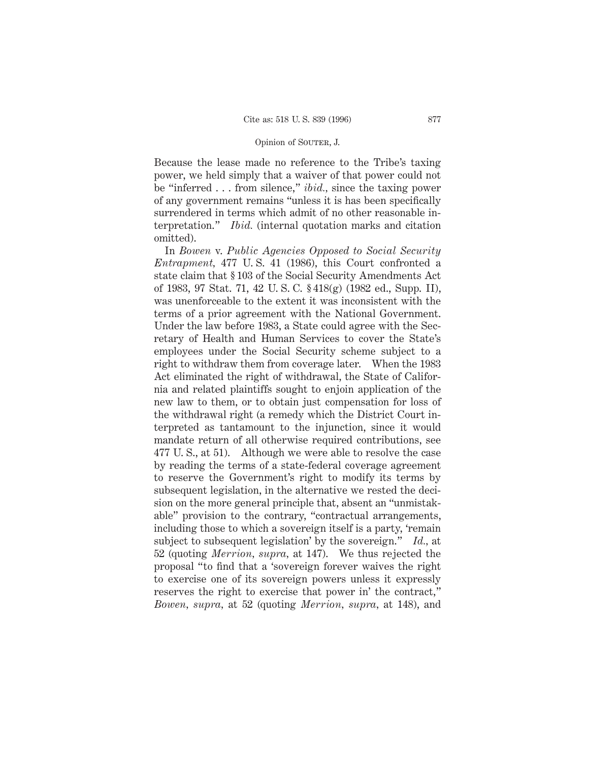Because the lease made no reference to the Tribe's taxing power, we held simply that a waiver of that power could not be "inferred . . . from silence," *ibid.,* since the taxing power of any government remains "unless it is has been specifically surrendered in terms which admit of no other reasonable interpretation." *Ibid.* (internal quotation marks and citation omitted).

In *Bowen* v. *Public Agencies Opposed to Social Security Entrapment,* 477 U. S. 41 (1986), this Court confronted a state claim that § 103 of the Social Security Amendments Act of 1983, 97 Stat. 71, 42 U. S. C. § 418(g) (1982 ed., Supp. II), was unenforceable to the extent it was inconsistent with the terms of a prior agreement with the National Government. Under the law before 1983, a State could agree with the Secretary of Health and Human Services to cover the State's employees under the Social Security scheme subject to a right to withdraw them from coverage later. When the 1983 Act eliminated the right of withdrawal, the State of California and related plaintiffs sought to enjoin application of the new law to them, or to obtain just compensation for loss of the withdrawal right (a remedy which the District Court interpreted as tantamount to the injunction, since it would mandate return of all otherwise required contributions, see 477 U. S., at 51). Although we were able to resolve the case by reading the terms of a state-federal coverage agreement to reserve the Government's right to modify its terms by subsequent legislation, in the alternative we rested the decision on the more general principle that, absent an "unmistakable" provision to the contrary, "contractual arrangements, including those to which a sovereign itself is a party, 'remain subject to subsequent legislation' by the sovereign." *Id.,* at 52 (quoting *Merrion, supra,* at 147). We thus rejected the proposal "to find that a 'sovereign forever waives the right to exercise one of its sovereign powers unless it expressly reserves the right to exercise that power in' the contract," *Bowen, supra,* at 52 (quoting *Merrion, supra,* at 148), and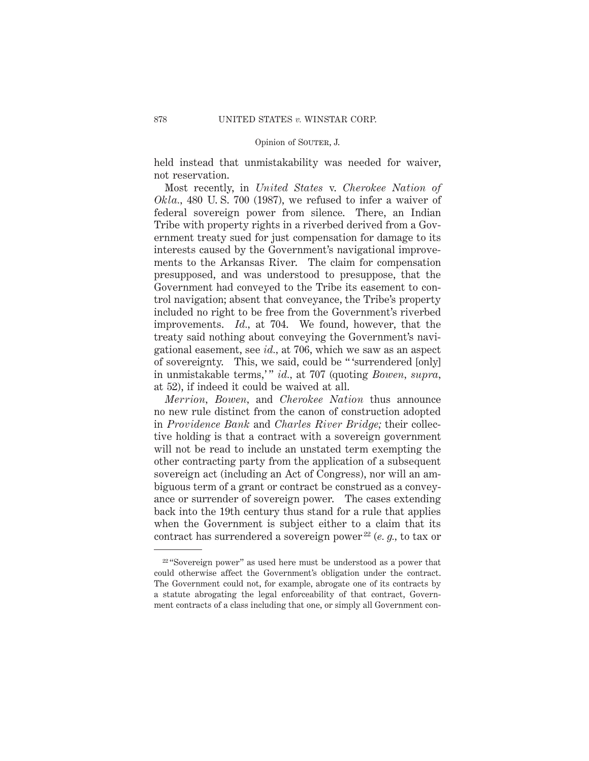held instead that unmistakability was needed for waiver, not reservation.

Most recently, in *United States* v. *Cherokee Nation of Okla.,* 480 U. S. 700 (1987), we refused to infer a waiver of federal sovereign power from silence. There, an Indian Tribe with property rights in a riverbed derived from a Government treaty sued for just compensation for damage to its interests caused by the Government's navigational improvements to the Arkansas River. The claim for compensation presupposed, and was understood to presuppose, that the Government had conveyed to the Tribe its easement to control navigation; absent that conveyance, the Tribe's property included no right to be free from the Government's riverbed improvements. *Id.,* at 704. We found, however, that the treaty said nothing about conveying the Government's navigational easement, see *id.,* at 706, which we saw as an aspect of sovereignty. This, we said, could be " 'surrendered [only] in unmistakable terms,' " *id.,* at 707 (quoting *Bowen, supra,* at 52), if indeed it could be waived at all.

*Merrion, Bowen,* and *Cherokee Nation* thus announce no new rule distinct from the canon of construction adopted in *Providence Bank* and *Charles River Bridge;* their collective holding is that a contract with a sovereign government will not be read to include an unstated term exempting the other contracting party from the application of a subsequent sovereign act (including an Act of Congress), nor will an ambiguous term of a grant or contract be construed as a conveyance or surrender of sovereign power. The cases extending back into the 19th century thus stand for a rule that applies when the Government is subject either to a claim that its contract has surrendered a sovereign power <sup>22</sup> (*e. g.,* to tax or

<sup>&</sup>lt;sup>22</sup> "Sovereign power" as used here must be understood as a power that could otherwise affect the Government's obligation under the contract. The Government could not, for example, abrogate one of its contracts by a statute abrogating the legal enforceability of that contract, Government contracts of a class including that one, or simply all Government con-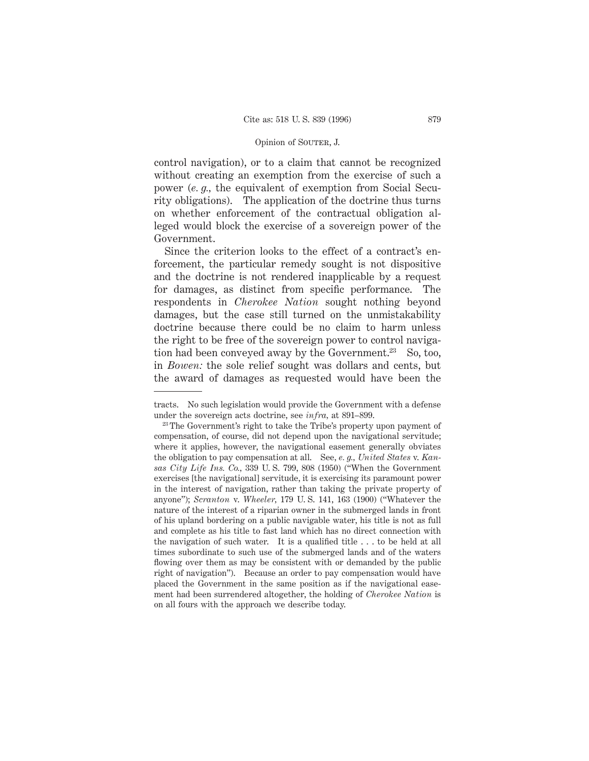control navigation), or to a claim that cannot be recognized without creating an exemption from the exercise of such a power (*e. g.,* the equivalent of exemption from Social Security obligations). The application of the doctrine thus turns on whether enforcement of the contractual obligation alleged would block the exercise of a sovereign power of the Government.

Since the criterion looks to the effect of a contract's enforcement, the particular remedy sought is not dispositive and the doctrine is not rendered inapplicable by a request for damages, as distinct from specific performance. The respondents in *Cherokee Nation* sought nothing beyond damages, but the case still turned on the unmistakability doctrine because there could be no claim to harm unless the right to be free of the sovereign power to control navigation had been conveyed away by the Government.<sup>23</sup> So, too, in *Bowen:* the sole relief sought was dollars and cents, but the award of damages as requested would have been the

tracts. No such legislation would provide the Government with a defense under the sovereign acts doctrine, see *infra,* at 891–899.

<sup>23</sup> The Government's right to take the Tribe's property upon payment of compensation, of course, did not depend upon the navigational servitude; where it applies, however, the navigational easement generally obviates the obligation to pay compensation at all. See, *e. g., United States* v. *Kansas City Life Ins. Co.,* 339 U. S. 799, 808 (1950) ("When the Government exercises [the navigational] servitude, it is exercising its paramount power in the interest of navigation, rather than taking the private property of anyone"); *Scranton* v. *Wheeler,* 179 U. S. 141, 163 (1900) ("Whatever the nature of the interest of a riparian owner in the submerged lands in front of his upland bordering on a public navigable water, his title is not as full and complete as his title to fast land which has no direct connection with the navigation of such water. It is a qualified title . . . to be held at all times subordinate to such use of the submerged lands and of the waters flowing over them as may be consistent with or demanded by the public right of navigation"). Because an order to pay compensation would have placed the Government in the same position as if the navigational easement had been surrendered altogether, the holding of *Cherokee Nation* is on all fours with the approach we describe today.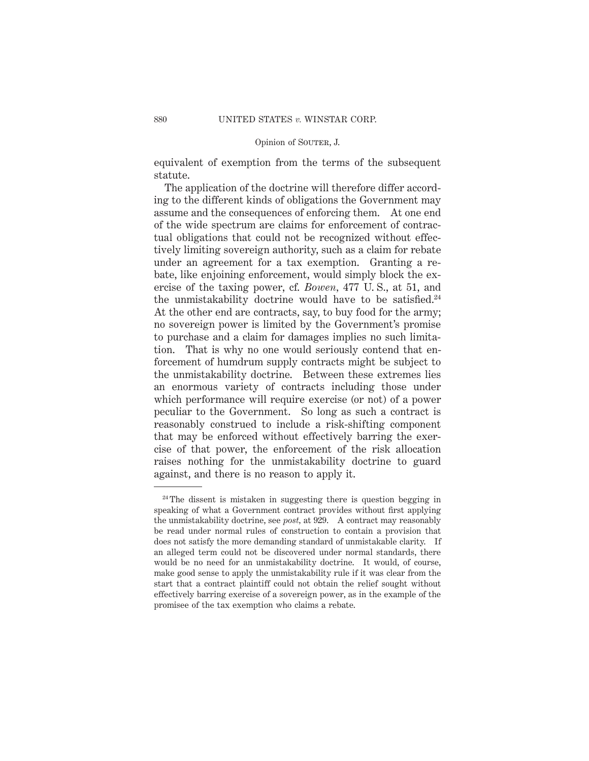equivalent of exemption from the terms of the subsequent statute.

The application of the doctrine will therefore differ according to the different kinds of obligations the Government may assume and the consequences of enforcing them. At one end of the wide spectrum are claims for enforcement of contractual obligations that could not be recognized without effectively limiting sovereign authority, such as a claim for rebate under an agreement for a tax exemption. Granting a rebate, like enjoining enforcement, would simply block the exercise of the taxing power, cf. *Bowen,* 477 U. S., at 51, and the unmistakability doctrine would have to be satisfied.<sup>24</sup> At the other end are contracts, say, to buy food for the army; no sovereign power is limited by the Government's promise to purchase and a claim for damages implies no such limitation. That is why no one would seriously contend that enforcement of humdrum supply contracts might be subject to the unmistakability doctrine. Between these extremes lies an enormous variety of contracts including those under which performance will require exercise (or not) of a power peculiar to the Government. So long as such a contract is reasonably construed to include a risk-shifting component that may be enforced without effectively barring the exercise of that power, the enforcement of the risk allocation raises nothing for the unmistakability doctrine to guard against, and there is no reason to apply it.

 $24$  The dissent is mistaken in suggesting there is question begging in speaking of what a Government contract provides without first applying the unmistakability doctrine, see *post,* at 929. A contract may reasonably be read under normal rules of construction to contain a provision that does not satisfy the more demanding standard of unmistakable clarity. If an alleged term could not be discovered under normal standards, there would be no need for an unmistakability doctrine. It would, of course, make good sense to apply the unmistakability rule if it was clear from the start that a contract plaintiff could not obtain the relief sought without effectively barring exercise of a sovereign power, as in the example of the promisee of the tax exemption who claims a rebate.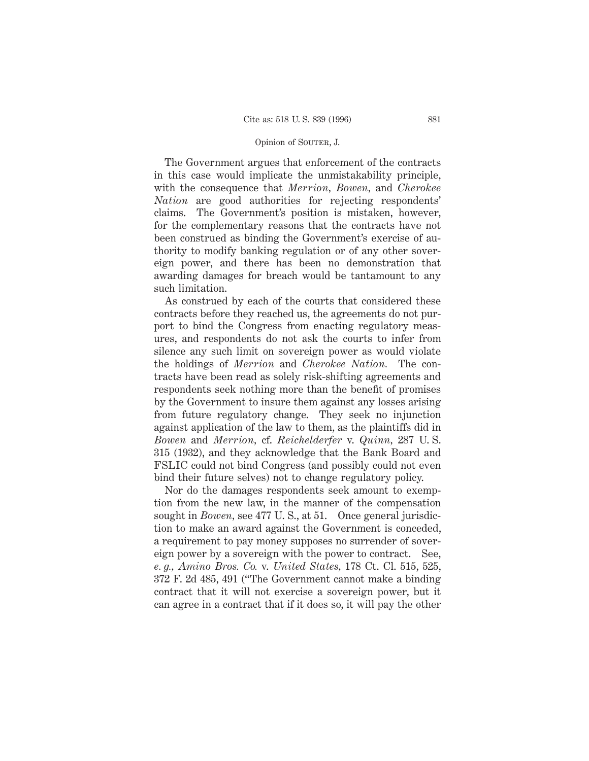The Government argues that enforcement of the contracts in this case would implicate the unmistakability principle, with the consequence that *Merrion, Bowen,* and *Cherokee Nation* are good authorities for rejecting respondents' claims. The Government's position is mistaken, however, for the complementary reasons that the contracts have not been construed as binding the Government's exercise of authority to modify banking regulation or of any other sovereign power, and there has been no demonstration that awarding damages for breach would be tantamount to any such limitation.

As construed by each of the courts that considered these contracts before they reached us, the agreements do not purport to bind the Congress from enacting regulatory measures, and respondents do not ask the courts to infer from silence any such limit on sovereign power as would violate the holdings of *Merrion* and *Cherokee Nation.* The contracts have been read as solely risk-shifting agreements and respondents seek nothing more than the benefit of promises by the Government to insure them against any losses arising from future regulatory change. They seek no injunction against application of the law to them, as the plaintiffs did in *Bowen* and *Merrion,* cf. *Reichelderfer* v. *Quinn,* 287 U. S. 315 (1932), and they acknowledge that the Bank Board and FSLIC could not bind Congress (and possibly could not even bind their future selves) not to change regulatory policy.

Nor do the damages respondents seek amount to exemption from the new law, in the manner of the compensation sought in *Bowen*, see 477 U.S., at 51. Once general jurisdiction to make an award against the Government is conceded, a requirement to pay money supposes no surrender of sovereign power by a sovereign with the power to contract. See, *e. g., Amino Bros. Co.* v. *United States,* 178 Ct. Cl. 515, 525, 372 F. 2d 485, 491 ("The Government cannot make a binding contract that it will not exercise a sovereign power, but it can agree in a contract that if it does so, it will pay the other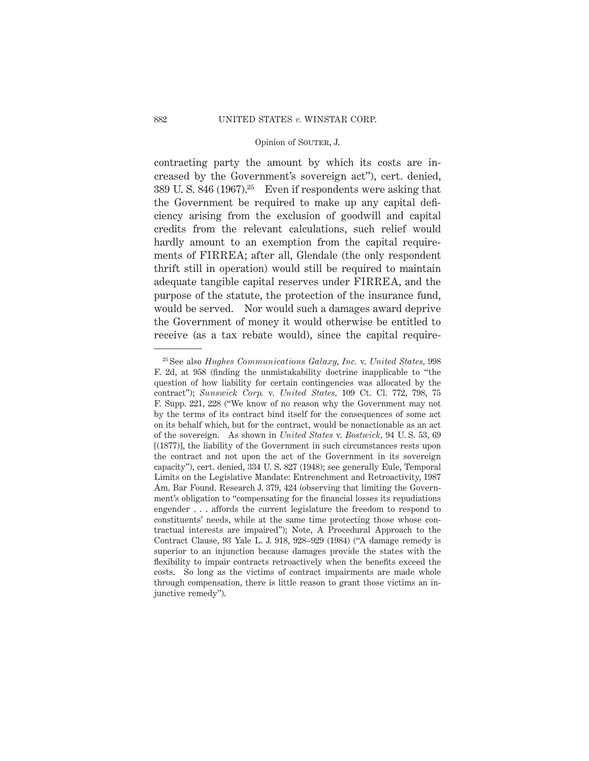contracting party the amount by which its costs are increased by the Government's sovereign act"), cert. denied, 389 U. S. 846 (1967).25 Even if respondents were asking that the Government be required to make up any capital deficiency arising from the exclusion of goodwill and capital credits from the relevant calculations, such relief would hardly amount to an exemption from the capital requirements of FIRREA; after all, Glendale (the only respondent thrift still in operation) would still be required to maintain adequate tangible capital reserves under FIRREA, and the purpose of the statute, the protection of the insurance fund, would be served. Nor would such a damages award deprive the Government of money it would otherwise be entitled to receive (as a tax rebate would), since the capital require-

<sup>25</sup> See also *Hughes Communications Galaxy, Inc.* v. *United States,* 998 F. 2d, at 958 (finding the unmistakability doctrine inapplicable to "the question of how liability for certain contingencies was allocated by the contract"); *Sunswick Corp.* v. *United States,* 109 Ct. Cl. 772, 798, 75 F. Supp. 221, 228 ("We know of no reason why the Government may not by the terms of its contract bind itself for the consequences of some act on its behalf which, but for the contract, would be nonactionable as an act of the sovereign. As shown in *United States* v. *Bostwick,* 94 U. S. 53, 69 [(1877)], the liability of the Government in such circumstances rests upon the contract and not upon the act of the Government in its sovereign capacity"), cert. denied, 334 U. S. 827 (1948); see generally Eule, Temporal Limits on the Legislative Mandate: Entrenchment and Retroactivity, 1987 Am. Bar Found. Research J. 379, 424 (observing that limiting the Government's obligation to "compensating for the financial losses its repudiations engender... affords the current legislature the freedom to respond to constituents' needs, while at the same time protecting those whose contractual interests are impaired"); Note, A Procedural Approach to the Contract Clause, 93 Yale L. J. 918, 928–929 (1984) ("A damage remedy is superior to an injunction because damages provide the states with the flexibility to impair contracts retroactively when the benefits exceed the costs. So long as the victims of contract impairments are made whole through compensation, there is little reason to grant those victims an injunctive remedy").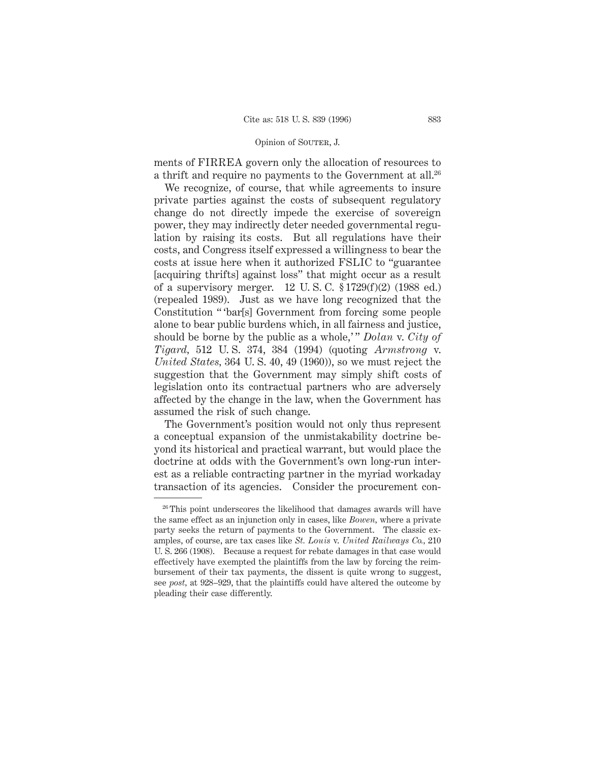ments of FIRREA govern only the allocation of resources to a thrift and require no payments to the Government at all.26

We recognize, of course, that while agreements to insure private parties against the costs of subsequent regulatory change do not directly impede the exercise of sovereign power, they may indirectly deter needed governmental regulation by raising its costs. But all regulations have their costs, and Congress itself expressed a willingness to bear the costs at issue here when it authorized FSLIC to "guarantee [acquiring thrifts] against loss" that might occur as a result of a supervisory merger. 12 U. S. C. § 1729(f)(2) (1988 ed.) (repealed 1989). Just as we have long recognized that the Constitution " 'bar[s] Government from forcing some people alone to bear public burdens which, in all fairness and justice, should be borne by the public as a whole,'" *Dolan* v. *City of Tigard,* 512 U. S. 374, 384 (1994) (quoting *Armstrong* v. *United States,* 364 U. S. 40, 49 (1960)), so we must reject the suggestion that the Government may simply shift costs of legislation onto its contractual partners who are adversely affected by the change in the law, when the Government has assumed the risk of such change.

The Government's position would not only thus represent a conceptual expansion of the unmistakability doctrine beyond its historical and practical warrant, but would place the doctrine at odds with the Government's own long-run interest as a reliable contracting partner in the myriad workaday transaction of its agencies. Consider the procurement con-

<sup>&</sup>lt;sup>26</sup> This point underscores the likelihood that damages awards will have the same effect as an injunction only in cases, like *Bowen,* where a private party seeks the return of payments to the Government. The classic examples, of course, are tax cases like *St. Louis* v. *United Railways Co.,* 210 U. S. 266 (1908). Because a request for rebate damages in that case would effectively have exempted the plaintiffs from the law by forcing the reimbursement of their tax payments, the dissent is quite wrong to suggest, see *post,* at 928–929, that the plaintiffs could have altered the outcome by pleading their case differently.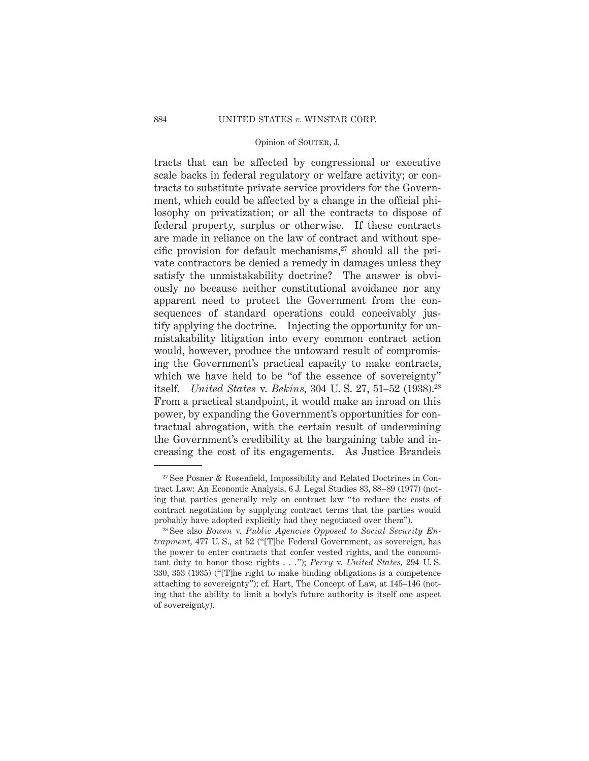tracts that can be affected by congressional or executive scale backs in federal regulatory or welfare activity; or contracts to substitute private service providers for the Government, which could be affected by a change in the official philosophy on privatization; or all the contracts to dispose of federal property, surplus or otherwise. If these contracts are made in reliance on the law of contract and without specific provision for default mechanisms, $27$  should all the private contractors be denied a remedy in damages unless they satisfy the unmistakability doctrine? The answer is obviously no because neither constitutional avoidance nor any apparent need to protect the Government from the consequences of standard operations could conceivably justify applying the doctrine. Injecting the opportunity for unmistakability litigation into every common contract action would, however, produce the untoward result of compromising the Government's practical capacity to make contracts, which we have held to be "of the essence of sovereignty" itself. *United States* v. *Bekins,* 304 U. S. 27, 51–52 (1938).28 From a practical standpoint, it would make an inroad on this power, by expanding the Government's opportunities for contractual abrogation, with the certain result of undermining the Government's credibility at the bargaining table and increasing the cost of its engagements. As Justice Brandeis

<sup>27</sup> See Posner & Rosenfield, Impossibility and Related Doctrines in Contract Law: An Economic Analysis, 6 J. Legal Studies 83, 88–89 (1977) (noting that parties generally rely on contract law "to reduce the costs of contract negotiation by supplying contract terms that the parties would probably have adopted explicitly had they negotiated over them").

<sup>28</sup> See also *Bowen* v. *Public Agencies Opposed to Social Security Entrapment,* 477 U. S., at 52 ("[T]he Federal Government, as sovereign, has the power to enter contracts that confer vested rights, and the concomitant duty to honor those rights . . ."); *Perry* v. *United States,* 294 U. S. 330, 353 (1935) ("[T]he right to make binding obligations is a competence attaching to sovereignty"); cf. Hart, The Concept of Law, at 145–146 (noting that the ability to limit a body's future authority is itself one aspect of sovereignty).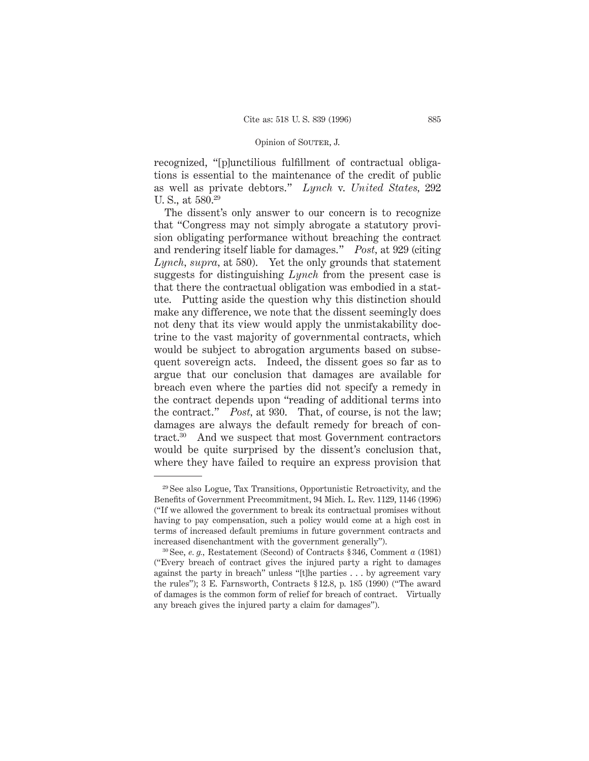recognized, "[p]unctilious fulfillment of contractual obligations is essential to the maintenance of the credit of public as well as private debtors." *Lynch* v. *United States,* 292 U. S., at 580.29

The dissent's only answer to our concern is to recognize that "Congress may not simply abrogate a statutory provision obligating performance without breaching the contract and rendering itself liable for damages." *Post,* at 929 (citing *Lynch, supra,* at 580). Yet the only grounds that statement suggests for distinguishing *Lynch* from the present case is that there the contractual obligation was embodied in a statute. Putting aside the question why this distinction should make any difference, we note that the dissent seemingly does not deny that its view would apply the unmistakability doctrine to the vast majority of governmental contracts, which would be subject to abrogation arguments based on subsequent sovereign acts. Indeed, the dissent goes so far as to argue that our conclusion that damages are available for breach even where the parties did not specify a remedy in the contract depends upon "reading of additional terms into the contract." *Post,* at 930. That, of course, is not the law; damages are always the default remedy for breach of contract.30 And we suspect that most Government contractors would be quite surprised by the dissent's conclusion that, where they have failed to require an express provision that

<sup>29</sup> See also Logue, Tax Transitions, Opportunistic Retroactivity, and the Benefits of Government Precommitment, 94 Mich. L. Rev. 1129, 1146 (1996) ("If we allowed the government to break its contractual promises without having to pay compensation, such a policy would come at a high cost in terms of increased default premiums in future government contracts and increased disenchantment with the government generally").

<sup>30</sup> See, *e. g.,* Restatement (Second) of Contracts § 346, Comment *a* (1981) ("Every breach of contract gives the injured party a right to damages against the party in breach" unless "[t]he parties . . . by agreement vary the rules"); 3 E. Farnsworth, Contracts § 12.8, p. 185 (1990) ("The award of damages is the common form of relief for breach of contract. Virtually any breach gives the injured party a claim for damages").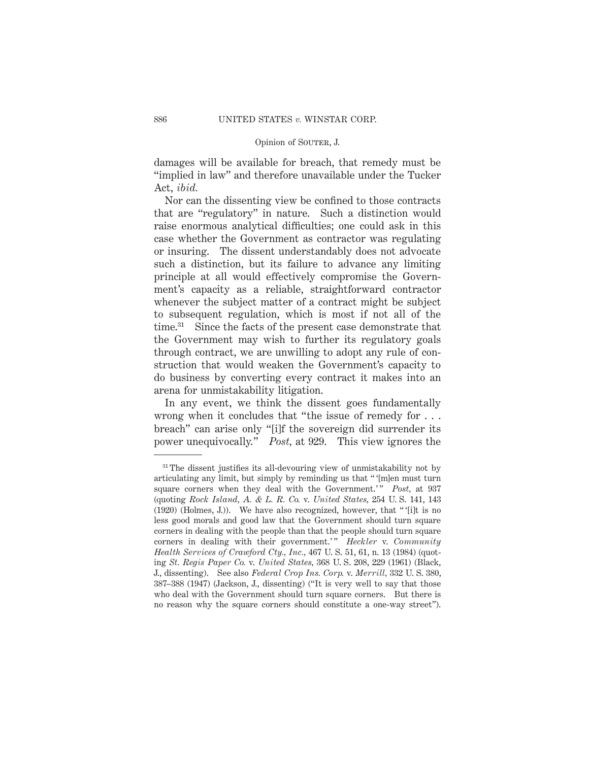damages will be available for breach, that remedy must be "implied in law" and therefore unavailable under the Tucker Act, *ibid.*

Nor can the dissenting view be confined to those contracts that are "regulatory" in nature. Such a distinction would raise enormous analytical difficulties; one could ask in this case whether the Government as contractor was regulating or insuring. The dissent understandably does not advocate such a distinction, but its failure to advance any limiting principle at all would effectively compromise the Government's capacity as a reliable, straightforward contractor whenever the subject matter of a contract might be subject to subsequent regulation, which is most if not all of the time.<sup>31</sup> Since the facts of the present case demonstrate that the Government may wish to further its regulatory goals through contract, we are unwilling to adopt any rule of construction that would weaken the Government's capacity to do business by converting every contract it makes into an arena for unmistakability litigation.

In any event, we think the dissent goes fundamentally wrong when it concludes that "the issue of remedy for ... breach" can arise only "[i]f the sovereign did surrender its power unequivocally." *Post,* at 929. This view ignores the

<sup>&</sup>lt;sup>31</sup> The dissent justifies its all-devouring view of unmistakability not by articulating any limit, but simply by reminding us that " '[m]en must turn square corners when they deal with the Government.'" *Post*, at 937 (quoting *Rock Island, A. & L. R. Co.* v. *United States,* 254 U. S. 141, 143 (1920) (Holmes, J.)). We have also recognized, however, that " '[i]t is no less good morals and good law that the Government should turn square corners in dealing with the people than that the people should turn square corners in dealing with their government.'" *Heckler* v. *Community Health Services of Crawford Cty., Inc.,* 467 U. S. 51, 61, n. 13 (1984) (quoting *St. Regis Paper Co.* v. *United States,* 368 U. S. 208, 229 (1961) (Black, J., dissenting). See also *Federal Crop Ins. Corp.* v. *Merrill,* 332 U. S. 380, 387–388 (1947) (Jackson, J., dissenting) ("It is very well to say that those who deal with the Government should turn square corners. But there is no reason why the square corners should constitute a one-way street").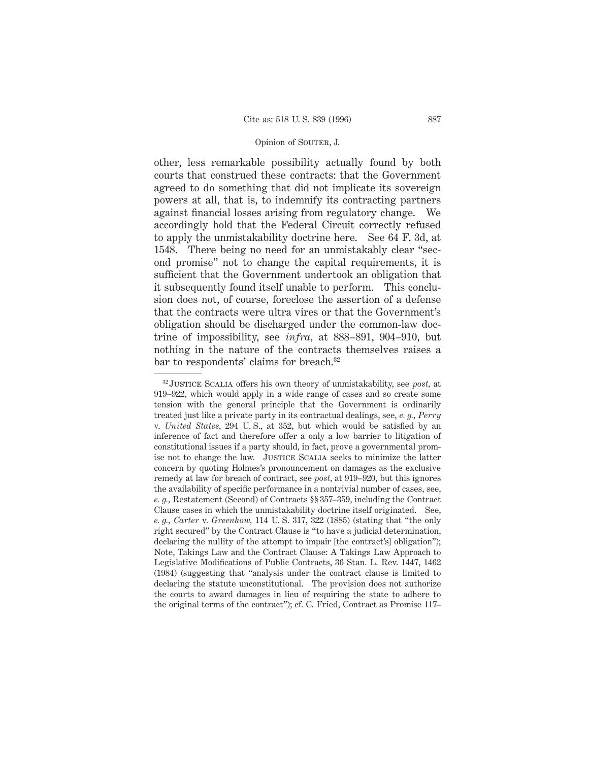other, less remarkable possibility actually found by both courts that construed these contracts: that the Government agreed to do something that did not implicate its sovereign powers at all, that is, to indemnify its contracting partners against financial losses arising from regulatory change. We accordingly hold that the Federal Circuit correctly refused to apply the unmistakability doctrine here. See 64 F. 3d, at 1548. There being no need for an unmistakably clear "second promise" not to change the capital requirements, it is sufficient that the Government undertook an obligation that it subsequently found itself unable to perform. This conclusion does not, of course, foreclose the assertion of a defense that the contracts were ultra vires or that the Government's obligation should be discharged under the common-law doctrine of impossibility, see *infra,* at 888–891, 904–910, but nothing in the nature of the contracts themselves raises a bar to respondents' claims for breach.<sup>32</sup>

<sup>32</sup> Justice Scalia offers his own theory of unmistakability, see *post,* at 919–922, which would apply in a wide range of cases and so create some tension with the general principle that the Government is ordinarily treated just like a private party in its contractual dealings, see, *e. g., Perry* v. *United States,* 294 U. S., at 352, but which would be satisfied by an inference of fact and therefore offer a only a low barrier to litigation of constitutional issues if a party should, in fact, prove a governmental promise not to change the law. Justice Scalia seeks to minimize the latter concern by quoting Holmes's pronouncement on damages as the exclusive remedy at law for breach of contract, see *post,* at 919–920, but this ignores the availability of specific performance in a nontrivial number of cases, see, *e. g.,* Restatement (Second) of Contracts §§ 357–359, including the Contract Clause cases in which the unmistakability doctrine itself originated. See, *e. g., Carter* v. *Greenhow,* 114 U. S. 317, 322 (1885) (stating that "the only right secured" by the Contract Clause is "to have a judicial determination, declaring the nullity of the attempt to impair [the contract's] obligation"); Note, Takings Law and the Contract Clause: A Takings Law Approach to Legislative Modifications of Public Contracts, 36 Stan. L. Rev. 1447, 1462 (1984) (suggesting that "analysis under the contract clause is limited to declaring the statute unconstitutional. The provision does not authorize the courts to award damages in lieu of requiring the state to adhere to the original terms of the contract"); cf. C. Fried, Contract as Promise 117–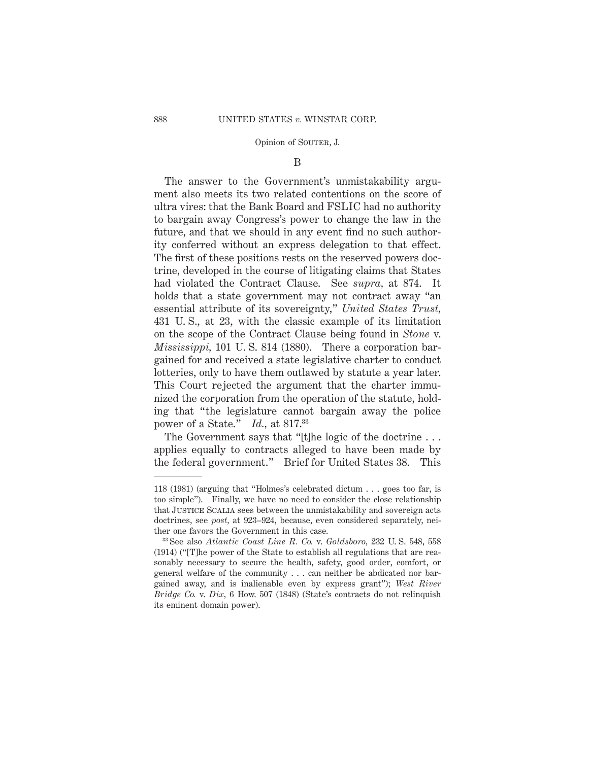# B

The answer to the Government's unmistakability argument also meets its two related contentions on the score of ultra vires: that the Bank Board and FSLIC had no authority to bargain away Congress's power to change the law in the future, and that we should in any event find no such authority conferred without an express delegation to that effect. The first of these positions rests on the reserved powers doctrine, developed in the course of litigating claims that States had violated the Contract Clause. See *supra,* at 874. It holds that a state government may not contract away "an essential attribute of its sovereignty," *United States Trust,* 431 U. S., at 23, with the classic example of its limitation on the scope of the Contract Clause being found in *Stone* v. *Mississippi,* 101 U. S. 814 (1880). There a corporation bargained for and received a state legislative charter to conduct lotteries, only to have them outlawed by statute a year later. This Court rejected the argument that the charter immunized the corporation from the operation of the statute, holding that "the legislature cannot bargain away the police power of a State." *Id.,* at 817.33

The Government says that "[t]he logic of the doctrine... applies equally to contracts alleged to have been made by the federal government." Brief for United States 38. This

<sup>118 (1981) (</sup>arguing that "Holmes's celebrated dictum . . . goes too far, is too simple"). Finally, we have no need to consider the close relationship that Justice Scalia sees between the unmistakability and sovereign acts doctrines, see *post,* at 923–924, because, even considered separately, neither one favors the Government in this case.

<sup>33</sup> See also *Atlantic Coast Line R. Co.* v. *Goldsboro,* 232 U. S. 548, 558 (1914) ("[T]he power of the State to establish all regulations that are reasonably necessary to secure the health, safety, good order, comfort, or general welfare of the community . . . can neither be abdicated nor bargained away, and is inalienable even by express grant"); *West River Bridge Co.* v. *Dix,* 6 How. 507 (1848) (State's contracts do not relinquish its eminent domain power).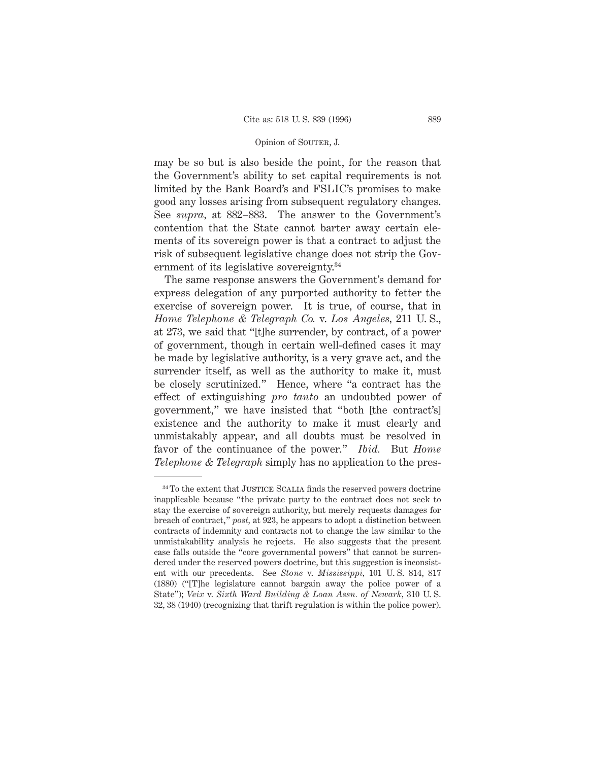may be so but is also beside the point, for the reason that the Government's ability to set capital requirements is not limited by the Bank Board's and FSLIC's promises to make good any losses arising from subsequent regulatory changes. See *supra,* at 882–883. The answer to the Government's contention that the State cannot barter away certain elements of its sovereign power is that a contract to adjust the risk of subsequent legislative change does not strip the Government of its legislative sovereignty.34

The same response answers the Government's demand for express delegation of any purported authority to fetter the exercise of sovereign power. It is true, of course, that in *Home Telephone & Telegraph Co.* v. *Los Angeles,* 211 U. S., at 273, we said that "[t]he surrender, by contract, of a power of government, though in certain well-defined cases it may be made by legislative authority, is a very grave act, and the surrender itself, as well as the authority to make it, must be closely scrutinized." Hence, where "a contract has the effect of extinguishing *pro tanto* an undoubted power of government," we have insisted that "both [the contract's] existence and the authority to make it must clearly and unmistakably appear, and all doubts must be resolved in favor of the continuance of the power." *Ibid.* But *Home Telephone & Telegraph* simply has no application to the pres-

<sup>&</sup>lt;sup>34</sup> To the extent that JUSTICE SCALIA finds the reserved powers doctrine inapplicable because "the private party to the contract does not seek to stay the exercise of sovereign authority, but merely requests damages for breach of contract," *post,* at 923, he appears to adopt a distinction between contracts of indemnity and contracts not to change the law similar to the unmistakability analysis he rejects. He also suggests that the present case falls outside the "core governmental powers" that cannot be surrendered under the reserved powers doctrine, but this suggestion is inconsistent with our precedents. See *Stone* v. *Mississippi,* 101 U. S. 814, 817 (1880) ("[T]he legislature cannot bargain away the police power of a State"); *Veix* v. *Sixth Ward Building & Loan Assn. of Newark,* 310 U. S. 32, 38 (1940) (recognizing that thrift regulation is within the police power).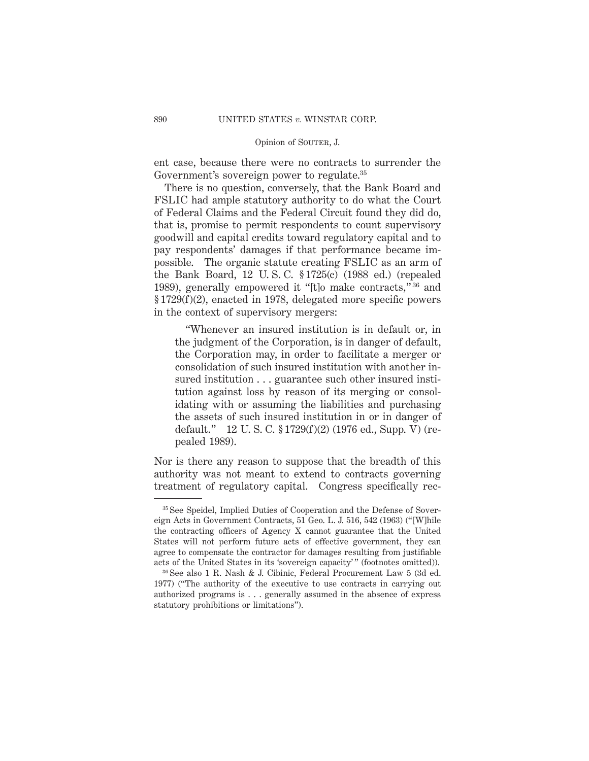ent case, because there were no contracts to surrender the Government's sovereign power to regulate.<sup>35</sup>

There is no question, conversely, that the Bank Board and FSLIC had ample statutory authority to do what the Court of Federal Claims and the Federal Circuit found they did do, that is, promise to permit respondents to count supervisory goodwill and capital credits toward regulatory capital and to pay respondents' damages if that performance became impossible. The organic statute creating FSLIC as an arm of the Bank Board, 12 U. S. C. § 1725(c) (1988 ed.) (repealed 1989), generally empowered it "[t]o make contracts," <sup>36</sup> and § 1729(f)(2), enacted in 1978, delegated more specific powers in the context of supervisory mergers:

"Whenever an insured institution is in default or, in the judgment of the Corporation, is in danger of default, the Corporation may, in order to facilitate a merger or consolidation of such insured institution with another insured institution . . . guarantee such other insured institution against loss by reason of its merging or consolidating with or assuming the liabilities and purchasing the assets of such insured institution in or in danger of default." 12 U. S. C. § 1729(f)(2) (1976 ed., Supp. V) (repealed 1989).

Nor is there any reason to suppose that the breadth of this authority was not meant to extend to contracts governing treatment of regulatory capital. Congress specifically rec-

<sup>&</sup>lt;sup>35</sup> See Speidel, Implied Duties of Cooperation and the Defense of Sovereign Acts in Government Contracts, 51 Geo. L. J. 516, 542 (1963) ("[W]hile the contracting officers of Agency X cannot guarantee that the United States will not perform future acts of effective government, they can agree to compensate the contractor for damages resulting from justifiable acts of the United States in its 'sovereign capacity' " (footnotes omitted)).

<sup>36</sup> See also 1 R. Nash & J. Cibinic, Federal Procurement Law 5 (3d ed. 1977) ("The authority of the executive to use contracts in carrying out authorized programs is . . . generally assumed in the absence of express statutory prohibitions or limitations").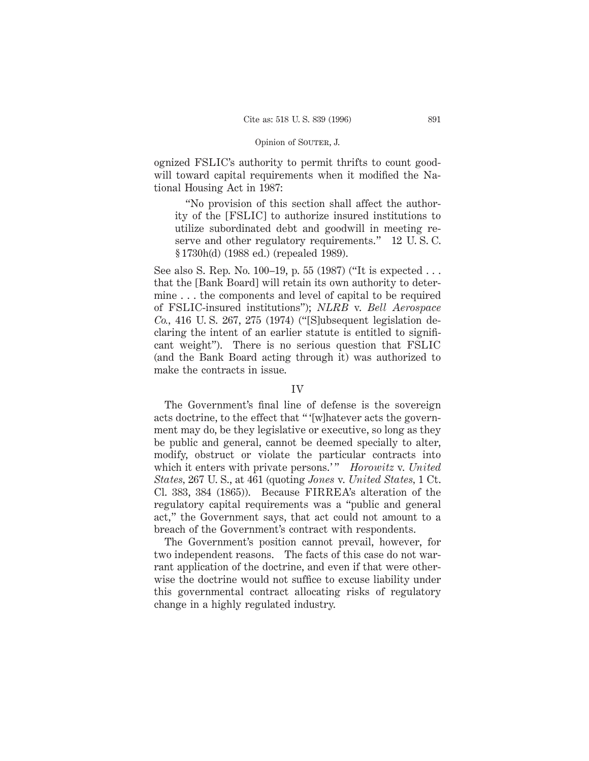ognized FSLIC's authority to permit thrifts to count goodwill toward capital requirements when it modified the National Housing Act in 1987:

"No provision of this section shall affect the authority of the [FSLIC] to authorize insured institutions to utilize subordinated debt and goodwill in meeting reserve and other regulatory requirements." 12 U. S. C. § 1730h(d) (1988 ed.) (repealed 1989).

See also S. Rep. No. 100–19, p. 55 (1987) ("It is expected . . . that the [Bank Board] will retain its own authority to determine . . . the components and level of capital to be required of FSLIC-insured institutions"); *NLRB* v. *Bell Aerospace Co.,* 416 U. S. 267, 275 (1974) ("[S]ubsequent legislation declaring the intent of an earlier statute is entitled to significant weight"). There is no serious question that FSLIC (and the Bank Board acting through it) was authorized to make the contracts in issue.

# IV

The Government's final line of defense is the sovereign acts doctrine, to the effect that " '[w]hatever acts the government may do, be they legislative or executive, so long as they be public and general, cannot be deemed specially to alter, modify, obstruct or violate the particular contracts into which it enters with private persons.'" *Horowitz* v. *United States,* 267 U. S., at 461 (quoting *Jones* v. *United States,* 1 Ct. Cl. 383, 384 (1865)). Because FIRREA's alteration of the regulatory capital requirements was a "public and general act," the Government says, that act could not amount to a breach of the Government's contract with respondents.

The Government's position cannot prevail, however, for two independent reasons. The facts of this case do not warrant application of the doctrine, and even if that were otherwise the doctrine would not suffice to excuse liability under this governmental contract allocating risks of regulatory change in a highly regulated industry.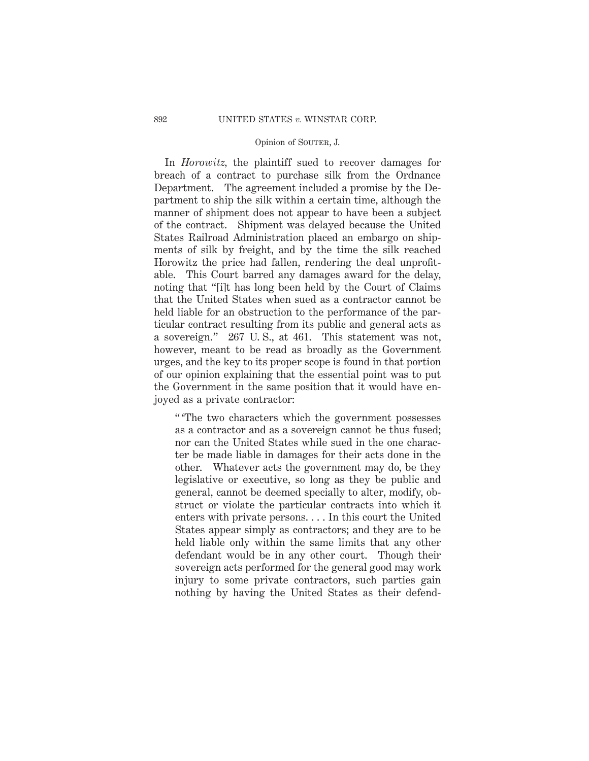In *Horowitz,* the plaintiff sued to recover damages for breach of a contract to purchase silk from the Ordnance Department. The agreement included a promise by the Department to ship the silk within a certain time, although the manner of shipment does not appear to have been a subject of the contract. Shipment was delayed because the United States Railroad Administration placed an embargo on shipments of silk by freight, and by the time the silk reached Horowitz the price had fallen, rendering the deal unprofitable. This Court barred any damages award for the delay, noting that "[i]t has long been held by the Court of Claims that the United States when sued as a contractor cannot be held liable for an obstruction to the performance of the particular contract resulting from its public and general acts as a sovereign." 267 U. S., at 461. This statement was not, however, meant to be read as broadly as the Government urges, and the key to its proper scope is found in that portion of our opinion explaining that the essential point was to put the Government in the same position that it would have enjoyed as a private contractor:

" 'The two characters which the government possesses as a contractor and as a sovereign cannot be thus fused; nor can the United States while sued in the one character be made liable in damages for their acts done in the other. Whatever acts the government may do, be they legislative or executive, so long as they be public and general, cannot be deemed specially to alter, modify, obstruct or violate the particular contracts into which it enters with private persons. . . . In this court the United States appear simply as contractors; and they are to be held liable only within the same limits that any other defendant would be in any other court. Though their sovereign acts performed for the general good may work injury to some private contractors, such parties gain nothing by having the United States as their defend-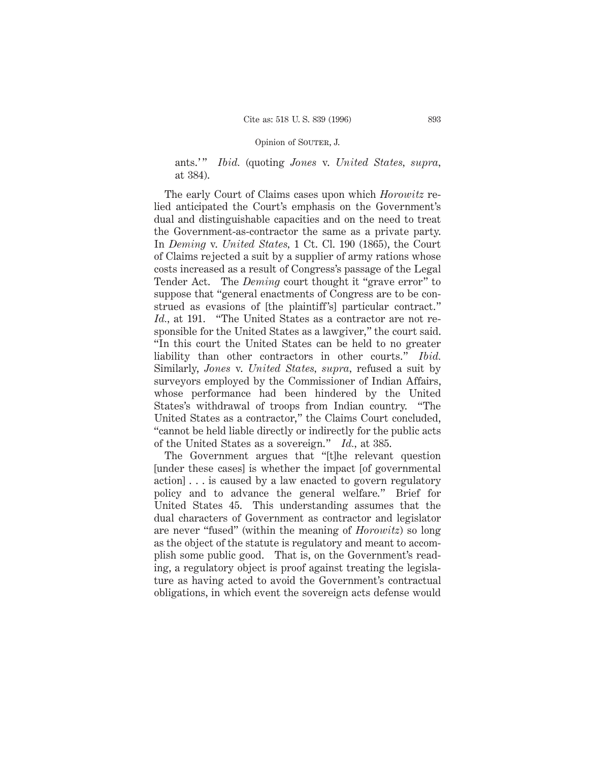# ants.'" *Ibid.* (quoting *Jones* v. *United States, supra,* at 384).

The early Court of Claims cases upon which *Horowitz* relied anticipated the Court's emphasis on the Government's dual and distinguishable capacities and on the need to treat the Government-as-contractor the same as a private party. In *Deming* v. *United States,* 1 Ct. Cl. 190 (1865), the Court of Claims rejected a suit by a supplier of army rations whose costs increased as a result of Congress's passage of the Legal Tender Act. The *Deming* court thought it "grave error" to suppose that "general enactments of Congress are to be construed as evasions of [the plaintiff's] particular contract." *Id.,* at 191. "The United States as a contractor are not responsible for the United States as a lawgiver," the court said. "In this court the United States can be held to no greater liability than other contractors in other courts." *Ibid.* Similarly, *Jones* v. *United States, supra,* refused a suit by surveyors employed by the Commissioner of Indian Affairs, whose performance had been hindered by the United States's withdrawal of troops from Indian country. "The United States as a contractor," the Claims Court concluded, "cannot be held liable directly or indirectly for the public acts of the United States as a sovereign." *Id.,* at 385.

The Government argues that "[t]he relevant question [under these cases] is whether the impact [of governmental action] . . . is caused by a law enacted to govern regulatory policy and to advance the general welfare." Brief for United States 45. This understanding assumes that the dual characters of Government as contractor and legislator are never "fused" (within the meaning of *Horowitz*) so long as the object of the statute is regulatory and meant to accomplish some public good. That is, on the Government's reading, a regulatory object is proof against treating the legislature as having acted to avoid the Government's contractual obligations, in which event the sovereign acts defense would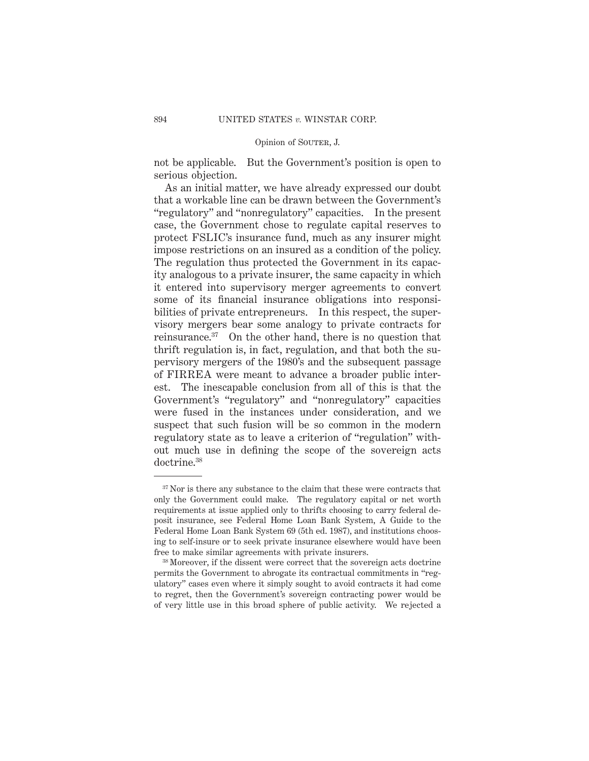not be applicable. But the Government's position is open to serious objection.

As an initial matter, we have already expressed our doubt that a workable line can be drawn between the Government's "regulatory" and "nonregulatory" capacities. In the present case, the Government chose to regulate capital reserves to protect FSLIC's insurance fund, much as any insurer might impose restrictions on an insured as a condition of the policy. The regulation thus protected the Government in its capacity analogous to a private insurer, the same capacity in which it entered into supervisory merger agreements to convert some of its financial insurance obligations into responsibilities of private entrepreneurs. In this respect, the supervisory mergers bear some analogy to private contracts for reinsurance.37 On the other hand, there is no question that thrift regulation is, in fact, regulation, and that both the supervisory mergers of the 1980's and the subsequent passage of FIRREA were meant to advance a broader public interest. The inescapable conclusion from all of this is that the Government's "regulatory" and "nonregulatory" capacities were fused in the instances under consideration, and we suspect that such fusion will be so common in the modern regulatory state as to leave a criterion of "regulation" without much use in defining the scope of the sovereign acts doctrine.38

<sup>&</sup>lt;sup>37</sup> Nor is there any substance to the claim that these were contracts that only the Government could make. The regulatory capital or net worth requirements at issue applied only to thrifts choosing to carry federal deposit insurance, see Federal Home Loan Bank System, A Guide to the Federal Home Loan Bank System 69 (5th ed. 1987), and institutions choosing to self-insure or to seek private insurance elsewhere would have been free to make similar agreements with private insurers.

<sup>38</sup> Moreover, if the dissent were correct that the sovereign acts doctrine permits the Government to abrogate its contractual commitments in "regulatory" cases even where it simply sought to avoid contracts it had come to regret, then the Government's sovereign contracting power would be of very little use in this broad sphere of public activity. We rejected a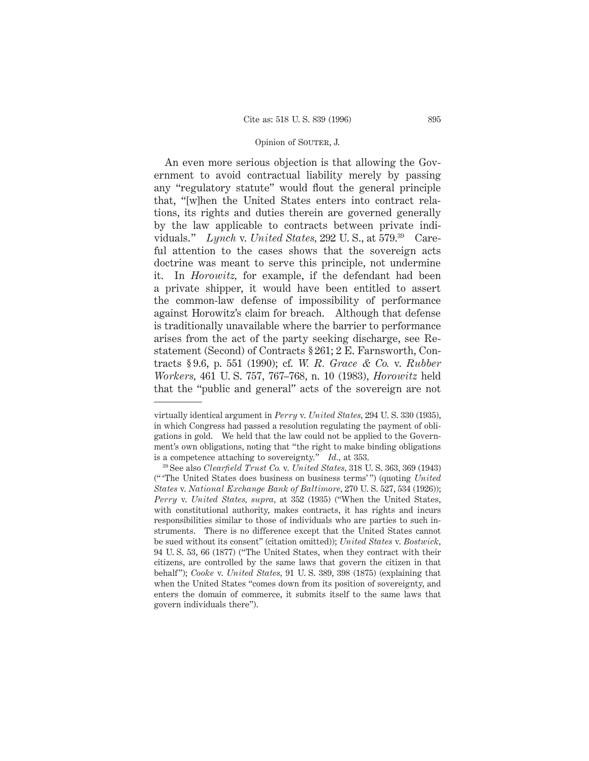An even more serious objection is that allowing the Government to avoid contractual liability merely by passing any "regulatory statute" would flout the general principle that, "[w]hen the United States enters into contract relations, its rights and duties therein are governed generally by the law applicable to contracts between private individuals." *Lynch* v. *United States,* 292 U. S., at 579.39 Careful attention to the cases shows that the sovereign acts doctrine was meant to serve this principle, not undermine it. In *Horowitz,* for example, if the defendant had been a private shipper, it would have been entitled to assert the common-law defense of impossibility of performance against Horowitz's claim for breach. Although that defense is traditionally unavailable where the barrier to performance arises from the act of the party seeking discharge, see Restatement (Second) of Contracts § 261; 2 E. Farnsworth, Contracts § 9.6, p. 551 (1990); cf. *W. R. Grace & Co.* v. *Rubber Workers,* 461 U. S. 757, 767–768, n. 10 (1983), *Horowitz* held that the "public and general" acts of the sovereign are not

virtually identical argument in *Perry* v. *United States,* 294 U. S. 330 (1935), in which Congress had passed a resolution regulating the payment of obligations in gold. We held that the law could not be applied to the Government's own obligations, noting that "the right to make binding obligations is a competence attaching to sovereignty." *Id.,* at 353.

<sup>39</sup> See also *Clearfield Trust Co.* v. *United States,* 318 U. S. 363, 369 (1943) (" 'The United States does business on business terms' ") (quoting *United States* v. *National Exchange Bank of Baltimore,* 270 U. S. 527, 534 (1926)); *Perry* v. *United States, supra,* at 352 (1935) ("When the United States, with constitutional authority, makes contracts, it has rights and incurs responsibilities similar to those of individuals who are parties to such instruments. There is no difference except that the United States cannot be sued without its consent" (citation omitted)); *United States* v. *Bostwick,* 94 U. S. 53, 66 (1877) ("The United States, when they contract with their citizens, are controlled by the same laws that govern the citizen in that behalf"); *Cooke* v. *United States,* 91 U. S. 389, 398 (1875) (explaining that when the United States "comes down from its position of sovereignty, and enters the domain of commerce, it submits itself to the same laws that govern individuals there").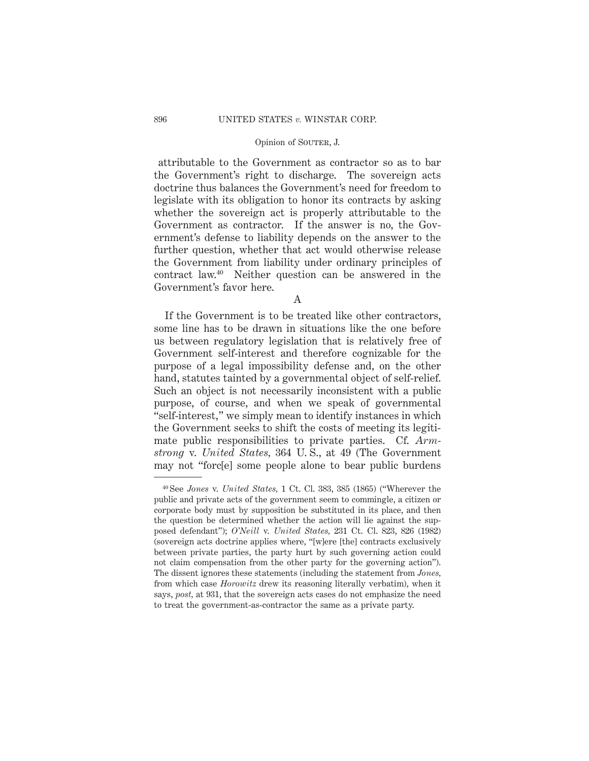attributable to the Government as contractor so as to bar the Government's right to discharge. The sovereign acts doctrine thus balances the Government's need for freedom to legislate with its obligation to honor its contracts by asking whether the sovereign act is properly attributable to the Government as contractor. If the answer is no, the Government's defense to liability depends on the answer to the further question, whether that act would otherwise release the Government from liability under ordinary principles of contract law.40 Neither question can be answered in the Government's favor here.

A

If the Government is to be treated like other contractors, some line has to be drawn in situations like the one before us between regulatory legislation that is relatively free of Government self-interest and therefore cognizable for the purpose of a legal impossibility defense and, on the other hand, statutes tainted by a governmental object of self-relief. Such an object is not necessarily inconsistent with a public purpose, of course, and when we speak of governmental "self-interest," we simply mean to identify instances in which the Government seeks to shift the costs of meeting its legitimate public responsibilities to private parties. Cf. *Armstrong* v. *United States,* 364 U. S., at 49 (The Government may not "forc[e] some people alone to bear public burdens

<sup>40</sup> See *Jones* v. *United States,* 1 Ct. Cl. 383, 385 (1865) ("Wherever the public and private acts of the government seem to commingle, a citizen or corporate body must by supposition be substituted in its place, and then the question be determined whether the action will lie against the supposed defendant"); *O'Neill* v. *United States,* 231 Ct. Cl. 823, 826 (1982) (sovereign acts doctrine applies where, "[w]ere [the] contracts exclusively between private parties, the party hurt by such governing action could not claim compensation from the other party for the governing action"). The dissent ignores these statements (including the statement from *Jones,* from which case *Horowitz* drew its reasoning literally verbatim), when it says, *post,* at 931, that the sovereign acts cases do not emphasize the need to treat the government-as-contractor the same as a private party.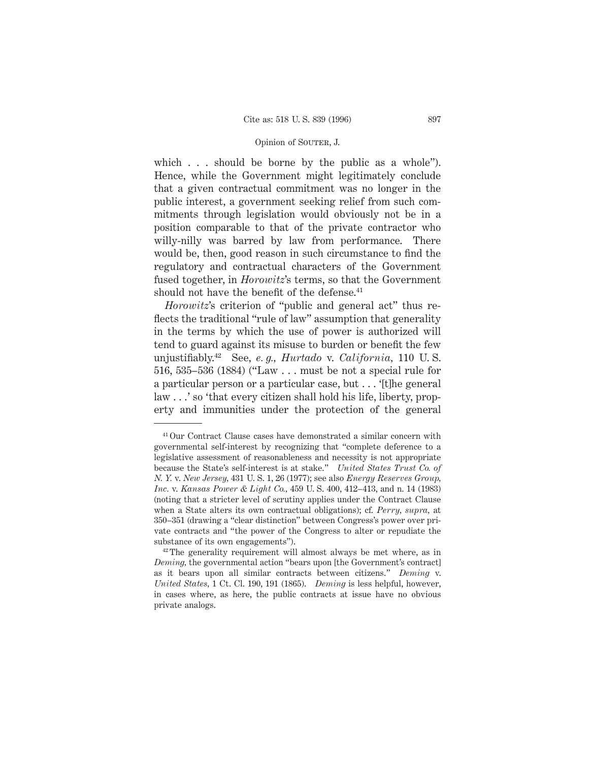which . . . should be borne by the public as a whole"). Hence, while the Government might legitimately conclude that a given contractual commitment was no longer in the public interest, a government seeking relief from such commitments through legislation would obviously not be in a position comparable to that of the private contractor who willy-nilly was barred by law from performance. There would be, then, good reason in such circumstance to find the regulatory and contractual characters of the Government fused together, in *Horowitz*'s terms, so that the Government should not have the benefit of the defense.<sup>41</sup>

*Horowitz*'s criterion of "public and general act" thus reflects the traditional "rule of law" assumption that generality in the terms by which the use of power is authorized will tend to guard against its misuse to burden or benefit the few unjustifiably.42 See, *e. g., Hurtado* v. *California,* 110 U. S. 516, 535–536 (1884) ("Law . . . must be not a special rule for a particular person or a particular case, but . . . '[t]he general law . . .' so 'that every citizen shall hold his life, liberty, property and immunities under the protection of the general

<sup>41</sup> Our Contract Clause cases have demonstrated a similar concern with governmental self-interest by recognizing that "complete deference to a legislative assessment of reasonableness and necessity is not appropriate because the State's self-interest is at stake." *United States Trust Co. of N. Y.* v. *New Jersey,* 431 U. S. 1, 26 (1977); see also *Energy Reserves Group, Inc.* v. *Kansas Power & Light Co.,* 459 U. S. 400, 412–413, and n. 14 (1983) (noting that a stricter level of scrutiny applies under the Contract Clause when a State alters its own contractual obligations); cf. *Perry, supra,* at 350–351 (drawing a "clear distinction" between Congress's power over private contracts and "the power of the Congress to alter or repudiate the substance of its own engagements").

 $42$  The generality requirement will almost always be met where, as in *Deming*, the governmental action "bears upon [the Government's contract] as it bears upon all similar contracts between citizens." *Deming* v. *United States,* 1 Ct. Cl. 190, 191 (1865). *Deming* is less helpful, however, in cases where, as here, the public contracts at issue have no obvious private analogs.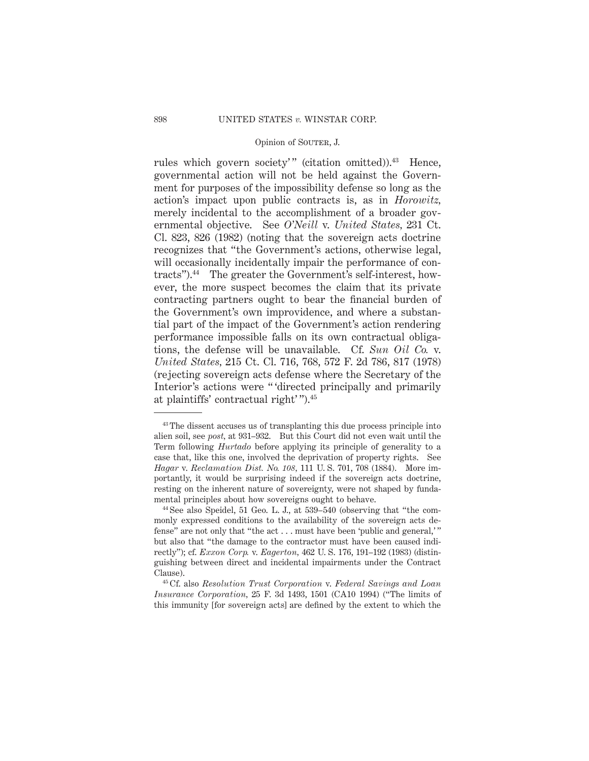rules which govern society'" (citation omitted)). $43$  Hence, governmental action will not be held against the Government for purposes of the impossibility defense so long as the action's impact upon public contracts is, as in *Horowitz,* merely incidental to the accomplishment of a broader governmental objective. See *O'Neill* v. *United States,* 231 Ct. Cl. 823, 826 (1982) (noting that the sovereign acts doctrine recognizes that "the Government's actions, otherwise legal, will occasionally incidentally impair the performance of contracts").44 The greater the Government's self-interest, however, the more suspect becomes the claim that its private contracting partners ought to bear the financial burden of the Government's own improvidence, and where a substantial part of the impact of the Government's action rendering performance impossible falls on its own contractual obligations, the defense will be unavailable. Cf. *Sun Oil Co.* v. *United States,* 215 Ct. Cl. 716, 768, 572 F. 2d 786, 817 (1978) (rejecting sovereign acts defense where the Secretary of the Interior's actions were " 'directed principally and primarily at plaintiffs' contractual right' ").45

<sup>43</sup> The dissent accuses us of transplanting this due process principle into alien soil, see *post,* at 931–932. But this Court did not even wait until the Term following *Hurtado* before applying its principle of generality to a case that, like this one, involved the deprivation of property rights. See *Hagar* v. *Reclamation Dist. No. 108,* 111 U. S. 701, 708 (1884). More importantly, it would be surprising indeed if the sovereign acts doctrine, resting on the inherent nature of sovereignty, were not shaped by fundamental principles about how sovereigns ought to behave.

<sup>44</sup> See also Speidel, 51 Geo. L. J., at 539–540 (observing that "the commonly expressed conditions to the availability of the sovereign acts defense" are not only that "the act . . . must have been 'public and general,' " but also that "the damage to the contractor must have been caused indirectly"); cf. *Exxon Corp.* v. *Eagerton,* 462 U. S. 176, 191–192 (1983) (distinguishing between direct and incidental impairments under the Contract Clause).

<sup>45</sup> Cf. also *Resolution Trust Corporation* v. *Federal Savings and Loan Insurance Corporation,* 25 F. 3d 1493, 1501 (CA10 1994) ("The limits of this immunity [for sovereign acts] are defined by the extent to which the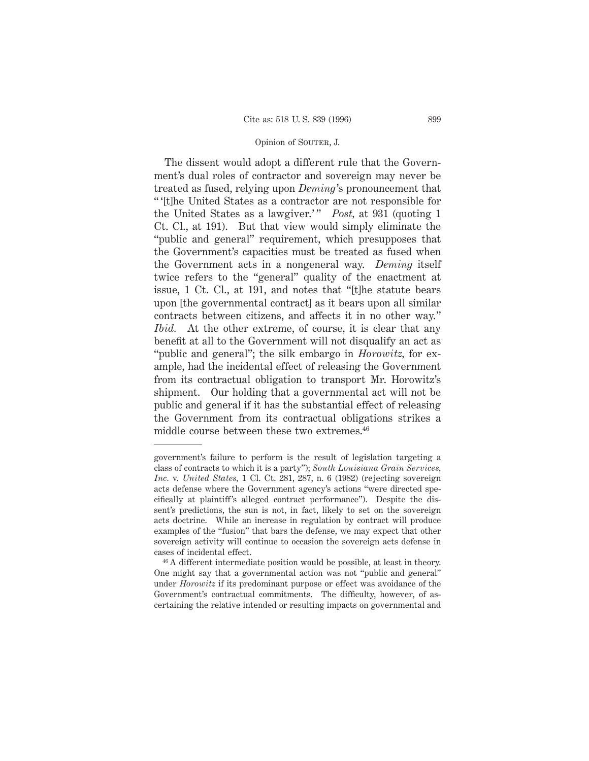The dissent would adopt a different rule that the Government's dual roles of contractor and sovereign may never be treated as fused, relying upon *Deming*'s pronouncement that " '[t]he United States as a contractor are not responsible for the United States as a lawgiver.'" *Post*, at 931 (quoting 1) Ct. Cl., at 191). But that view would simply eliminate the "public and general" requirement, which presupposes that the Government's capacities must be treated as fused when the Government acts in a nongeneral way. *Deming* itself twice refers to the "general" quality of the enactment at issue, 1 Ct. Cl., at 191, and notes that "[t]he statute bears upon [the governmental contract] as it bears upon all similar contracts between citizens, and affects it in no other way." *Ibid.* At the other extreme, of course, it is clear that any benefit at all to the Government will not disqualify an act as "public and general"; the silk embargo in *Horowitz,* for example, had the incidental effect of releasing the Government from its contractual obligation to transport Mr. Horowitz's shipment. Our holding that a governmental act will not be public and general if it has the substantial effect of releasing the Government from its contractual obligations strikes a middle course between these two extremes.46

government's failure to perform is the result of legislation targeting a class of contracts to which it is a party"); *South Louisiana Grain Services, Inc.* v. *United States,* 1 Cl. Ct. 281, 287, n. 6 (1982) (rejecting sovereign acts defense where the Government agency's actions "were directed specifically at plaintiff's alleged contract performance"). Despite the dissent's predictions, the sun is not, in fact, likely to set on the sovereign acts doctrine. While an increase in regulation by contract will produce examples of the "fusion" that bars the defense, we may expect that other sovereign activity will continue to occasion the sovereign acts defense in cases of incidental effect.

<sup>46</sup> A different intermediate position would be possible, at least in theory. One might say that a governmental action was not "public and general" under *Horowitz* if its predominant purpose or effect was avoidance of the Government's contractual commitments. The difficulty, however, of ascertaining the relative intended or resulting impacts on governmental and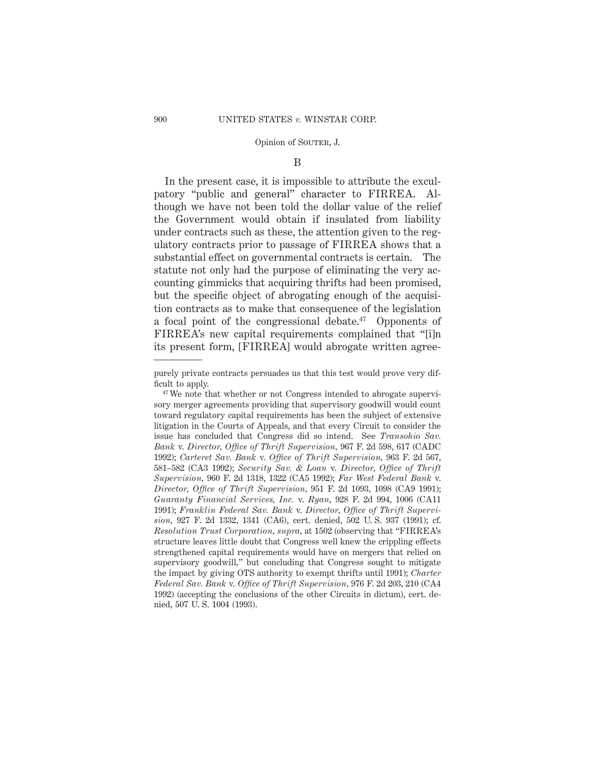# B

In the present case, it is impossible to attribute the exculpatory "public and general" character to FIRREA. Although we have not been told the dollar value of the relief the Government would obtain if insulated from liability under contracts such as these, the attention given to the regulatory contracts prior to passage of FIRREA shows that a substantial effect on governmental contracts is certain. The statute not only had the purpose of eliminating the very accounting gimmicks that acquiring thrifts had been promised, but the specific object of abrogating enough of the acquisition contracts as to make that consequence of the legislation a focal point of the congressional debate.<sup>47</sup> Opponents of FIRREA's new capital requirements complained that "[i]n its present form, [FIRREA] would abrogate written agree-

purely private contracts persuades us that this test would prove very difficult to apply.

<sup>&</sup>lt;sup>47</sup> We note that whether or not Congress intended to abrogate supervisory merger agreements providing that supervisory goodwill would count toward regulatory capital requirements has been the subject of extensive litigation in the Courts of Appeals, and that every Circuit to consider the issue has concluded that Congress did so intend. See *Transohio Sav. Bank* v. *Director, Office of Thrift Supervision,* 967 F. 2d 598, 617 (CADC 1992); *Carteret Sav. Bank* v. *Office of Thrift Supervision,* 963 F. 2d 567, 581–582 (CA3 1992); *Security Sav. & Loan* v. *Director, Office of Thrift Supervision,* 960 F. 2d 1318, 1322 (CA5 1992); *Far West Federal Bank* v. *Director, Office of Thrift Supervision,* 951 F. 2d 1093, 1098 (CA9 1991); *Guaranty Financial Services, Inc.* v. *Ryan,* 928 F. 2d 994, 1006 (CA11 1991); *Franklin Federal Sav. Bank* v. *Director, Office of Thrift Supervision,* 927 F. 2d 1332, 1341 (CA6), cert. denied, 502 U. S. 937 (1991); cf. *Resolution Trust Corporation, supra,* at 1502 (observing that "FIRREA's structure leaves little doubt that Congress well knew the crippling effects strengthened capital requirements would have on mergers that relied on supervisory goodwill," but concluding that Congress sought to mitigate the impact by giving OTS authority to exempt thrifts until 1991); *Charter Federal Sav. Bank* v. *Office of Thrift Supervision,* 976 F. 2d 203, 210 (CA4 1992) (accepting the conclusions of the other Circuits in dictum), cert. denied, 507 U. S. 1004 (1993).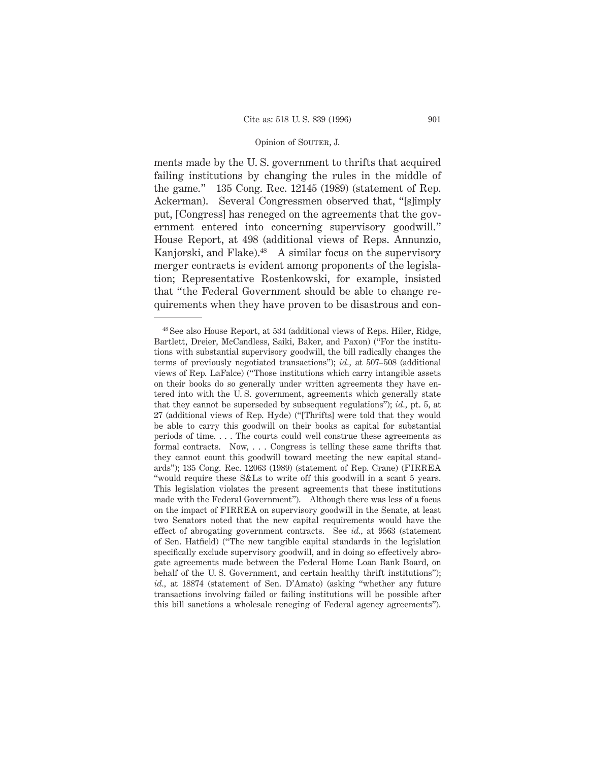ments made by the U. S. government to thrifts that acquired failing institutions by changing the rules in the middle of the game." 135 Cong. Rec. 12145 (1989) (statement of Rep. Ackerman). Several Congressmen observed that, "[s]imply put, [Congress] has reneged on the agreements that the government entered into concerning supervisory goodwill." House Report, at 498 (additional views of Reps. Annunzio, Kanjorski, and Flake).<sup>48</sup> A similar focus on the supervisory merger contracts is evident among proponents of the legislation; Representative Rostenkowski, for example, insisted that "the Federal Government should be able to change requirements when they have proven to be disastrous and con-

<sup>48</sup> See also House Report, at 534 (additional views of Reps. Hiler, Ridge, Bartlett, Dreier, McCandless, Saiki, Baker, and Paxon) ("For the institutions with substantial supervisory goodwill, the bill radically changes the terms of previously negotiated transactions"); *id.,* at 507–508 (additional views of Rep. LaFalce) ("Those institutions which carry intangible assets on their books do so generally under written agreements they have entered into with the U. S. government, agreements which generally state that they cannot be superseded by subsequent regulations"); *id.,* pt. 5, at 27 (additional views of Rep. Hyde) ("[Thrifts] were told that they would be able to carry this goodwill on their books as capital for substantial periods of time. . . . The courts could well construe these agreements as formal contracts. Now, . . . Congress is telling these same thrifts that they cannot count this goodwill toward meeting the new capital standards"); 135 Cong. Rec. 12063 (1989) (statement of Rep. Crane) (FIRREA "would require these S&Ls to write off this goodwill in a scant 5 years. This legislation violates the present agreements that these institutions made with the Federal Government"). Although there was less of a focus on the impact of FIRREA on supervisory goodwill in the Senate, at least two Senators noted that the new capital requirements would have the effect of abrogating government contracts. See *id.,* at 9563 (statement of Sen. Hatfield) ("The new tangible capital standards in the legislation specifically exclude supervisory goodwill, and in doing so effectively abrogate agreements made between the Federal Home Loan Bank Board, on behalf of the U. S. Government, and certain healthy thrift institutions"); *id.,* at 18874 (statement of Sen. D'Amato) (asking "whether any future transactions involving failed or failing institutions will be possible after this bill sanctions a wholesale reneging of Federal agency agreements").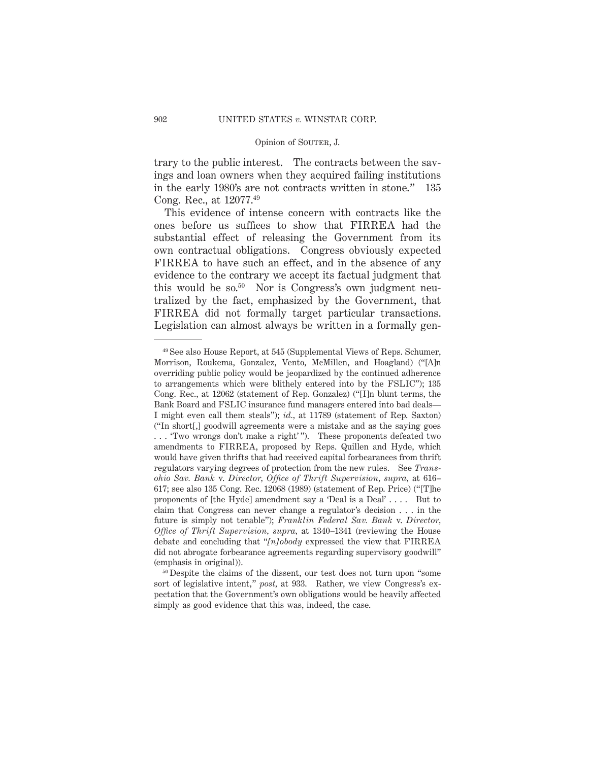trary to the public interest. The contracts between the savings and loan owners when they acquired failing institutions in the early 1980's are not contracts written in stone." 135 Cong. Rec., at 12077.49

This evidence of intense concern with contracts like the ones before us suffices to show that FIRREA had the substantial effect of releasing the Government from its own contractual obligations. Congress obviously expected FIRREA to have such an effect, and in the absence of any evidence to the contrary we accept its factual judgment that this would be so.<sup>50</sup> Nor is Congress's own judgment neutralized by the fact, emphasized by the Government, that FIRREA did not formally target particular transactions. Legislation can almost always be written in a formally gen-

<sup>49</sup> See also House Report, at 545 (Supplemental Views of Reps. Schumer, Morrison, Roukema, Gonzalez, Vento, McMillen, and Hoagland) ("[A]n overriding public policy would be jeopardized by the continued adherence to arrangements which were blithely entered into by the FSLIC"); 135 Cong. Rec., at 12062 (statement of Rep. Gonzalez) ("[I]n blunt terms, the Bank Board and FSLIC insurance fund managers entered into bad deals— I might even call them steals"); *id.,* at 11789 (statement of Rep. Saxton) ("In short[,] goodwill agreements were a mistake and as the saying goes . . . 'Two wrongs don't make a right' "). These proponents defeated two amendments to FIRREA, proposed by Reps. Quillen and Hyde, which would have given thrifts that had received capital forbearances from thrift regulators varying degrees of protection from the new rules. See *Transohio Sav. Bank* v. *Director, Office of Thrift Supervision, supra,* at 616– 617; see also 135 Cong. Rec. 12068 (1989) (statement of Rep. Price) ("[T]he proponents of [the Hyde] amendment say a 'Deal is a Deal' . . . . But to claim that Congress can never change a regulator's decision . . . in the future is simply not tenable"); *Franklin Federal Sav. Bank* v. *Director, Office of Thrift Supervision, supra,* at 1340–1341 (reviewing the House debate and concluding that "*[n]obody* expressed the view that FIRREA did not abrogate forbearance agreements regarding supervisory goodwill" (emphasis in original)).

<sup>&</sup>lt;sup>50</sup> Despite the claims of the dissent, our test does not turn upon "some sort of legislative intent," *post,* at 933. Rather, we view Congress's expectation that the Government's own obligations would be heavily affected simply as good evidence that this was, indeed, the case.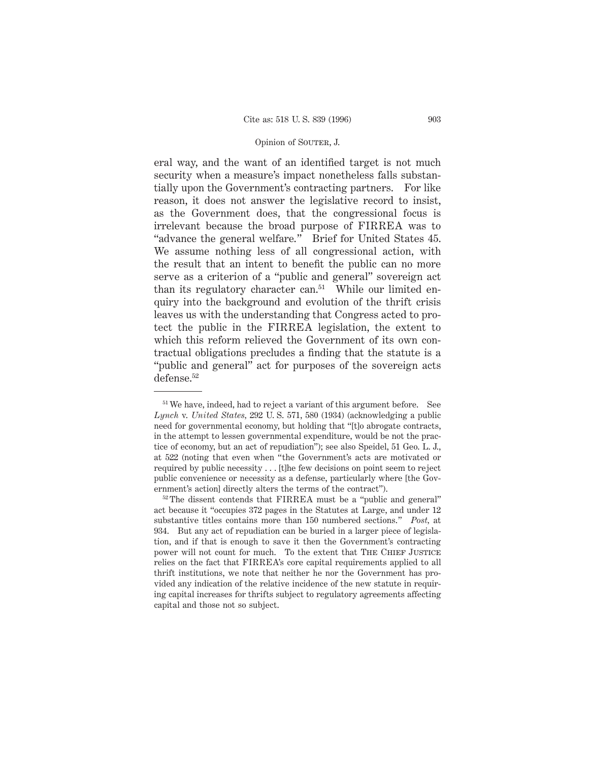eral way, and the want of an identified target is not much security when a measure's impact nonetheless falls substantially upon the Government's contracting partners. For like reason, it does not answer the legislative record to insist, as the Government does, that the congressional focus is irrelevant because the broad purpose of FIRREA was to "advance the general welfare." Brief for United States 45. We assume nothing less of all congressional action, with the result that an intent to benefit the public can no more serve as a criterion of a "public and general" sovereign act than its regulatory character can.<sup>51</sup> While our limited enquiry into the background and evolution of the thrift crisis leaves us with the understanding that Congress acted to protect the public in the FIRREA legislation, the extent to which this reform relieved the Government of its own contractual obligations precludes a finding that the statute is a "public and general" act for purposes of the sovereign acts defense.52

<sup>51</sup> We have, indeed, had to reject a variant of this argument before. See *Lynch* v. *United States,* 292 U. S. 571, 580 (1934) (acknowledging a public need for governmental economy, but holding that "[t]o abrogate contracts, in the attempt to lessen governmental expenditure, would be not the practice of economy, but an act of repudiation"); see also Speidel, 51 Geo. L. J., at 522 (noting that even when "the Government's acts are motivated or required by public necessity . . . [t]he few decisions on point seem to reject public convenience or necessity as a defense, particularly where [the Government's action] directly alters the terms of the contract").

 $52$  The dissent contends that FIRREA must be a "public and general" act because it "occupies 372 pages in the Statutes at Large, and under 12 substantive titles contains more than 150 numbered sections." *Post,* at 934. But any act of repudiation can be buried in a larger piece of legislation, and if that is enough to save it then the Government's contracting power will not count for much. To the extent that THE CHIEF JUSTICE relies on the fact that FIRREA's core capital requirements applied to all thrift institutions, we note that neither he nor the Government has provided any indication of the relative incidence of the new statute in requiring capital increases for thrifts subject to regulatory agreements affecting capital and those not so subject.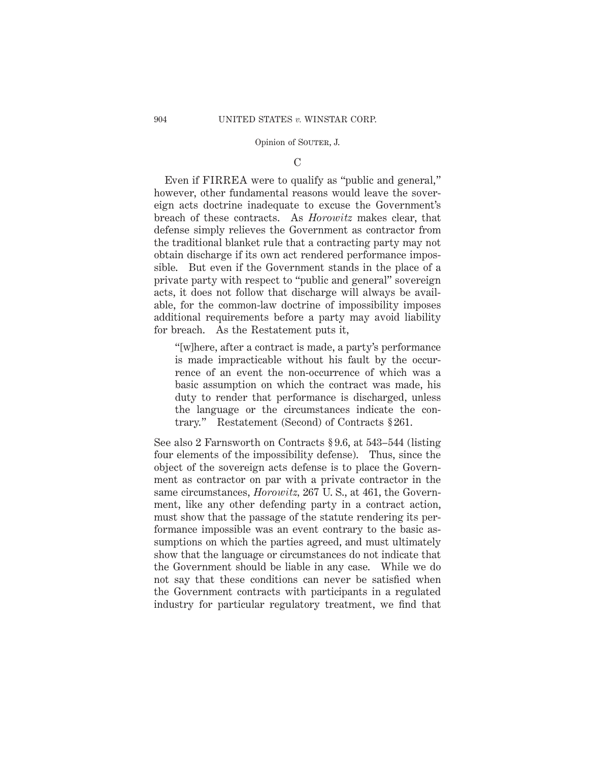# C

Even if FIRREA were to qualify as "public and general," however, other fundamental reasons would leave the sovereign acts doctrine inadequate to excuse the Government's breach of these contracts. As *Horowitz* makes clear, that defense simply relieves the Government as contractor from the traditional blanket rule that a contracting party may not obtain discharge if its own act rendered performance impossible. But even if the Government stands in the place of a private party with respect to "public and general" sovereign acts, it does not follow that discharge will always be available, for the common-law doctrine of impossibility imposes additional requirements before a party may avoid liability for breach. As the Restatement puts it,

"[w]here, after a contract is made, a party's performance is made impracticable without his fault by the occurrence of an event the non-occurrence of which was a basic assumption on which the contract was made, his duty to render that performance is discharged, unless the language or the circumstances indicate the contrary." Restatement (Second) of Contracts § 261.

See also 2 Farnsworth on Contracts § 9.6, at 543–544 (listing four elements of the impossibility defense). Thus, since the object of the sovereign acts defense is to place the Government as contractor on par with a private contractor in the same circumstances, *Horowitz,* 267 U. S., at 461, the Government, like any other defending party in a contract action, must show that the passage of the statute rendering its performance impossible was an event contrary to the basic assumptions on which the parties agreed, and must ultimately show that the language or circumstances do not indicate that the Government should be liable in any case. While we do not say that these conditions can never be satisfied when the Government contracts with participants in a regulated industry for particular regulatory treatment, we find that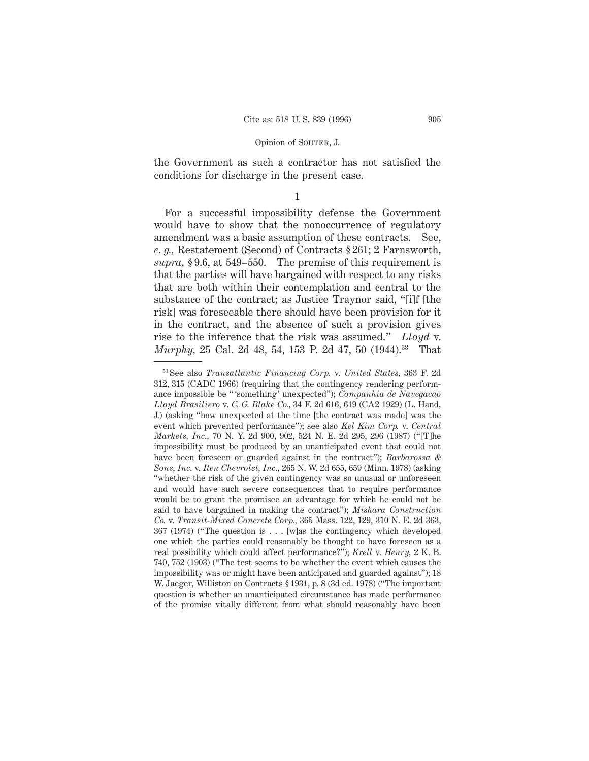the Government as such a contractor has not satisfied the conditions for discharge in the present case.

1

For a successful impossibility defense the Government would have to show that the nonoccurrence of regulatory amendment was a basic assumption of these contracts. See, *e. g.,* Restatement (Second) of Contracts § 261; 2 Farnsworth, *supra,* § 9.6, at 549–550. The premise of this requirement is that the parties will have bargained with respect to any risks that are both within their contemplation and central to the substance of the contract; as Justice Traynor said, "[i]f [the risk] was foreseeable there should have been provision for it in the contract, and the absence of such a provision gives rise to the inference that the risk was assumed." *Lloyd* v. *Murphy*, 25 Cal. 2d 48, 54, 153 P. 2d 47, 50 (1944).<sup>53</sup> That

<sup>53</sup> See also *Transatlantic Financing Corp.* v. *United States,* 363 F. 2d 312, 315 (CADC 1966) (requiring that the contingency rendering performance impossible be " 'something' unexpected"); *Companhia de Navegacao Lloyd Brasiliero* v. *C. G. Blake Co.,* 34 F. 2d 616, 619 (CA2 1929) (L. Hand, J.) (asking "how unexpected at the time [the contract was made] was the event which prevented performance"); see also *Kel Kim Corp.* v. *Central Markets, Inc.,* 70 N. Y. 2d 900, 902, 524 N. E. 2d 295, 296 (1987) ("[T]he impossibility must be produced by an unanticipated event that could not have been foreseen or guarded against in the contract"); *Barbarossa & Sons, Inc.* v. *Iten Chevrolet, Inc.,* 265 N. W. 2d 655, 659 (Minn. 1978) (asking "whether the risk of the given contingency was so unusual or unforeseen and would have such severe consequences that to require performance would be to grant the promisee an advantage for which he could not be said to have bargained in making the contract"); *Mishara Construction Co.* v. *Transit-Mixed Concrete Corp.,* 365 Mass. 122, 129, 310 N. E. 2d 363, 367 (1974) ("The question is . . . [w]as the contingency which developed one which the parties could reasonably be thought to have foreseen as a real possibility which could affect performance?"); *Krell* v. *Henry,* 2 K. B. 740, 752 (1903) ("The test seems to be whether the event which causes the impossibility was or might have been anticipated and guarded against"); 18 W. Jaeger, Williston on Contracts § 1931, p. 8 (3d ed. 1978) ("The important question is whether an unanticipated circumstance has made performance of the promise vitally different from what should reasonably have been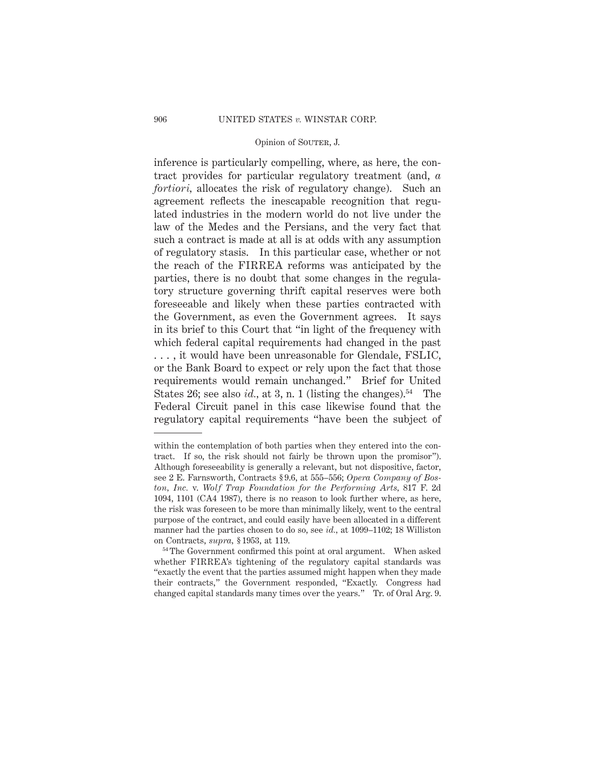inference is particularly compelling, where, as here, the contract provides for particular regulatory treatment (and, *a fortiori,* allocates the risk of regulatory change). Such an agreement reflects the inescapable recognition that regulated industries in the modern world do not live under the law of the Medes and the Persians, and the very fact that such a contract is made at all is at odds with any assumption of regulatory stasis. In this particular case, whether or not the reach of the FIRREA reforms was anticipated by the parties, there is no doubt that some changes in the regulatory structure governing thrift capital reserves were both foreseeable and likely when these parties contracted with the Government, as even the Government agrees. It says in its brief to this Court that "in light of the frequency with which federal capital requirements had changed in the past . . . , it would have been unreasonable for Glendale, FSLIC, or the Bank Board to expect or rely upon the fact that those requirements would remain unchanged." Brief for United States 26; see also *id.*, at 3, n. 1 (listing the changes).<sup>54</sup> The Federal Circuit panel in this case likewise found that the regulatory capital requirements "have been the subject of

within the contemplation of both parties when they entered into the contract. If so, the risk should not fairly be thrown upon the promisor"). Although foreseeability is generally a relevant, but not dispositive, factor, see 2 E. Farnsworth, Contracts § 9.6, at 555–556; *Opera Company of Boston, Inc.* v. *Wolf Trap Foundation for the Performing Arts,* 817 F. 2d 1094, 1101 (CA4 1987), there is no reason to look further where, as here, the risk was foreseen to be more than minimally likely, went to the central purpose of the contract, and could easily have been allocated in a different manner had the parties chosen to do so, see *id.,* at 1099–1102; 18 Williston on Contracts, *supra,* § 1953, at 119.

 $54$  The Government confirmed this point at oral argument. When asked whether FIRREA's tightening of the regulatory capital standards was "exactly the event that the parties assumed might happen when they made their contracts," the Government responded, "Exactly. Congress had changed capital standards many times over the years." Tr. of Oral Arg. 9.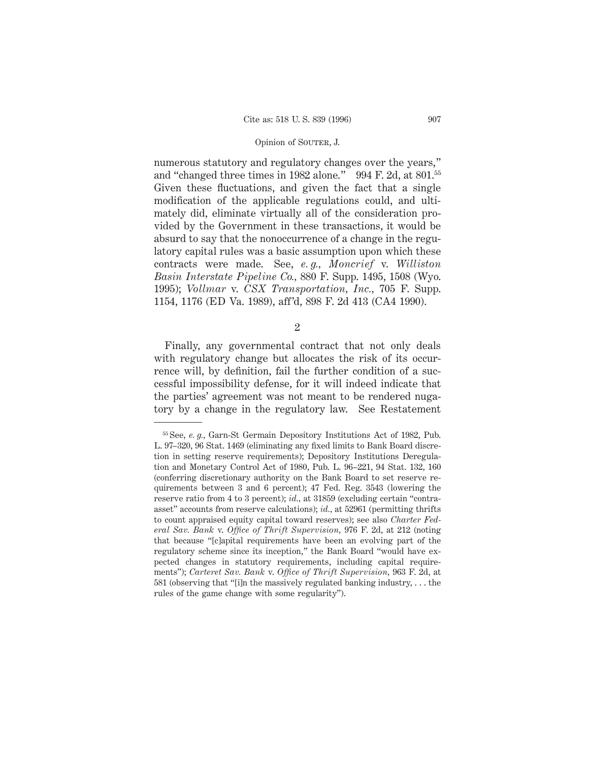numerous statutory and regulatory changes over the years," and "changed three times in 1982 alone." 994 F. 2d, at 801.55 Given these fluctuations, and given the fact that a single modification of the applicable regulations could, and ultimately did, eliminate virtually all of the consideration provided by the Government in these transactions, it would be absurd to say that the nonoccurrence of a change in the regulatory capital rules was a basic assumption upon which these contracts were made. See, *e. g., Moncrief* v. *Williston Basin Interstate Pipeline Co.,* 880 F. Supp. 1495, 1508 (Wyo. 1995); *Vollmar* v. *CSX Transportation, Inc.,* 705 F. Supp. 1154, 1176 (ED Va. 1989), aff'd, 898 F. 2d 413 (CA4 1990).

2

Finally, any governmental contract that not only deals with regulatory change but allocates the risk of its occurrence will, by definition, fail the further condition of a successful impossibility defense, for it will indeed indicate that the parties' agreement was not meant to be rendered nugatory by a change in the regulatory law. See Restatement

<sup>55</sup> See, *e. g.,* Garn-St Germain Depository Institutions Act of 1982, Pub. L. 97–320, 96 Stat. 1469 (eliminating any fixed limits to Bank Board discretion in setting reserve requirements); Depository Institutions Deregulation and Monetary Control Act of 1980, Pub. L. 96–221, 94 Stat. 132, 160 (conferring discretionary authority on the Bank Board to set reserve requirements between 3 and 6 percent); 47 Fed. Reg. 3543 (lowering the reserve ratio from 4 to 3 percent); *id.,* at 31859 (excluding certain "contraasset" accounts from reserve calculations); *id.,* at 52961 (permitting thrifts to count appraised equity capital toward reserves); see also *Charter Federal Sav. Bank* v. *Office of Thrift Supervision,* 976 F. 2d, at 212 (noting that because "[c]apital requirements have been an evolving part of the regulatory scheme since its inception," the Bank Board "would have expected changes in statutory requirements, including capital requirements"); *Carteret Sav. Bank* v. *Office of Thrift Supervision,* 963 F. 2d, at 581 (observing that "[i]n the massively regulated banking industry, . . . the rules of the game change with some regularity").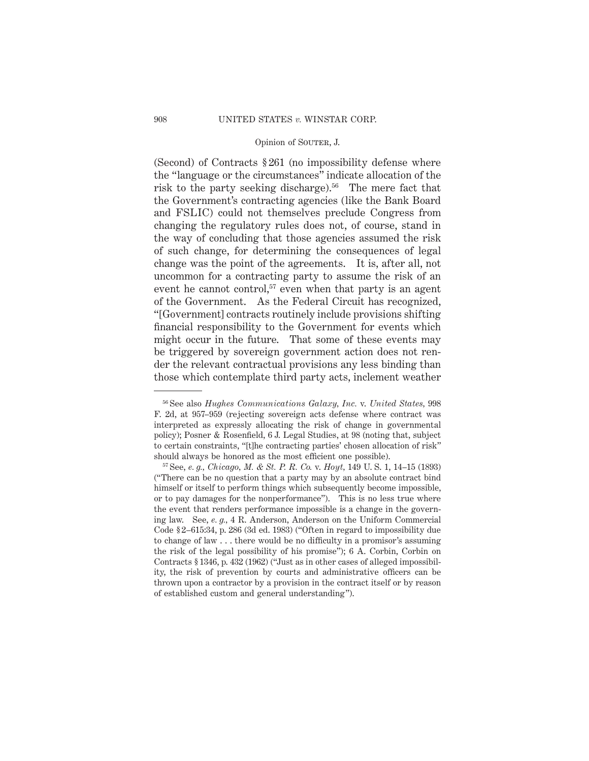(Second) of Contracts § 261 (no impossibility defense where the "language or the circumstances" indicate allocation of the risk to the party seeking discharge).<sup>56</sup> The mere fact that the Government's contracting agencies (like the Bank Board and FSLIC) could not themselves preclude Congress from changing the regulatory rules does not, of course, stand in the way of concluding that those agencies assumed the risk of such change, for determining the consequences of legal change was the point of the agreements. It is, after all, not uncommon for a contracting party to assume the risk of an event he cannot control,<sup>57</sup> even when that party is an agent of the Government. As the Federal Circuit has recognized, "[Government] contracts routinely include provisions shifting financial responsibility to the Government for events which might occur in the future. That some of these events may be triggered by sovereign government action does not render the relevant contractual provisions any less binding than those which contemplate third party acts, inclement weather

<sup>56</sup> See also *Hughes Communications Galaxy, Inc.* v. *United States,* 998 F. 2d, at 957–959 (rejecting sovereign acts defense where contract was interpreted as expressly allocating the risk of change in governmental policy); Posner & Rosenfield, 6 J. Legal Studies, at 98 (noting that, subject to certain constraints, "[t]he contracting parties' chosen allocation of risk" should always be honored as the most efficient one possible).

<sup>57</sup> See, *e. g., Chicago, M. & St. P. R. Co.* v. *Hoyt,* 149 U. S. 1, 14–15 (1893) ("There can be no question that a party may by an absolute contract bind himself or itself to perform things which subsequently become impossible, or to pay damages for the nonperformance"). This is no less true where the event that renders performance impossible is a change in the governing law. See, *e. g.,* 4 R. Anderson, Anderson on the Uniform Commercial Code § 2–615:34, p. 286 (3d ed. 1983) ("Often in regard to impossibility due to change of law... there would be no difficulty in a promisor's assuming the risk of the legal possibility of his promise"); 6 A. Corbin, Corbin on Contracts § 1346, p. 432 (1962) ("Just as in other cases of alleged impossibility, the risk of prevention by courts and administrative officers can be thrown upon a contractor by a provision in the contract itself or by reason of established custom and general understanding").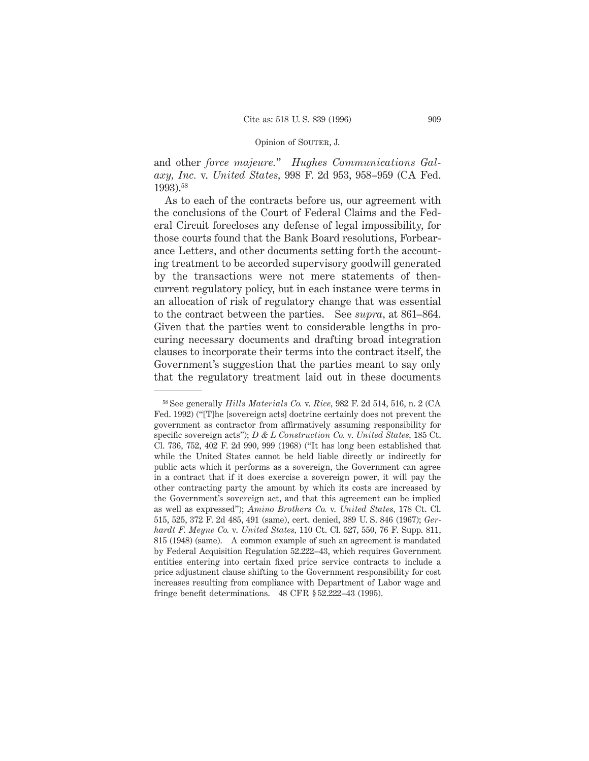and other *force majeure.*" *Hughes Communications Galaxy, Inc.* v. *United States,* 998 F. 2d 953, 958–959 (CA Fed. 1993).58

As to each of the contracts before us, our agreement with the conclusions of the Court of Federal Claims and the Federal Circuit forecloses any defense of legal impossibility, for those courts found that the Bank Board resolutions, Forbearance Letters, and other documents setting forth the accounting treatment to be accorded supervisory goodwill generated by the transactions were not mere statements of thencurrent regulatory policy, but in each instance were terms in an allocation of risk of regulatory change that was essential to the contract between the parties. See *supra,* at 861–864. Given that the parties went to considerable lengths in procuring necessary documents and drafting broad integration clauses to incorporate their terms into the contract itself, the Government's suggestion that the parties meant to say only that the regulatory treatment laid out in these documents

<sup>58</sup> See generally *Hills Materials Co.* v. *Rice,* 982 F. 2d 514, 516, n. 2 (CA Fed. 1992) ("[T]he [sovereign acts] doctrine certainly does not prevent the government as contractor from affirmatively assuming responsibility for specific sovereign acts"); *D & L Construction Co.* v. *United States,* 185 Ct. Cl. 736, 752, 402 F. 2d 990, 999 (1968) ("It has long been established that while the United States cannot be held liable directly or indirectly for public acts which it performs as a sovereign, the Government can agree in a contract that if it does exercise a sovereign power, it will pay the other contracting party the amount by which its costs are increased by the Government's sovereign act, and that this agreement can be implied as well as expressed"); *Amino Brothers Co.* v. *United States,* 178 Ct. Cl. 515, 525, 372 F. 2d 485, 491 (same), cert. denied, 389 U. S. 846 (1967); *Gerhardt F. Meyne Co.* v. *United States,* 110 Ct. Cl. 527, 550, 76 F. Supp. 811, 815 (1948) (same). A common example of such an agreement is mandated by Federal Acquisition Regulation 52.222–43, which requires Government entities entering into certain fixed price service contracts to include a price adjustment clause shifting to the Government responsibility for cost increases resulting from compliance with Department of Labor wage and fringe benefit determinations. 48 CFR § 52.222–43 (1995).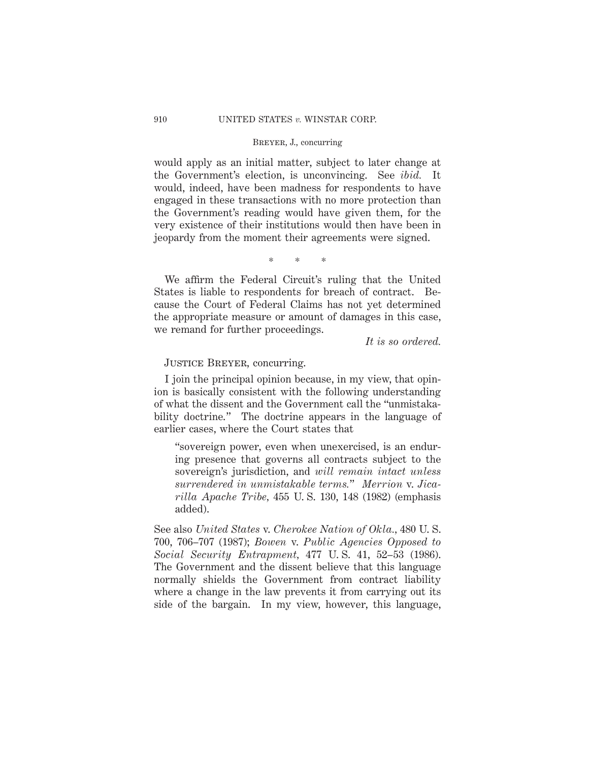# Breyer, J., concurring

would apply as an initial matter, subject to later change at the Government's election, is unconvincing. See *ibid.* It would, indeed, have been madness for respondents to have engaged in these transactions with no more protection than the Government's reading would have given them, for the very existence of their institutions would then have been in jeopardy from the moment their agreements were signed.

\*\*\*

We affirm the Federal Circuit's ruling that the United States is liable to respondents for breach of contract. Because the Court of Federal Claims has not yet determined the appropriate measure or amount of damages in this case, we remand for further proceedings.

*It is so ordered.*

Justice Breyer, concurring.

I join the principal opinion because, in my view, that opinion is basically consistent with the following understanding of what the dissent and the Government call the "unmistakability doctrine." The doctrine appears in the language of earlier cases, where the Court states that

"sovereign power, even when unexercised, is an enduring presence that governs all contracts subject to the sovereign's jurisdiction, and *will remain intact unless surrendered in unmistakable terms.*" *Merrion* v. *Jicarilla Apache Tribe,* 455 U. S. 130, 148 (1982) (emphasis added).

See also *United States* v. *Cherokee Nation of Okla.,* 480 U. S. 700, 706–707 (1987); *Bowen* v. *Public Agencies Opposed to Social Security Entrapment,* 477 U. S. 41, 52–53 (1986). The Government and the dissent believe that this language normally shields the Government from contract liability where a change in the law prevents it from carrying out its side of the bargain. In my view, however, this language,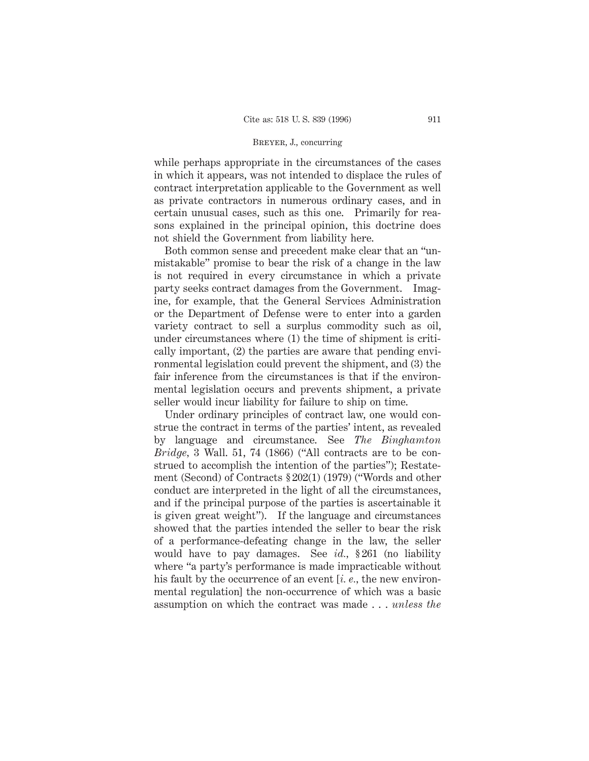while perhaps appropriate in the circumstances of the cases in which it appears, was not intended to displace the rules of contract interpretation applicable to the Government as well as private contractors in numerous ordinary cases, and in certain unusual cases, such as this one. Primarily for reasons explained in the principal opinion, this doctrine does not shield the Government from liability here.

Both common sense and precedent make clear that an "unmistakable" promise to bear the risk of a change in the law is not required in every circumstance in which a private party seeks contract damages from the Government. Imagine, for example, that the General Services Administration or the Department of Defense were to enter into a garden variety contract to sell a surplus commodity such as oil, under circumstances where (1) the time of shipment is critically important, (2) the parties are aware that pending environmental legislation could prevent the shipment, and (3) the fair inference from the circumstances is that if the environmental legislation occurs and prevents shipment, a private seller would incur liability for failure to ship on time.

Under ordinary principles of contract law, one would construe the contract in terms of the parties' intent, as revealed by language and circumstance. See *The Binghamton Bridge,* 3 Wall. 51, 74 (1866) ("All contracts are to be construed to accomplish the intention of the parties"); Restatement (Second) of Contracts § 202(1) (1979) ("Words and other conduct are interpreted in the light of all the circumstances, and if the principal purpose of the parties is ascertainable it is given great weight"). If the language and circumstances showed that the parties intended the seller to bear the risk of a performance-defeating change in the law, the seller would have to pay damages. See *id.,* § 261 (no liability where "a party's performance is made impracticable without his fault by the occurrence of an event [*i. e.,* the new environmental regulation] the non-occurrence of which was a basic assumption on which the contract was made . . . *unless the*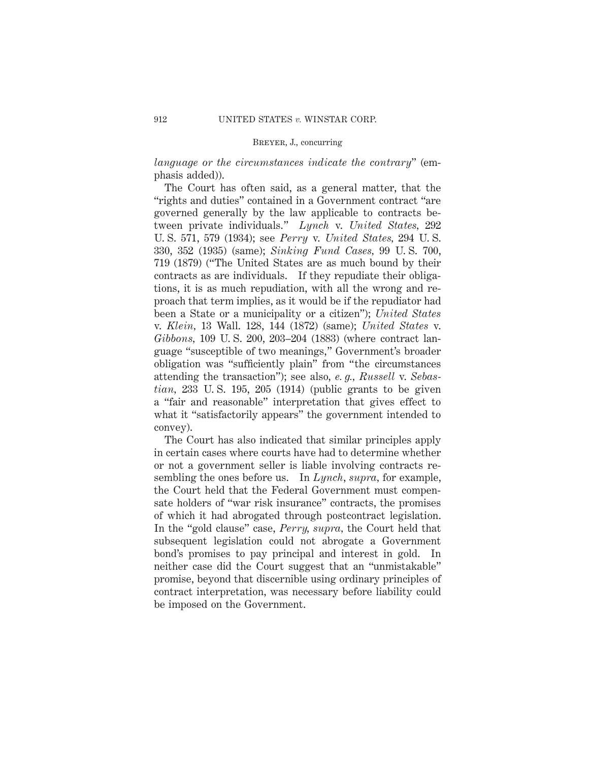*language or the circumstances indicate the contrary*" (emphasis added)).

The Court has often said, as a general matter, that the "rights and duties" contained in a Government contract "are governed generally by the law applicable to contracts between private individuals." *Lynch* v. *United States,* 292 U. S. 571, 579 (1934); see *Perry* v. *United States,* 294 U. S. 330, 352 (1935) (same); *Sinking Fund Cases,* 99 U. S. 700, 719 (1879) ("The United States are as much bound by their contracts as are individuals. If they repudiate their obligations, it is as much repudiation, with all the wrong and reproach that term implies, as it would be if the repudiator had been a State or a municipality or a citizen"); *United States* v. *Klein,* 13 Wall. 128, 144 (1872) (same); *United States* v. *Gibbons,* 109 U. S. 200, 203–204 (1883) (where contract language "susceptible of two meanings," Government's broader obligation was "sufficiently plain" from "the circumstances attending the transaction"); see also, *e. g., Russell* v. *Sebastian,* 233 U. S. 195, 205 (1914) (public grants to be given a "fair and reasonable" interpretation that gives effect to what it "satisfactorily appears" the government intended to convey).

The Court has also indicated that similar principles apply in certain cases where courts have had to determine whether or not a government seller is liable involving contracts resembling the ones before us. In *Lynch*, *supra,* for example, the Court held that the Federal Government must compensate holders of "war risk insurance" contracts, the promises of which it had abrogated through postcontract legislation. In the "gold clause" case, *Perry*, *supra,* the Court held that subsequent legislation could not abrogate a Government bond's promises to pay principal and interest in gold. In neither case did the Court suggest that an "unmistakable" promise, beyond that discernible using ordinary principles of contract interpretation, was necessary before liability could be imposed on the Government.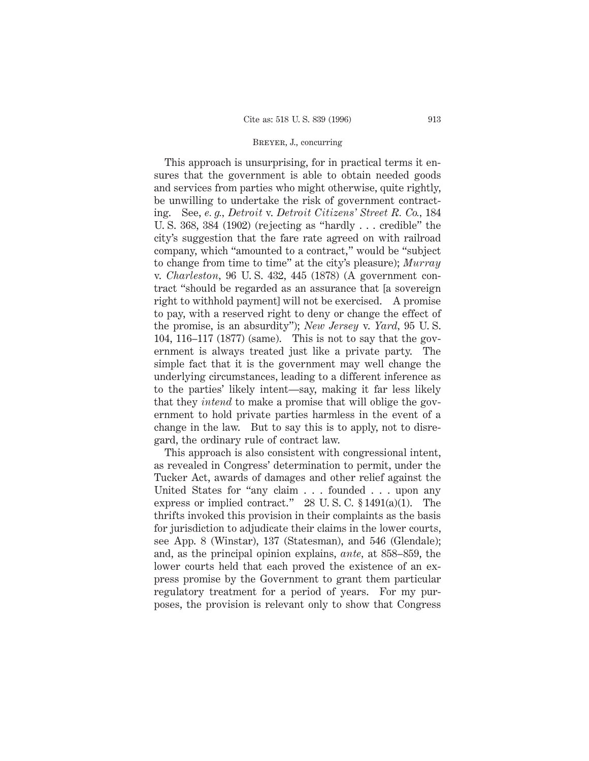This approach is unsurprising, for in practical terms it ensures that the government is able to obtain needed goods and services from parties who might otherwise, quite rightly, be unwilling to undertake the risk of government contracting. See, *e. g., Detroit* v. *Detroit Citizens' Street R. Co.,* 184 U. S. 368, 384 (1902) (rejecting as "hardly... credible" the city's suggestion that the fare rate agreed on with railroad company, which "amounted to a contract," would be "subject to change from time to time" at the city's pleasure); *Murray* v. *Charleston,* 96 U. S. 432, 445 (1878) (A government contract "should be regarded as an assurance that [a sovereign right to withhold payment] will not be exercised. A promise to pay, with a reserved right to deny or change the effect of the promise, is an absurdity"); *New Jersey* v. *Yard,* 95 U. S. 104, 116–117 (1877) (same). This is not to say that the government is always treated just like a private party. The simple fact that it is the government may well change the underlying circumstances, leading to a different inference as to the parties' likely intent—say, making it far less likely that they *intend* to make a promise that will oblige the government to hold private parties harmless in the event of a change in the law. But to say this is to apply, not to disregard, the ordinary rule of contract law.

This approach is also consistent with congressional intent, as revealed in Congress' determination to permit, under the Tucker Act, awards of damages and other relief against the United States for "any claim . . . founded . . . upon any express or implied contract."  $28$  U.S.C.  $$1491(a)(1)$ . The thrifts invoked this provision in their complaints as the basis for jurisdiction to adjudicate their claims in the lower courts, see App. 8 (Winstar), 137 (Statesman), and 546 (Glendale); and, as the principal opinion explains, *ante,* at 858–859, the lower courts held that each proved the existence of an express promise by the Government to grant them particular regulatory treatment for a period of years. For my purposes, the provision is relevant only to show that Congress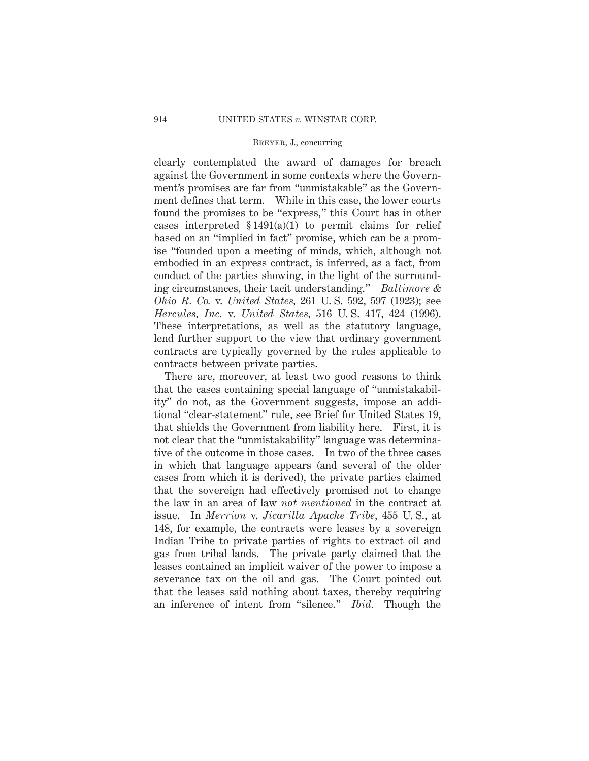clearly contemplated the award of damages for breach against the Government in some contexts where the Government's promises are far from "unmistakable" as the Government defines that term. While in this case, the lower courts found the promises to be "express," this Court has in other cases interpreted  $$1491(a)(1)$  to permit claims for relief based on an "implied in fact" promise, which can be a promise "founded upon a meeting of minds, which, although not embodied in an express contract, is inferred, as a fact, from conduct of the parties showing, in the light of the surrounding circumstances, their tacit understanding." *Baltimore & Ohio R. Co.* v. *United States,* 261 U. S. 592, 597 (1923); see *Hercules, Inc.* v. *United States,* 516 U. S. 417, 424 (1996). These interpretations, as well as the statutory language, lend further support to the view that ordinary government contracts are typically governed by the rules applicable to contracts between private parties.

There are, moreover, at least two good reasons to think that the cases containing special language of "unmistakability" do not, as the Government suggests, impose an additional "clear-statement" rule, see Brief for United States 19, that shields the Government from liability here. First, it is not clear that the "unmistakability" language was determinative of the outcome in those cases. In two of the three cases in which that language appears (and several of the older cases from which it is derived), the private parties claimed that the sovereign had effectively promised not to change the law in an area of law *not mentioned* in the contract at issue. In *Merrion* v. *Jicarilla Apache Tribe,* 455 U. S., at 148, for example, the contracts were leases by a sovereign Indian Tribe to private parties of rights to extract oil and gas from tribal lands. The private party claimed that the leases contained an implicit waiver of the power to impose a severance tax on the oil and gas. The Court pointed out that the leases said nothing about taxes, thereby requiring an inference of intent from "silence." *Ibid.* Though the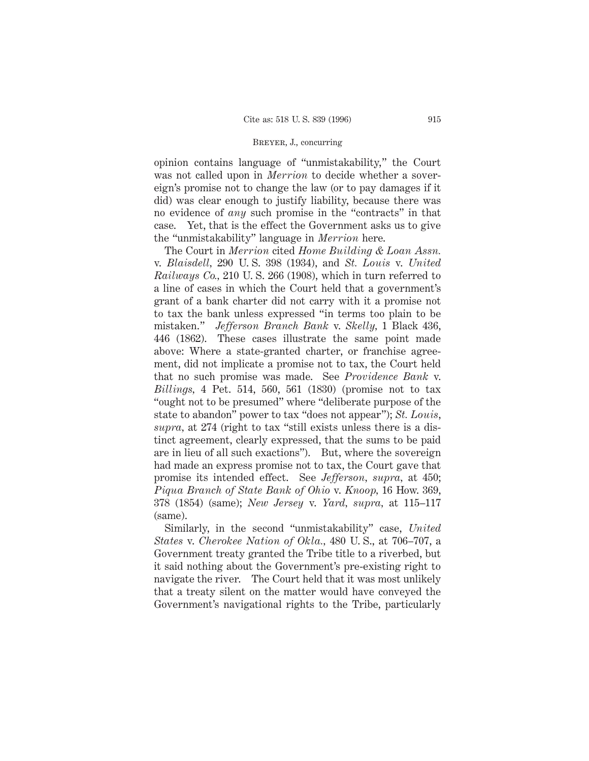opinion contains language of "unmistakability," the Court was not called upon in *Merrion* to decide whether a sovereign's promise not to change the law (or to pay damages if it did) was clear enough to justify liability, because there was no evidence of *any* such promise in the "contracts" in that case. Yet, that is the effect the Government asks us to give the "unmistakability" language in *Merrion* here.

The Court in *Merrion* cited *Home Building & Loan Assn.* v. *Blaisdell,* 290 U. S. 398 (1934), and *St. Louis* v. *United Railways Co.,* 210 U. S. 266 (1908), which in turn referred to a line of cases in which the Court held that a government's grant of a bank charter did not carry with it a promise not to tax the bank unless expressed "in terms too plain to be mistaken." *Jefferson Branch Bank* v. *Skelly,* 1 Black 436, 446 (1862). These cases illustrate the same point made above: Where a state-granted charter, or franchise agreement, did not implicate a promise not to tax, the Court held that no such promise was made. See *Providence Bank* v. *Billings,* 4 Pet. 514, 560, 561 (1830) (promise not to tax "ought not to be presumed" where "deliberate purpose of the state to abandon" power to tax "does not appear"); *St. Louis*, *supra,* at 274 (right to tax "still exists unless there is a distinct agreement, clearly expressed, that the sums to be paid are in lieu of all such exactions"). But, where the sovereign had made an express promise not to tax, the Court gave that promise its intended effect. See *Jefferson, supra,* at 450; *Piqua Branch of State Bank of Ohio* v. *Knoop,* 16 How. 369, 378 (1854) (same); *New Jersey* v. *Yard, supra,* at 115–117 (same).

Similarly, in the second "unmistakability" case, *United States* v. *Cherokee Nation of Okla.,* 480 U. S., at 706–707, a Government treaty granted the Tribe title to a riverbed, but it said nothing about the Government's pre-existing right to navigate the river. The Court held that it was most unlikely that a treaty silent on the matter would have conveyed the Government's navigational rights to the Tribe, particularly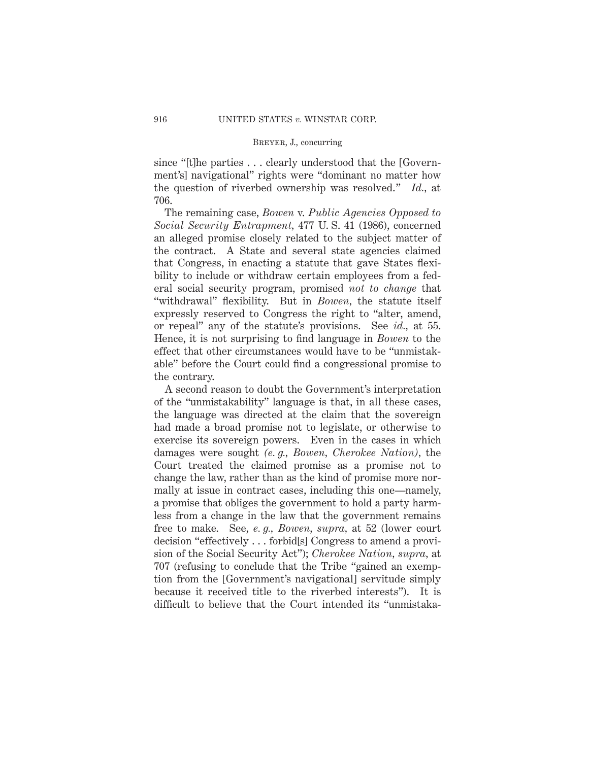since "[t]he parties . . . clearly understood that the [Government's] navigational" rights were "dominant no matter how the question of riverbed ownership was resolved." *Id.,* at 706.

The remaining case, *Bowen* v. *Public Agencies Opposed to Social Security Entrapment,* 477 U. S. 41 (1986), concerned an alleged promise closely related to the subject matter of the contract. A State and several state agencies claimed that Congress, in enacting a statute that gave States flexibility to include or withdraw certain employees from a federal social security program, promised *not to change* that "withdrawal" flexibility. But in *Bowen,* the statute itself expressly reserved to Congress the right to "alter, amend, or repeal" any of the statute's provisions. See *id.,* at 55. Hence, it is not surprising to find language in *Bowen* to the effect that other circumstances would have to be "unmistakable" before the Court could find a congressional promise to the contrary.

A second reason to doubt the Government's interpretation of the "unmistakability" language is that, in all these cases, the language was directed at the claim that the sovereign had made a broad promise not to legislate, or otherwise to exercise its sovereign powers. Even in the cases in which damages were sought *(e. g., Bowen, Cherokee Nation),* the Court treated the claimed promise as a promise not to change the law, rather than as the kind of promise more normally at issue in contract cases, including this one—namely, a promise that obliges the government to hold a party harmless from a change in the law that the government remains free to make. See, *e. g., Bowen, supra,* at 52 (lower court decision "effectively . . . forbid[s] Congress to amend a provision of the Social Security Act"); *Cherokee Nation, supra,* at 707 (refusing to conclude that the Tribe "gained an exemption from the [Government's navigational] servitude simply because it received title to the riverbed interests"). It is difficult to believe that the Court intended its "unmistaka-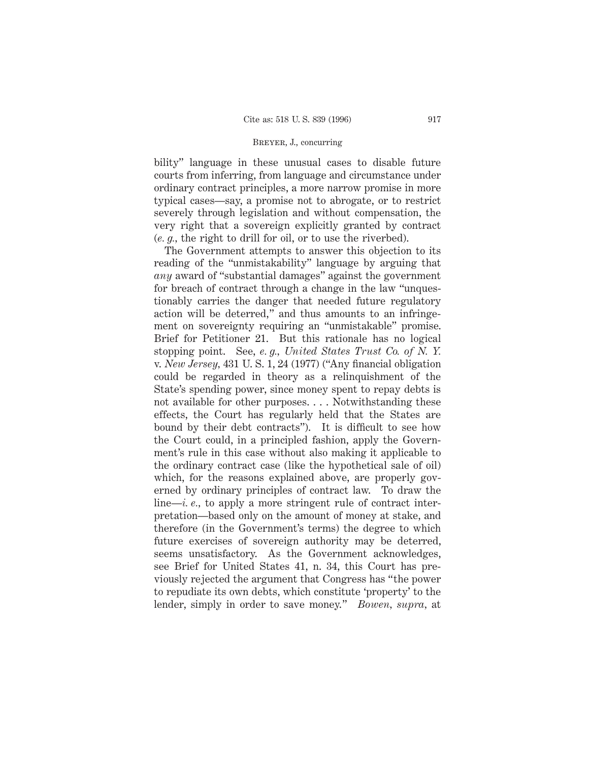bility" language in these unusual cases to disable future courts from inferring, from language and circumstance under ordinary contract principles, a more narrow promise in more typical cases—say, a promise not to abrogate, or to restrict severely through legislation and without compensation, the very right that a sovereign explicitly granted by contract (*e. g.,* the right to drill for oil, or to use the riverbed).

The Government attempts to answer this objection to its reading of the "unmistakability" language by arguing that *any* award of "substantial damages" against the government for breach of contract through a change in the law "unquestionably carries the danger that needed future regulatory action will be deterred," and thus amounts to an infringement on sovereignty requiring an "unmistakable" promise. Brief for Petitioner 21. But this rationale has no logical stopping point. See, *e. g., United States Trust Co. of N. Y.* v. *New Jersey,* 431 U. S. 1, 24 (1977) ("Any financial obligation could be regarded in theory as a relinquishment of the State's spending power, since money spent to repay debts is not available for other purposes. . . . Notwithstanding these effects, the Court has regularly held that the States are bound by their debt contracts"). It is difficult to see how the Court could, in a principled fashion, apply the Government's rule in this case without also making it applicable to the ordinary contract case (like the hypothetical sale of oil) which, for the reasons explained above, are properly governed by ordinary principles of contract law. To draw the line—*i. e.*, to apply a more stringent rule of contract interpretation—based only on the amount of money at stake, and therefore (in the Government's terms) the degree to which future exercises of sovereign authority may be deterred, seems unsatisfactory. As the Government acknowledges, see Brief for United States 41, n. 34, this Court has previously rejected the argument that Congress has "the power to repudiate its own debts, which constitute 'property' to the lender, simply in order to save money." *Bowen, supra,* at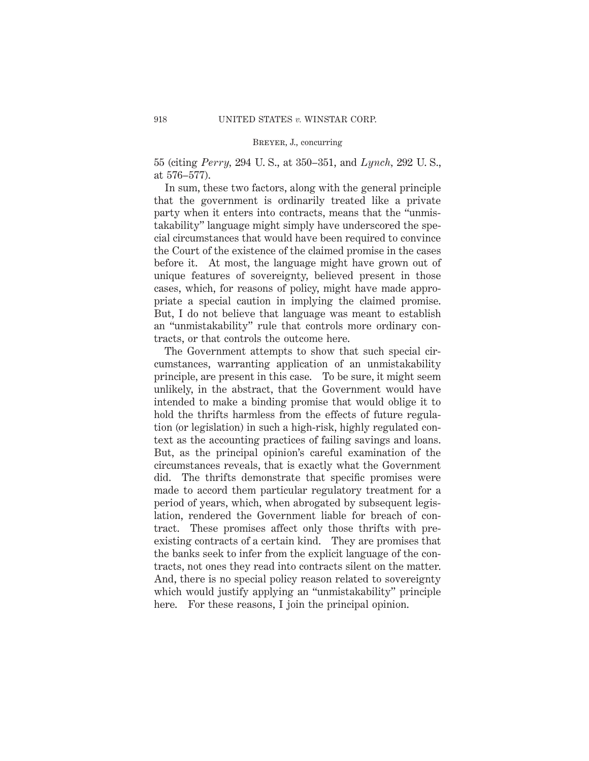55 (citing *Perry,* 294 U. S., at 350–351, and *Lynch,* 292 U. S., at 576–577).

In sum, these two factors, along with the general principle that the government is ordinarily treated like a private party when it enters into contracts, means that the "unmistakability" language might simply have underscored the special circumstances that would have been required to convince the Court of the existence of the claimed promise in the cases before it. At most, the language might have grown out of unique features of sovereignty, believed present in those cases, which, for reasons of policy, might have made appropriate a special caution in implying the claimed promise. But, I do not believe that language was meant to establish an "unmistakability" rule that controls more ordinary contracts, or that controls the outcome here.

The Government attempts to show that such special circumstances, warranting application of an unmistakability principle, are present in this case. To be sure, it might seem unlikely, in the abstract, that the Government would have intended to make a binding promise that would oblige it to hold the thrifts harmless from the effects of future regulation (or legislation) in such a high-risk, highly regulated context as the accounting practices of failing savings and loans. But, as the principal opinion's careful examination of the circumstances reveals, that is exactly what the Government did. The thrifts demonstrate that specific promises were made to accord them particular regulatory treatment for a period of years, which, when abrogated by subsequent legislation, rendered the Government liable for breach of contract. These promises affect only those thrifts with preexisting contracts of a certain kind. They are promises that the banks seek to infer from the explicit language of the contracts, not ones they read into contracts silent on the matter. And, there is no special policy reason related to sovereignty which would justify applying an "unmistakability" principle here. For these reasons, I join the principal opinion.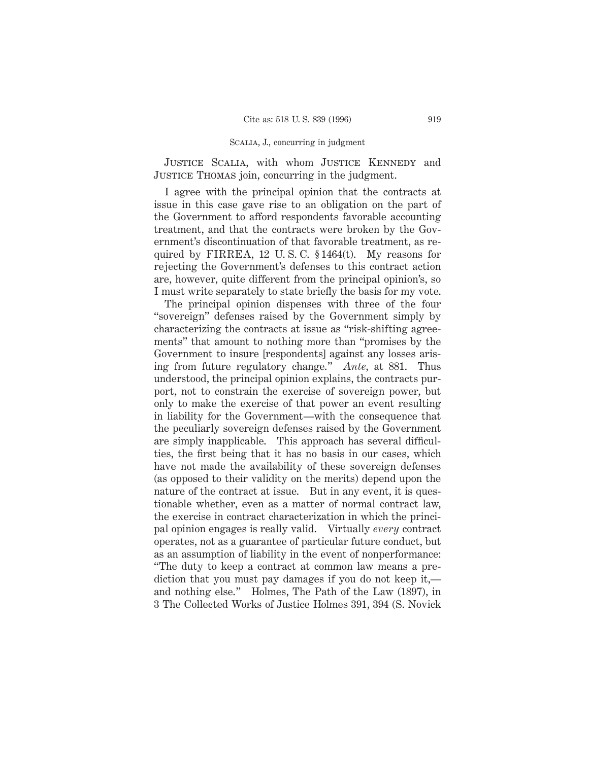Justice Scalia, with whom Justice Kennedy and Justice Thomas join, concurring in the judgment.

I agree with the principal opinion that the contracts at issue in this case gave rise to an obligation on the part of the Government to afford respondents favorable accounting treatment, and that the contracts were broken by the Government's discontinuation of that favorable treatment, as required by FIRREA, 12 U. S. C. § 1464(t). My reasons for rejecting the Government's defenses to this contract action are, however, quite different from the principal opinion's, so I must write separately to state briefly the basis for my vote.

The principal opinion dispenses with three of the four "sovereign" defenses raised by the Government simply by characterizing the contracts at issue as "risk-shifting agreements" that amount to nothing more than "promises by the Government to insure [respondents] against any losses arising from future regulatory change." *Ante,* at 881. Thus understood, the principal opinion explains, the contracts purport, not to constrain the exercise of sovereign power, but only to make the exercise of that power an event resulting in liability for the Government—with the consequence that the peculiarly sovereign defenses raised by the Government are simply inapplicable. This approach has several difficulties, the first being that it has no basis in our cases, which have not made the availability of these sovereign defenses (as opposed to their validity on the merits) depend upon the nature of the contract at issue. But in any event, it is questionable whether, even as a matter of normal contract law, the exercise in contract characterization in which the principal opinion engages is really valid. Virtually *every* contract operates, not as a guarantee of particular future conduct, but as an assumption of liability in the event of nonperformance: "The duty to keep a contract at common law means a prediction that you must pay damages if you do not keep it, and nothing else." Holmes, The Path of the Law (1897), in 3 The Collected Works of Justice Holmes 391, 394 (S. Novick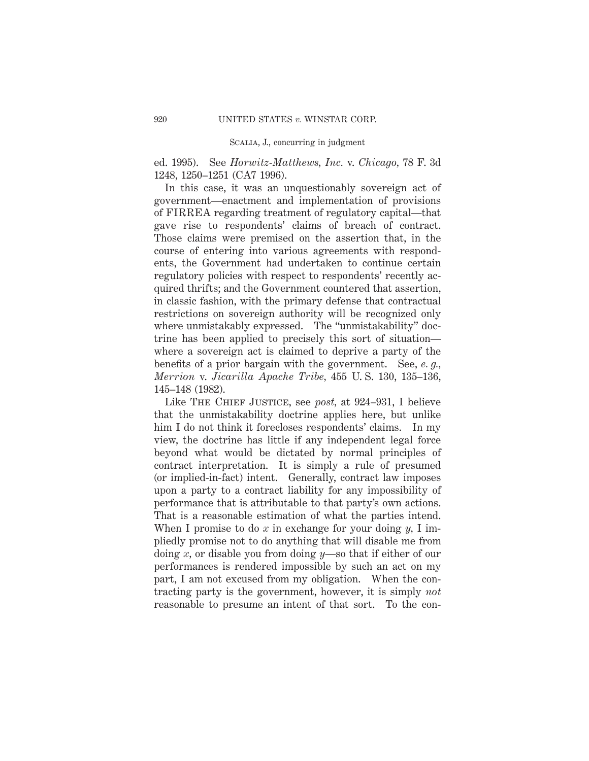ed. 1995). See *Horwitz-Matthews, Inc.* v. *Chicago,* 78 F. 3d 1248, 1250–1251 (CA7 1996).

In this case, it was an unquestionably sovereign act of government—enactment and implementation of provisions of FIRREA regarding treatment of regulatory capital—that gave rise to respondents' claims of breach of contract. Those claims were premised on the assertion that, in the course of entering into various agreements with respondents, the Government had undertaken to continue certain regulatory policies with respect to respondents' recently acquired thrifts; and the Government countered that assertion, in classic fashion, with the primary defense that contractual restrictions on sovereign authority will be recognized only where unmistakably expressed. The "unmistakability" doctrine has been applied to precisely this sort of situation where a sovereign act is claimed to deprive a party of the benefits of a prior bargain with the government. See, *e. g., Merrion* v. *Jicarilla Apache Tribe,* 455 U. S. 130, 135–136, 145–148 (1982).

Like The Chief Justice, see *post,* at 924–931, I believe that the unmistakability doctrine applies here, but unlike him I do not think it forecloses respondents' claims. In my view, the doctrine has little if any independent legal force beyond what would be dictated by normal principles of contract interpretation. It is simply a rule of presumed (or implied-in-fact) intent. Generally, contract law imposes upon a party to a contract liability for any impossibility of performance that is attributable to that party's own actions. That is a reasonable estimation of what the parties intend. When I promise to do *x* in exchange for your doing *y,* I impliedly promise not to do anything that will disable me from doing *x,* or disable you from doing *y*—so that if either of our performances is rendered impossible by such an act on my part, I am not excused from my obligation. When the contracting party is the government, however, it is simply *not* reasonable to presume an intent of that sort. To the con-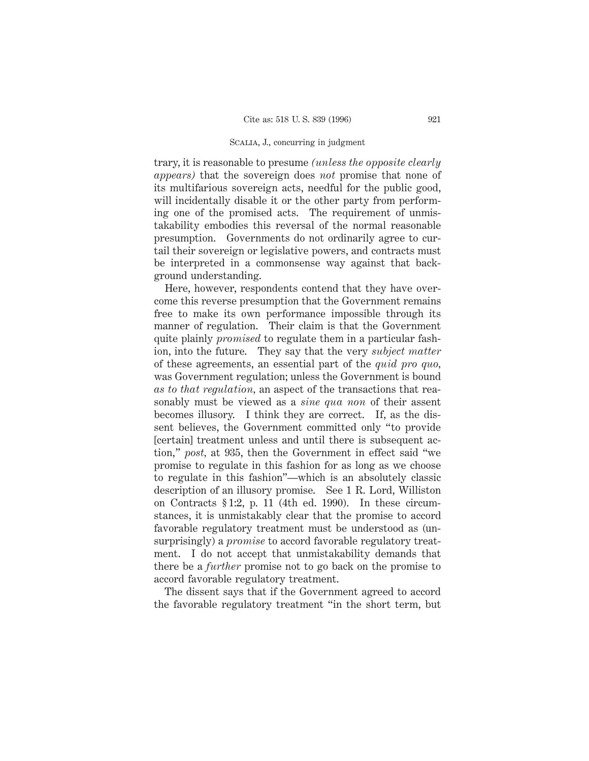trary, it is reasonable to presume *(unless the opposite clearly appears)* that the sovereign does *not* promise that none of its multifarious sovereign acts, needful for the public good, will incidentally disable it or the other party from performing one of the promised acts. The requirement of unmistakability embodies this reversal of the normal reasonable presumption. Governments do not ordinarily agree to curtail their sovereign or legislative powers, and contracts must be interpreted in a commonsense way against that background understanding.

Here, however, respondents contend that they have overcome this reverse presumption that the Government remains free to make its own performance impossible through its manner of regulation. Their claim is that the Government quite plainly *promised* to regulate them in a particular fashion, into the future. They say that the very *subject matter* of these agreements, an essential part of the *quid pro quo,* was Government regulation; unless the Government is bound *as to that regulation,* an aspect of the transactions that reasonably must be viewed as a *sine qua non* of their assent becomes illusory. I think they are correct. If, as the dissent believes, the Government committed only "to provide [certain] treatment unless and until there is subsequent action," *post,* at 935, then the Government in effect said "we promise to regulate in this fashion for as long as we choose to regulate in this fashion"—which is an absolutely classic description of an illusory promise. See 1 R. Lord, Williston on Contracts § 1:2, p. 11 (4th ed. 1990). In these circumstances, it is unmistakably clear that the promise to accord favorable regulatory treatment must be understood as (unsurprisingly) a *promise* to accord favorable regulatory treatment. I do not accept that unmistakability demands that there be a *further* promise not to go back on the promise to accord favorable regulatory treatment.

The dissent says that if the Government agreed to accord the favorable regulatory treatment "in the short term, but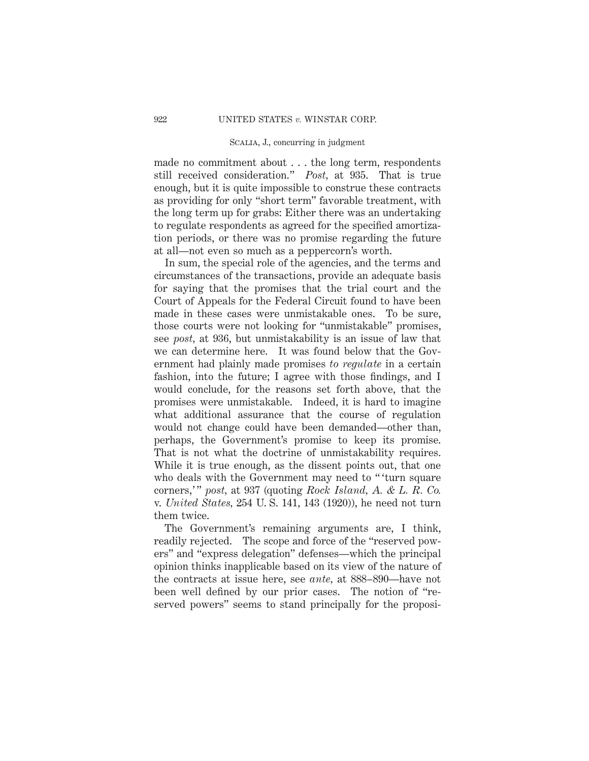made no commitment about . . . the long term, respondents still received consideration." *Post,* at 935. That is true enough, but it is quite impossible to construe these contracts as providing for only "short term" favorable treatment, with the long term up for grabs: Either there was an undertaking to regulate respondents as agreed for the specified amortization periods, or there was no promise regarding the future at all—not even so much as a peppercorn's worth.

In sum, the special role of the agencies, and the terms and circumstances of the transactions, provide an adequate basis for saying that the promises that the trial court and the Court of Appeals for the Federal Circuit found to have been made in these cases were unmistakable ones. To be sure, those courts were not looking for "unmistakable" promises, see *post,* at 936, but unmistakability is an issue of law that we can determine here. It was found below that the Government had plainly made promises *to regulate* in a certain fashion, into the future; I agree with those findings, and I would conclude, for the reasons set forth above, that the promises were unmistakable. Indeed, it is hard to imagine what additional assurance that the course of regulation would not change could have been demanded—other than, perhaps, the Government's promise to keep its promise. That is not what the doctrine of unmistakability requires. While it is true enough, as the dissent points out, that one who deals with the Government may need to "'turn square" corners,' " *post,* at 937 (quoting *Rock Island, A. & L. R. Co.* v. *United States,* 254 U. S. 141, 143 (1920)), he need not turn them twice.

The Government's remaining arguments are, I think, readily rejected. The scope and force of the "reserved powers" and "express delegation" defenses—which the principal opinion thinks inapplicable based on its view of the nature of the contracts at issue here, see *ante,* at 888–890—have not been well defined by our prior cases. The notion of "reserved powers" seems to stand principally for the proposi-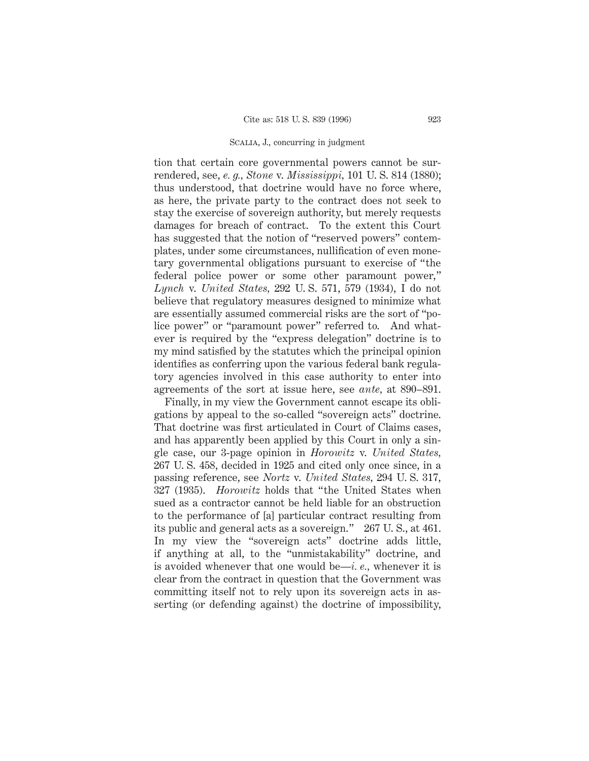tion that certain core governmental powers cannot be surrendered, see, *e. g., Stone* v. *Mississippi,* 101 U. S. 814 (1880); thus understood, that doctrine would have no force where, as here, the private party to the contract does not seek to stay the exercise of sovereign authority, but merely requests damages for breach of contract. To the extent this Court has suggested that the notion of "reserved powers" contemplates, under some circumstances, nullification of even monetary governmental obligations pursuant to exercise of "the federal police power or some other paramount power," *Lynch* v. *United States,* 292 U. S. 571, 579 (1934), I do not believe that regulatory measures designed to minimize what are essentially assumed commercial risks are the sort of "police power" or "paramount power" referred to. And whatever is required by the "express delegation" doctrine is to my mind satisfied by the statutes which the principal opinion identifies as conferring upon the various federal bank regulatory agencies involved in this case authority to enter into agreements of the sort at issue here, see *ante,* at 890–891.

Finally, in my view the Government cannot escape its obligations by appeal to the so-called "sovereign acts" doctrine. That doctrine was first articulated in Court of Claims cases, and has apparently been applied by this Court in only a single case, our 3-page opinion in *Horowitz* v. *United States,* 267 U. S. 458, decided in 1925 and cited only once since, in a passing reference, see *Nortz* v. *United States,* 294 U. S. 317, 327 (1935). *Horowitz* holds that "the United States when sued as a contractor cannot be held liable for an obstruction to the performance of [a] particular contract resulting from its public and general acts as a sovereign." 267 U. S., at 461. In my view the "sovereign acts" doctrine adds little, if anything at all, to the "unmistakability" doctrine, and is avoided whenever that one would be—*i. e.,* whenever it is clear from the contract in question that the Government was committing itself not to rely upon its sovereign acts in asserting (or defending against) the doctrine of impossibility,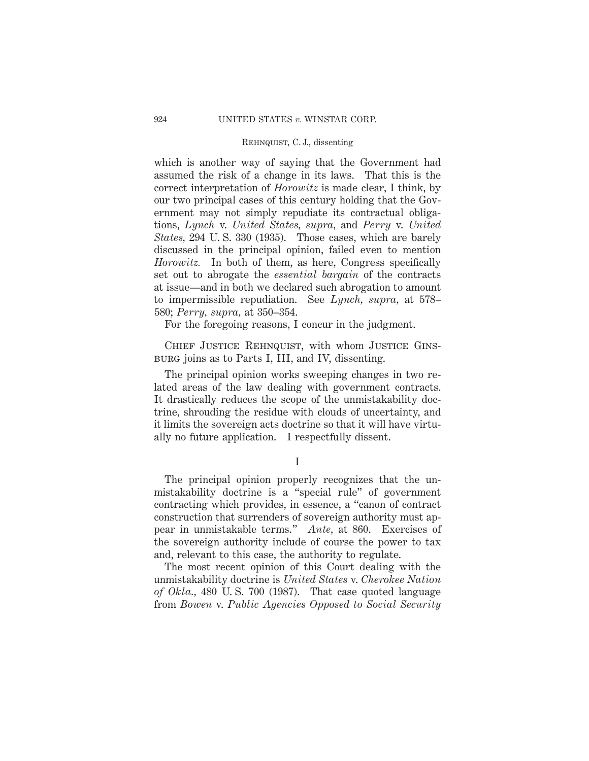which is another way of saying that the Government had assumed the risk of a change in its laws. That this is the correct interpretation of *Horowitz* is made clear, I think, by our two principal cases of this century holding that the Government may not simply repudiate its contractual obligations, *Lynch* v. *United States, supra,* and *Perry* v. *United States,* 294 U. S. 330 (1935). Those cases, which are barely discussed in the principal opinion, failed even to mention *Horowitz.* In both of them, as here, Congress specifically set out to abrogate the *essential bargain* of the contracts at issue—and in both we declared such abrogation to amount to impermissible repudiation. See *Lynch, supra,* at 578– 580; *Perry, supra,* at 350–354.

For the foregoing reasons, I concur in the judgment.

Chief Justice Rehnquist, with whom Justice Ginsburg joins as to Parts I, III, and IV, dissenting.

The principal opinion works sweeping changes in two related areas of the law dealing with government contracts. It drastically reduces the scope of the unmistakability doctrine, shrouding the residue with clouds of uncertainty, and it limits the sovereign acts doctrine so that it will have virtually no future application. I respectfully dissent.

I

The principal opinion properly recognizes that the unmistakability doctrine is a "special rule" of government contracting which provides, in essence, a "canon of contract construction that surrenders of sovereign authority must appear in unmistakable terms." *Ante,* at 860. Exercises of the sovereign authority include of course the power to tax and, relevant to this case, the authority to regulate.

The most recent opinion of this Court dealing with the unmistakability doctrine is *United States* v. *Cherokee Nation of Okla.,* 480 U. S. 700 (1987). That case quoted language from *Bowen* v. *Public Agencies Opposed to Social Security*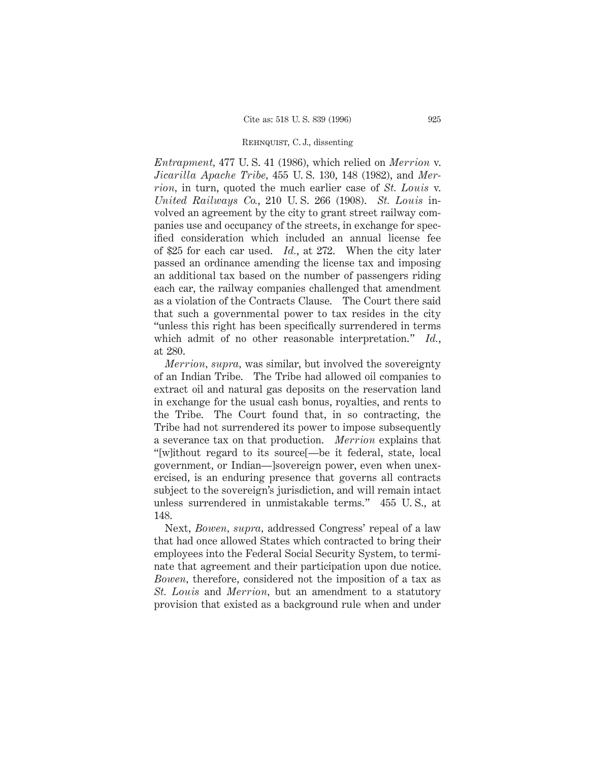*Entrapment,* 477 U. S. 41 (1986), which relied on *Merrion* v. *Jicarilla Apache Tribe,* 455 U. S. 130, 148 (1982), and *Merrion,* in turn, quoted the much earlier case of *St. Louis* v. *United Railways Co.*, 210 U. S. 266 (1908). *St. Louis* involved an agreement by the city to grant street railway companies use and occupancy of the streets, in exchange for specified consideration which included an annual license fee of \$25 for each car used. *Id.*, at 272. When the city later passed an ordinance amending the license tax and imposing an additional tax based on the number of passengers riding each car, the railway companies challenged that amendment as a violation of the Contracts Clause. The Court there said that such a governmental power to tax resides in the city "unless this right has been specifically surrendered in terms which admit of no other reasonable interpretation." *Id.*, at 280.

*Merrion, supra,* was similar, but involved the sovereignty of an Indian Tribe. The Tribe had allowed oil companies to extract oil and natural gas deposits on the reservation land in exchange for the usual cash bonus, royalties, and rents to the Tribe. The Court found that, in so contracting, the Tribe had not surrendered its power to impose subsequently a severance tax on that production. *Merrion* explains that "[w]ithout regard to its source[—be it federal, state, local government, or Indian—]sovereign power, even when unexercised, is an enduring presence that governs all contracts subject to the sovereign's jurisdiction, and will remain intact unless surrendered in unmistakable terms." 455 U. S., at 148.

Next, *Bowen, supra,* addressed Congress' repeal of a law that had once allowed States which contracted to bring their employees into the Federal Social Security System, to terminate that agreement and their participation upon due notice. *Bowen,* therefore, considered not the imposition of a tax as *St. Louis* and *Merrion,* but an amendment to a statutory provision that existed as a background rule when and under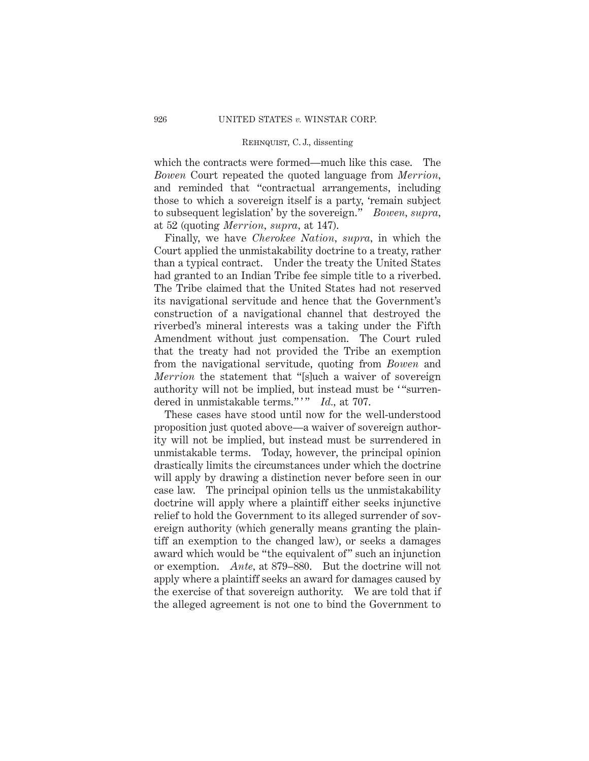which the contracts were formed—much like this case. The *Bowen* Court repeated the quoted language from *Merrion,* and reminded that "contractual arrangements, including those to which a sovereign itself is a party, 'remain subject to subsequent legislation' by the sovereign." *Bowen, supra,* at 52 (quoting *Merrion, supra,* at 147).

Finally, we have *Cherokee Nation, supra,* in which the Court applied the unmistakability doctrine to a treaty, rather than a typical contract. Under the treaty the United States had granted to an Indian Tribe fee simple title to a riverbed. The Tribe claimed that the United States had not reserved its navigational servitude and hence that the Government's construction of a navigational channel that destroyed the riverbed's mineral interests was a taking under the Fifth Amendment without just compensation. The Court ruled that the treaty had not provided the Tribe an exemption from the navigational servitude, quoting from *Bowen* and *Merrion* the statement that "[s]uch a waiver of sovereign authority will not be implied, but instead must be "surrendered in unmistakable terms."" *Id.*, at 707.

These cases have stood until now for the well-understood proposition just quoted above—a waiver of sovereign authority will not be implied, but instead must be surrendered in unmistakable terms. Today, however, the principal opinion drastically limits the circumstances under which the doctrine will apply by drawing a distinction never before seen in our case law. The principal opinion tells us the unmistakability doctrine will apply where a plaintiff either seeks injunctive relief to hold the Government to its alleged surrender of sovereign authority (which generally means granting the plaintiff an exemption to the changed law), or seeks a damages award which would be "the equivalent of" such an injunction or exemption. *Ante,* at 879–880. But the doctrine will not apply where a plaintiff seeks an award for damages caused by the exercise of that sovereign authority. We are told that if the alleged agreement is not one to bind the Government to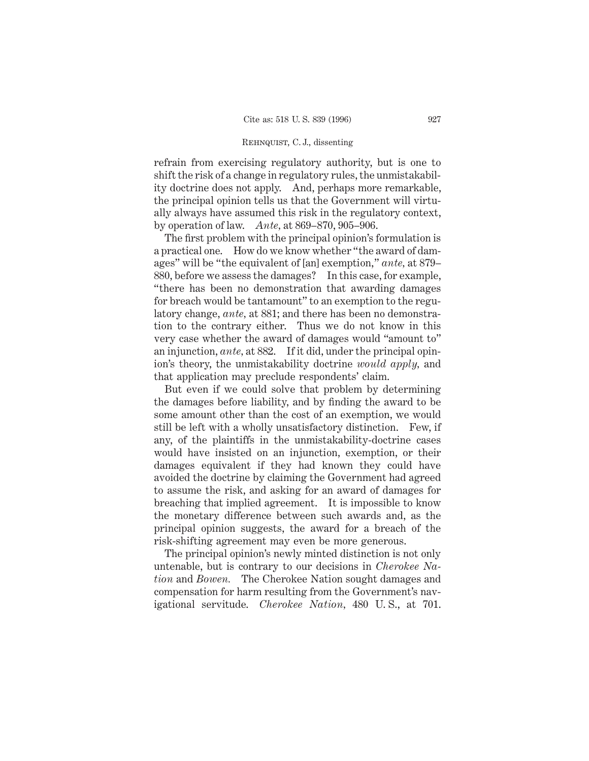refrain from exercising regulatory authority, but is one to shift the risk of a change in regulatory rules, the unmistakability doctrine does not apply. And, perhaps more remarkable, the principal opinion tells us that the Government will virtually always have assumed this risk in the regulatory context, by operation of law. *Ante,* at 869–870, 905–906.

The first problem with the principal opinion's formulation is a practical one. How do we know whether "the award of damages" will be "the equivalent of [an] exemption," *ante,* at 879– 880, before we assess the damages? In this case, for example, "there has been no demonstration that awarding damages for breach would be tantamount" to an exemption to the regulatory change, *ante,* at 881; and there has been no demonstration to the contrary either. Thus we do not know in this very case whether the award of damages would "amount to" an injunction, *ante,* at 882. If it did, under the principal opinion's theory, the unmistakability doctrine *would apply,* and that application may preclude respondents' claim.

But even if we could solve that problem by determining the damages before liability, and by finding the award to be some amount other than the cost of an exemption, we would still be left with a wholly unsatisfactory distinction. Few, if any, of the plaintiffs in the unmistakability-doctrine cases would have insisted on an injunction, exemption, or their damages equivalent if they had known they could have avoided the doctrine by claiming the Government had agreed to assume the risk, and asking for an award of damages for breaching that implied agreement. It is impossible to know the monetary difference between such awards and, as the principal opinion suggests, the award for a breach of the risk-shifting agreement may even be more generous.

The principal opinion's newly minted distinction is not only untenable, but is contrary to our decisions in *Cherokee Nation* and *Bowen.* The Cherokee Nation sought damages and compensation for harm resulting from the Government's navigational servitude. *Cherokee Nation,* 480 U. S., at 701.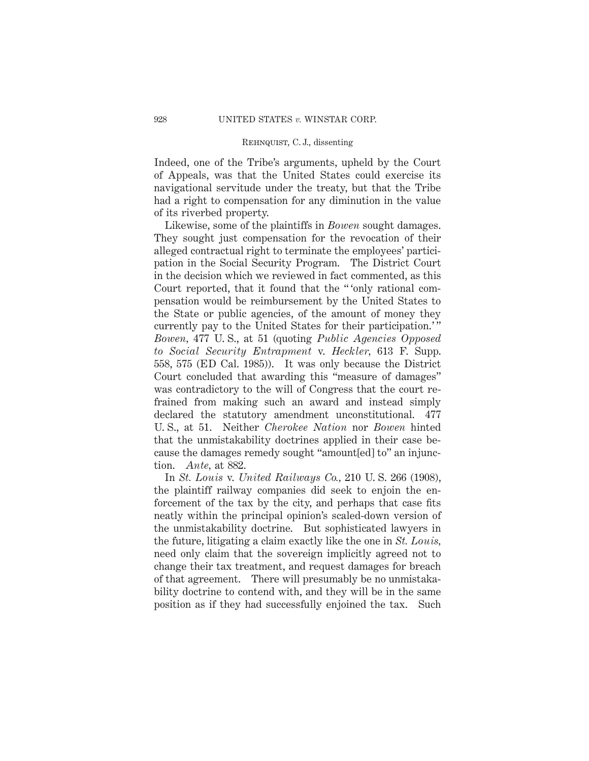Indeed, one of the Tribe's arguments, upheld by the Court of Appeals, was that the United States could exercise its navigational servitude under the treaty, but that the Tribe had a right to compensation for any diminution in the value of its riverbed property.

Likewise, some of the plaintiffs in *Bowen* sought damages. They sought just compensation for the revocation of their alleged contractual right to terminate the employees' participation in the Social Security Program. The District Court in the decision which we reviewed in fact commented, as this Court reported, that it found that the " 'only rational compensation would be reimbursement by the United States to the State or public agencies, of the amount of money they currently pay to the United States for their participation.' " *Bowen,* 477 U. S., at 51 (quoting *Public Agencies Opposed to Social Security Entrapment* v. *Heckler,* 613 F. Supp. 558, 575 (ED Cal. 1985)). It was only because the District Court concluded that awarding this "measure of damages" was contradictory to the will of Congress that the court refrained from making such an award and instead simply declared the statutory amendment unconstitutional. 477 U. S., at 51. Neither *Cherokee Nation* nor *Bowen* hinted that the unmistakability doctrines applied in their case because the damages remedy sought "amount[ed] to" an injunction. *Ante,* at 882.

In *St. Louis* v. *United Railways Co.,* 210 U. S. 266 (1908), the plaintiff railway companies did seek to enjoin the enforcement of the tax by the city, and perhaps that case fits neatly within the principal opinion's scaled-down version of the unmistakability doctrine. But sophisticated lawyers in the future, litigating a claim exactly like the one in *St. Louis,* need only claim that the sovereign implicitly agreed not to change their tax treatment, and request damages for breach of that agreement. There will presumably be no unmistakability doctrine to contend with, and they will be in the same position as if they had successfully enjoined the tax. Such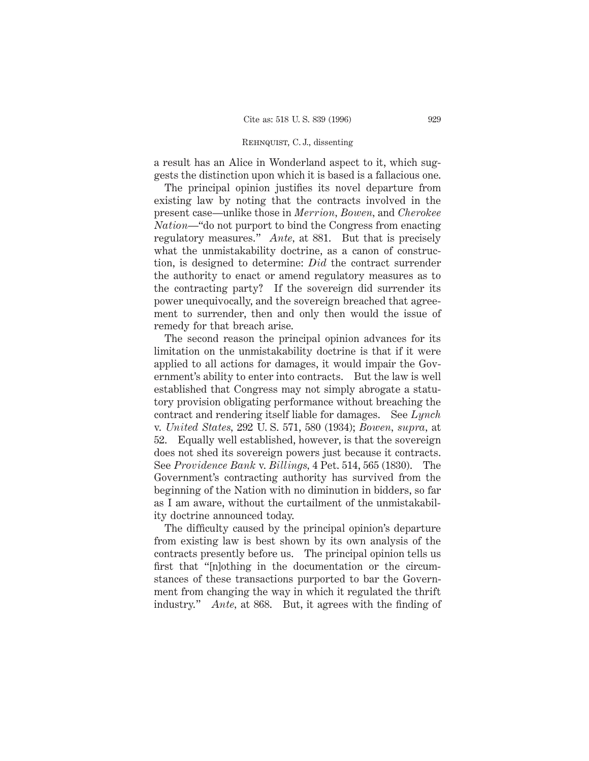a result has an Alice in Wonderland aspect to it, which suggests the distinction upon which it is based is a fallacious one.

The principal opinion justifies its novel departure from existing law by noting that the contracts involved in the present case—unlike those in *Merrion, Bowen,* and *Cherokee Nation*—"do not purport to bind the Congress from enacting regulatory measures." *Ante,* at 881. But that is precisely what the unmistakability doctrine, as a canon of construction, is designed to determine: *Did* the contract surrender the authority to enact or amend regulatory measures as to the contracting party? If the sovereign did surrender its power unequivocally, and the sovereign breached that agreement to surrender, then and only then would the issue of remedy for that breach arise.

The second reason the principal opinion advances for its limitation on the unmistakability doctrine is that if it were applied to all actions for damages, it would impair the Government's ability to enter into contracts. But the law is well established that Congress may not simply abrogate a statutory provision obligating performance without breaching the contract and rendering itself liable for damages. See *Lynch* v. *United States,* 292 U. S. 571, 580 (1934); *Bowen, supra,* at 52. Equally well established, however, is that the sovereign does not shed its sovereign powers just because it contracts. See *Providence Bank* v. *Billings,* 4 Pet. 514, 565 (1830). The Government's contracting authority has survived from the beginning of the Nation with no diminution in bidders, so far as I am aware, without the curtailment of the unmistakability doctrine announced today.

The difficulty caused by the principal opinion's departure from existing law is best shown by its own analysis of the contracts presently before us. The principal opinion tells us first that "[n]othing in the documentation or the circumstances of these transactions purported to bar the Government from changing the way in which it regulated the thrift industry." *Ante,* at 868. But, it agrees with the finding of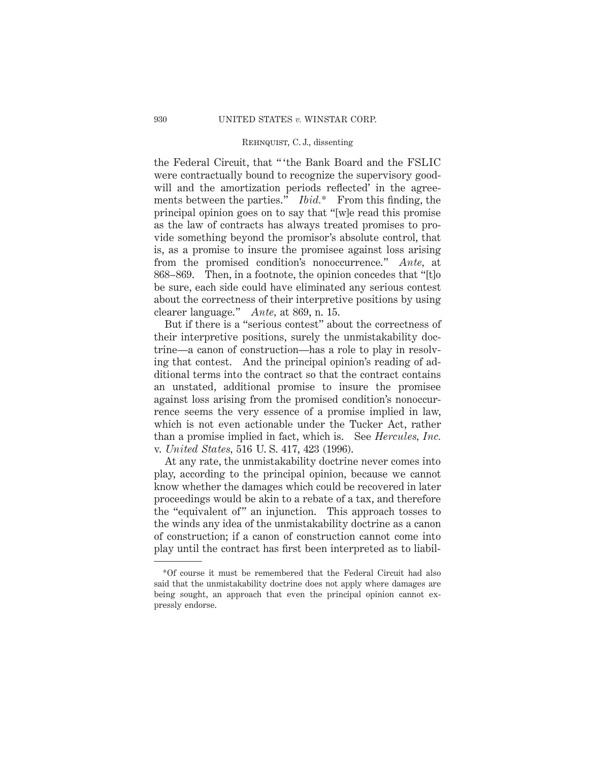the Federal Circuit, that " 'the Bank Board and the FSLIC were contractually bound to recognize the supervisory goodwill and the amortization periods reflected' in the agreements between the parties." *Ibid.*\* From this finding, the principal opinion goes on to say that "[w]e read this promise as the law of contracts has always treated promises to provide something beyond the promisor's absolute control, that is, as a promise to insure the promisee against loss arising from the promised condition's nonoccurrence." *Ante,* at 868–869. Then, in a footnote, the opinion concedes that "[t]o be sure, each side could have eliminated any serious contest about the correctness of their interpretive positions by using clearer language." *Ante,* at 869, n. 15.

But if there is a "serious contest" about the correctness of their interpretive positions, surely the unmistakability doctrine—a canon of construction—has a role to play in resolving that contest. And the principal opinion's reading of additional terms into the contract so that the contract contains an unstated, additional promise to insure the promisee against loss arising from the promised condition's nonoccurrence seems the very essence of a promise implied in law, which is not even actionable under the Tucker Act, rather than a promise implied in fact, which is. See *Hercules, Inc.* v. *United States,* 516 U. S. 417, 423 (1996).

At any rate, the unmistakability doctrine never comes into play, according to the principal opinion, because we cannot know whether the damages which could be recovered in later proceedings would be akin to a rebate of a tax, and therefore the "equivalent of" an injunction. This approach tosses to the winds any idea of the unmistakability doctrine as a canon of construction; if a canon of construction cannot come into play until the contract has first been interpreted as to liabil-

<sup>\*</sup>Of course it must be remembered that the Federal Circuit had also said that the unmistakability doctrine does not apply where damages are being sought, an approach that even the principal opinion cannot expressly endorse.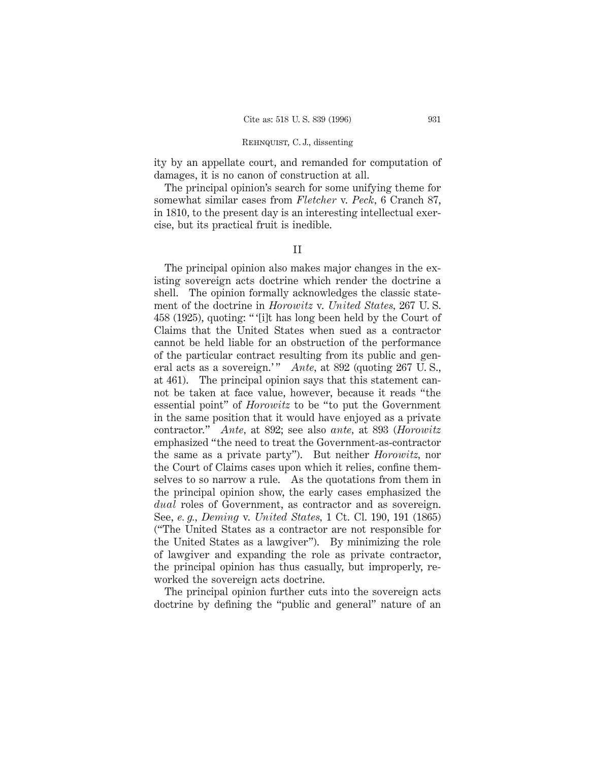ity by an appellate court, and remanded for computation of damages, it is no canon of construction at all.

The principal opinion's search for some unifying theme for somewhat similar cases from *Fletcher* v. *Peck,* 6 Cranch 87, in 1810, to the present day is an interesting intellectual exercise, but its practical fruit is inedible.

## II

The principal opinion also makes major changes in the existing sovereign acts doctrine which render the doctrine a shell. The opinion formally acknowledges the classic statement of the doctrine in *Horowitz* v. *United States,* 267 U. S. 458 (1925), quoting: " '[i]t has long been held by the Court of Claims that the United States when sued as a contractor cannot be held liable for an obstruction of the performance of the particular contract resulting from its public and general acts as a sovereign.'" Ante, at 892 (quoting 267 U.S., at 461). The principal opinion says that this statement cannot be taken at face value, however, because it reads "the essential point" of *Horowitz* to be "to put the Government in the same position that it would have enjoyed as a private contractor." *Ante,* at 892; see also *ante,* at 893 (*Horowitz* emphasized "the need to treat the Government-as-contractor the same as a private party"). But neither *Horowitz,* nor the Court of Claims cases upon which it relies, confine themselves to so narrow a rule. As the quotations from them in the principal opinion show, the early cases emphasized the *dual* roles of Government, as contractor and as sovereign. See, *e. g., Deming* v. *United States,* 1 Ct. Cl. 190, 191 (1865) ("The United States as a contractor are not responsible for the United States as a lawgiver"). By minimizing the role of lawgiver and expanding the role as private contractor, the principal opinion has thus casually, but improperly, reworked the sovereign acts doctrine.

The principal opinion further cuts into the sovereign acts doctrine by defining the "public and general" nature of an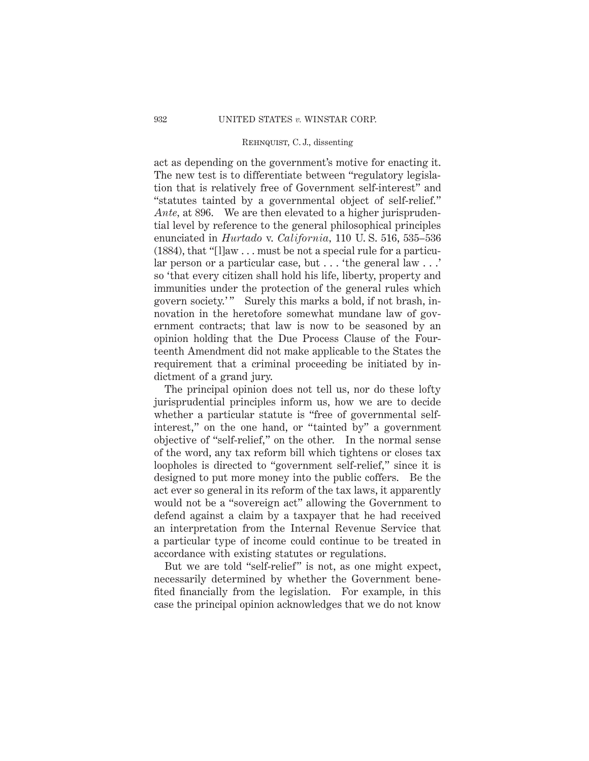act as depending on the government's motive for enacting it. The new test is to differentiate between "regulatory legislation that is relatively free of Government self-interest" and "statutes tainted by a governmental object of self-relief." *Ante,* at 896. We are then elevated to a higher jurisprudential level by reference to the general philosophical principles enunciated in *Hurtado* v. *California,* 110 U. S. 516, 535–536 (1884), that "[l]aw... must be not a special rule for a particular person or a particular case, but . . . 'the general law . . .' so 'that every citizen shall hold his life, liberty, property and immunities under the protection of the general rules which govern society.'" Surely this marks a bold, if not brash, innovation in the heretofore somewhat mundane law of government contracts; that law is now to be seasoned by an opinion holding that the Due Process Clause of the Fourteenth Amendment did not make applicable to the States the requirement that a criminal proceeding be initiated by indictment of a grand jury.

The principal opinion does not tell us, nor do these lofty jurisprudential principles inform us, how we are to decide whether a particular statute is "free of governmental selfinterest," on the one hand, or "tainted by" a government objective of "self-relief," on the other. In the normal sense of the word, any tax reform bill which tightens or closes tax loopholes is directed to "government self-relief," since it is designed to put more money into the public coffers. Be the act ever so general in its reform of the tax laws, it apparently would not be a "sovereign act" allowing the Government to defend against a claim by a taxpayer that he had received an interpretation from the Internal Revenue Service that a particular type of income could continue to be treated in accordance with existing statutes or regulations.

But we are told "self-relief" is not, as one might expect, necessarily determined by whether the Government benefited financially from the legislation. For example, in this case the principal opinion acknowledges that we do not know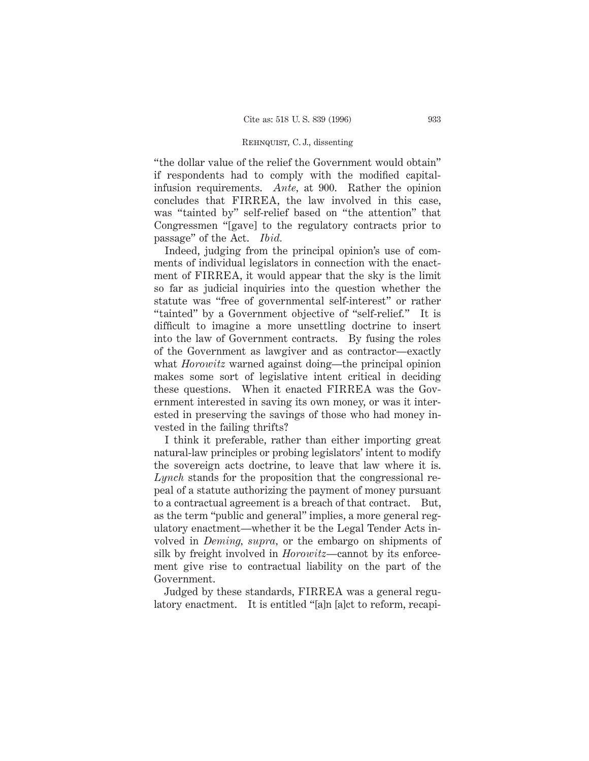"the dollar value of the relief the Government would obtain" if respondents had to comply with the modified capitalinfusion requirements. *Ante,* at 900. Rather the opinion concludes that FIRREA, the law involved in this case, was "tainted by" self-relief based on "the attention" that Congressmen "[gave] to the regulatory contracts prior to passage" of the Act. *Ibid.*

Indeed, judging from the principal opinion's use of comments of individual legislators in connection with the enactment of FIRREA, it would appear that the sky is the limit so far as judicial inquiries into the question whether the statute was "free of governmental self-interest" or rather "tainted" by a Government objective of "self-relief." It is difficult to imagine a more unsettling doctrine to insert into the law of Government contracts. By fusing the roles of the Government as lawgiver and as contractor—exactly what *Horowitz* warned against doing—the principal opinion makes some sort of legislative intent critical in deciding these questions. When it enacted FIRREA was the Government interested in saving its own money, or was it interested in preserving the savings of those who had money invested in the failing thrifts?

I think it preferable, rather than either importing great natural-law principles or probing legislators' intent to modify the sovereign acts doctrine, to leave that law where it is. *Lynch* stands for the proposition that the congressional repeal of a statute authorizing the payment of money pursuant to a contractual agreement is a breach of that contract. But, as the term "public and general" implies, a more general regulatory enactment—whether it be the Legal Tender Acts involved in *Deming, supra,* or the embargo on shipments of silk by freight involved in *Horowitz*—cannot by its enforcement give rise to contractual liability on the part of the Government.

Judged by these standards, FIRREA was a general regulatory enactment. It is entitled "[a]n [a]ct to reform, recapi-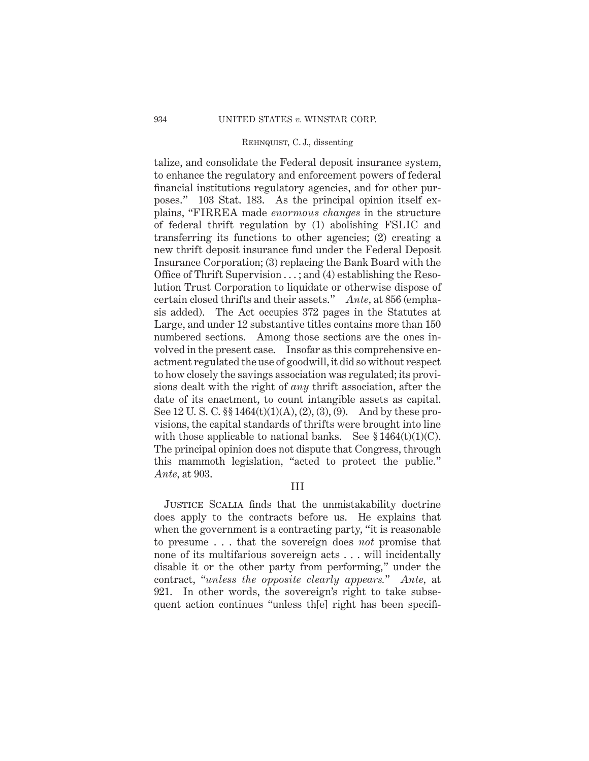talize, and consolidate the Federal deposit insurance system, to enhance the regulatory and enforcement powers of federal financial institutions regulatory agencies, and for other purposes." 103 Stat. 183. As the principal opinion itself explains, "FIRREA made *enormous changes* in the structure of federal thrift regulation by (1) abolishing FSLIC and transferring its functions to other agencies; (2) creating a new thrift deposit insurance fund under the Federal Deposit Insurance Corporation; (3) replacing the Bank Board with the Office of Thrift Supervision . . . ; and (4) establishing the Resolution Trust Corporation to liquidate or otherwise dispose of certain closed thrifts and their assets." *Ante,* at 856 (emphasis added). The Act occupies 372 pages in the Statutes at Large, and under 12 substantive titles contains more than 150 numbered sections. Among those sections are the ones involved in the present case. Insofar as this comprehensive enactment regulated the use of goodwill, it did so without respect to how closely the savings association was regulated; its provisions dealt with the right of *any* thrift association, after the date of its enactment, to count intangible assets as capital. See 12 U. S. C. §§ 1464(t)(1)(A), (2), (3), (9). And by these provisions, the capital standards of thrifts were brought into line with those applicable to national banks. See  $§ 1464(t)(1)(C)$ . The principal opinion does not dispute that Congress, through this mammoth legislation, "acted to protect the public." *Ante,* at 903.

# III

JUSTICE SCALIA finds that the unmistakability doctrine does apply to the contracts before us. He explains that when the government is a contracting party, "it is reasonable to presume . . . that the sovereign does *not* promise that none of its multifarious sovereign acts . . . will incidentally disable it or the other party from performing," under the contract, "*unless the opposite clearly appears.*" *Ante,* at 921. In other words, the sovereign's right to take subsequent action continues "unless th[e] right has been specifi-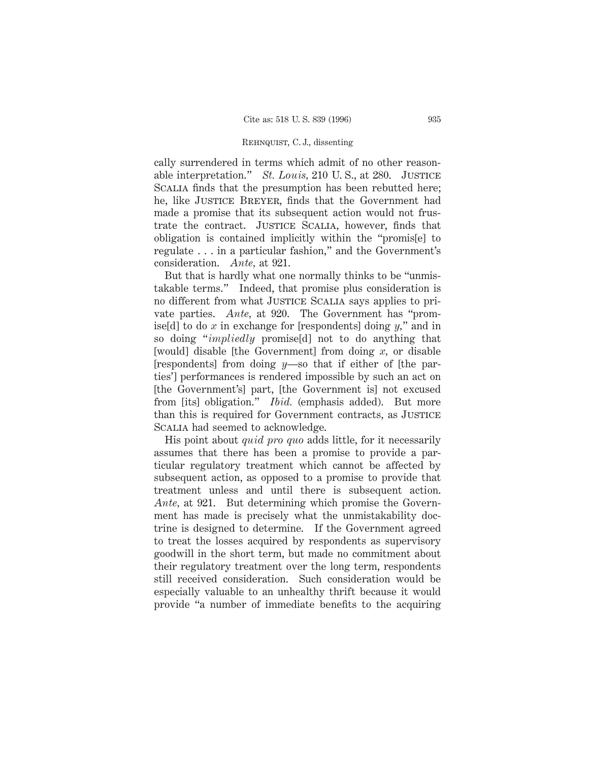cally surrendered in terms which admit of no other reasonable interpretation." *St. Louis,* 210 U. S., at 280. Justice SCALIA finds that the presumption has been rebutted here; he, like Justice Breyer, finds that the Government had made a promise that its subsequent action would not frustrate the contract. JUSTICE SCALIA, however, finds that obligation is contained implicitly within the "promis[e] to regulate . . . in a particular fashion," and the Government's consideration. *Ante,* at 921.

But that is hardly what one normally thinks to be "unmistakable terms." Indeed, that promise plus consideration is no different from what JUSTICE SCALIA says applies to private parties. *Ante,* at 920. The Government has "promise[d] to do *x* in exchange for [respondents] doing *y,*" and in so doing "*impliedly* promise[d] not to do anything that [would] disable [the Government] from doing *x,* or disable [respondents] from doing *y*—so that if either of [the parties'] performances is rendered impossible by such an act on [the Government's] part, [the Government is] not excused from [its] obligation." *Ibid.* (emphasis added). But more than this is required for Government contracts, as Justice SCALIA had seemed to acknowledge.

His point about *quid pro quo* adds little, for it necessarily assumes that there has been a promise to provide a particular regulatory treatment which cannot be affected by subsequent action, as opposed to a promise to provide that treatment unless and until there is subsequent action. *Ante,* at 921. But determining which promise the Government has made is precisely what the unmistakability doctrine is designed to determine. If the Government agreed to treat the losses acquired by respondents as supervisory goodwill in the short term, but made no commitment about their regulatory treatment over the long term, respondents still received consideration. Such consideration would be especially valuable to an unhealthy thrift because it would provide "a number of immediate benefits to the acquiring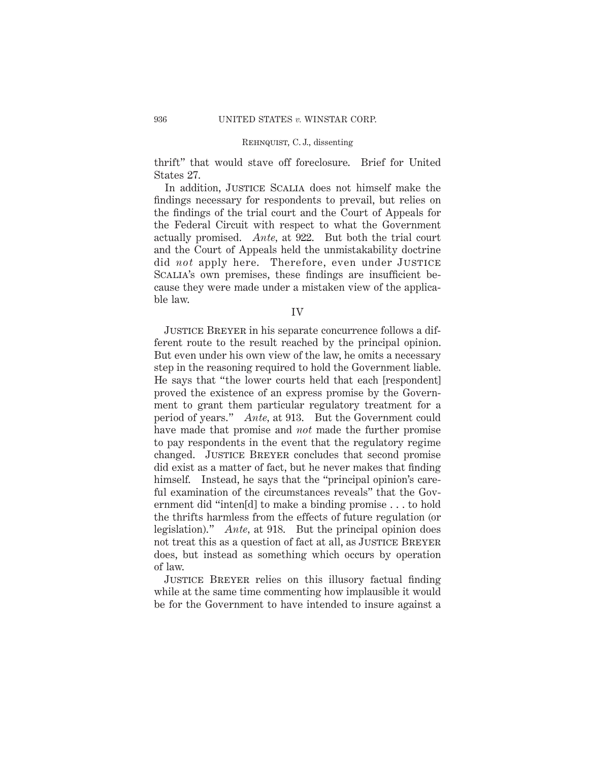thrift" that would stave off foreclosure. Brief for United States 27.

In addition, JUSTICE SCALIA does not himself make the findings necessary for respondents to prevail, but relies on the findings of the trial court and the Court of Appeals for the Federal Circuit with respect to what the Government actually promised. *Ante,* at 922. But both the trial court and the Court of Appeals held the unmistakability doctrine did *not* apply here. Therefore, even under JUSTICE SCALIA's own premises, these findings are insufficient because they were made under a mistaken view of the applicable law.

IV

Justice Breyer in his separate concurrence follows a different route to the result reached by the principal opinion. But even under his own view of the law, he omits a necessary step in the reasoning required to hold the Government liable. He says that "the lower courts held that each [respondent] proved the existence of an express promise by the Government to grant them particular regulatory treatment for a period of years." *Ante,* at 913. But the Government could have made that promise and *not* made the further promise to pay respondents in the event that the regulatory regime changed. JUSTICE BREYER concludes that second promise did exist as a matter of fact, but he never makes that finding himself. Instead, he says that the "principal opinion's careful examination of the circumstances reveals" that the Government did "inten[d] to make a binding promise . . . to hold the thrifts harmless from the effects of future regulation (or legislation)." *Ante,* at 918. But the principal opinion does not treat this as a question of fact at all, as JUSTICE BREYER does, but instead as something which occurs by operation of law.

JUSTICE BREYER relies on this illusory factual finding while at the same time commenting how implausible it would be for the Government to have intended to insure against a